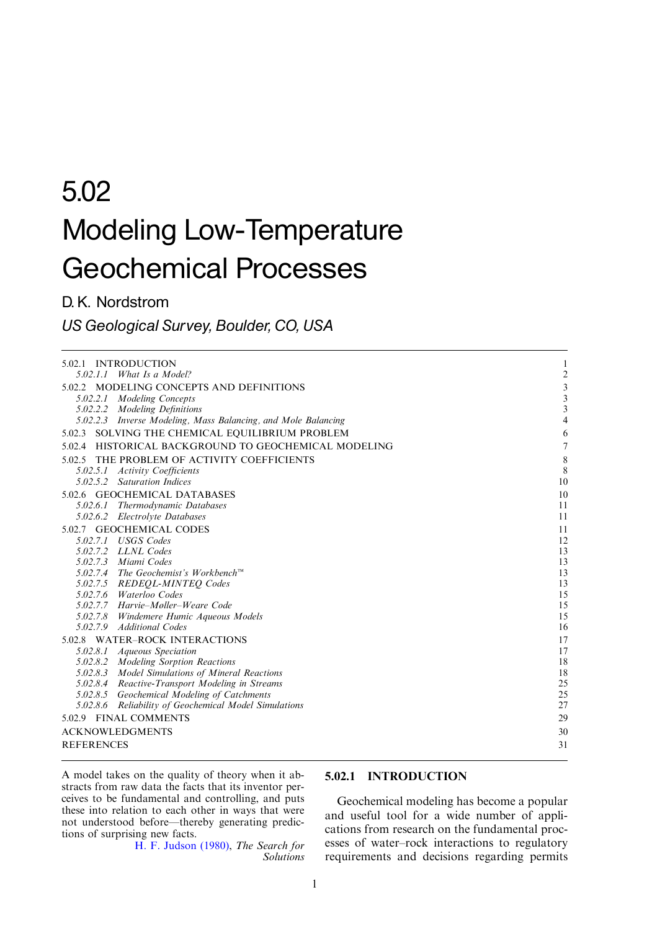# 5.02 Modeling Low-Temperature Geochemical Processes

D.K. Nordstrom

US Geological Survey, Boulder, CO, USA

|                   | 5.02.1 INTRODUCTION                                           | 1              |
|-------------------|---------------------------------------------------------------|----------------|
|                   | 5.02.1.1 What Is a Model?                                     | $\overline{c}$ |
|                   | 5.02.2 MODELING CONCEPTS AND DEFINITIONS                      | 3              |
|                   | 5.02.2.1 Modeling Concepts                                    | 3              |
|                   | 5.02.2.2 Modeling Definitions                                 | 3              |
|                   | 5.02.2.3 Inverse Modeling, Mass Balancing, and Mole Balancing | 4              |
|                   | 5.02.3 SOLVING THE CHEMICAL EQUILIBRIUM PROBLEM               | 6              |
| 5.02.4            | HISTORICAL BACKGROUND TO GEOCHEMICAL MODELING                 | 7              |
| 5.02.5            | THE PROBLEM OF ACTIVITY COEFFICIENTS                          | 8              |
|                   | 5.02.5.1 Activity Coefficients                                | 8              |
|                   | 5.02.5.2 Saturation Indices                                   | 10             |
|                   | 5.02.6 GEOCHEMICAL DATABASES                                  | 10             |
|                   | 5.02.6.1 Thermodynamic Databases                              | 11             |
|                   | 5.02.6.2 Electrolyte Databases                                | 11             |
|                   | 5.02.7 GEOCHEMICAL CODES                                      | 11             |
|                   | 5.02.7.1 USGS Codes                                           | 12             |
|                   | 5.02.7.2 LLNL Codes                                           | 13             |
|                   | 5.02.7.3 Miami Codes                                          | 13             |
|                   | 5.02.7.4 The Geochemist's Workbench™                          | 13             |
|                   | 5.02.7.5 REDEOL-MINTEO Codes                                  | 13             |
|                   | 5.02.7.6 Waterloo Codes                                       | 15             |
|                   | 5.02.7.7 Harvie-Møller-Weare Code                             | 15             |
|                   | 5.02.7.8 Windemere Humic Aqueous Models                       | 15             |
|                   | 5.02.7.9 Additional Codes                                     | 16             |
|                   | 5.02.8 WATER-ROCK INTERACTIONS                                | 17             |
|                   | 5.02.8.1 Aqueous Speciation                                   | 17             |
|                   | 5.02.8.2 Modeling Sorption Reactions                          | 18             |
|                   | 5.02.8.3 Model Simulations of Mineral Reactions               | 18             |
|                   | 5.02.8.4 Reactive-Transport Modeling in Streams               | 25             |
|                   | 5.02.8.5 Geochemical Modeling of Catchments                   | 25             |
|                   | 5.02.8.6 Reliability of Geochemical Model Simulations         | 27             |
|                   | 5.02.9 FINAL COMMENTS                                         | 29             |
|                   | <b>ACKNOWLEDGMENTS</b>                                        | 30             |
| <b>REFERENCES</b> |                                                               | 31             |

A model takes on the quality of theory when it abstracts from raw data the facts that its inventor perceives to be fundamental and controlling, and puts these into relation to each other in ways that were not understood before—thereby generating predictions of surprising new facts.

> H. F. [Judson \(1980\),](#page-33-0) The Search for Solutions

# 5.02.1 INTRODUCTION

Geochemical modeling has become a popular and useful tool for a wide number of applications from research on the fundamental processes of water–rock interactions to regulatory requirements and decisions regarding permits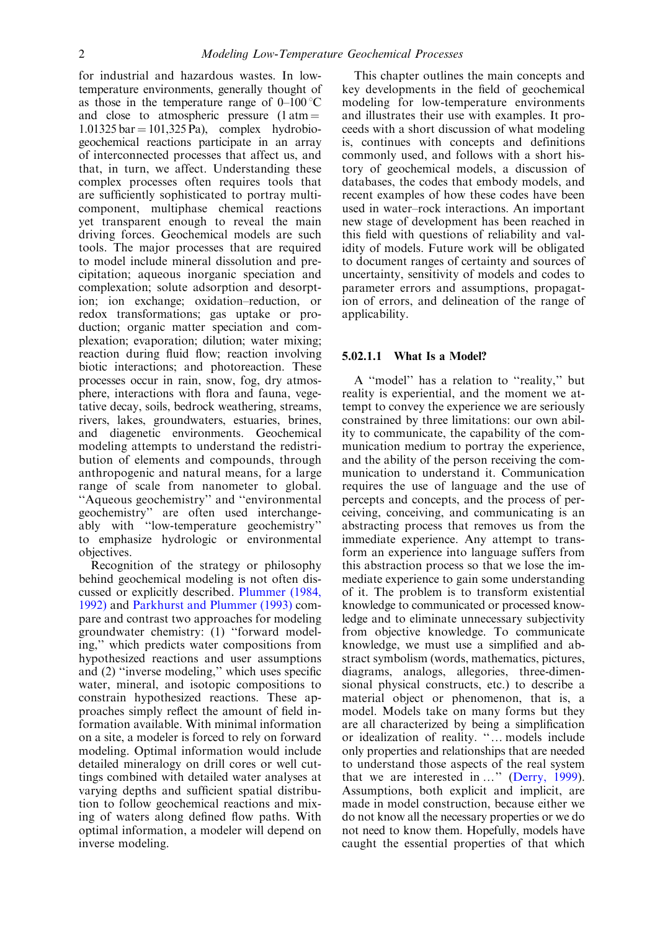for industrial and hazardous wastes. In lowtemperature environments, generally thought of as those in the temperature range of  $0-100\degree C$ and close to atmospheric pressure  $(l \text{ atm})$  $1.01325$  bar = 101,325 Pa), complex hydrobiogeochemical reactions participate in an array of interconnected processes that affect us, and that, in turn, we affect. Understanding these complex processes often requires tools that are sufficiently sophisticated to portray multicomponent, multiphase chemical reactions yet transparent enough to reveal the main driving forces. Geochemical models are such tools. The major processes that are required to model include mineral dissolution and precipitation; aqueous inorganic speciation and complexation; solute adsorption and desorption; ion exchange; oxidation–reduction, or redox transformations; gas uptake or production; organic matter speciation and complexation; evaporation; dilution; water mixing; reaction during fluid flow; reaction involving biotic interactions; and photoreaction. These processes occur in rain, snow, fog, dry atmosphere, interactions with flora and fauna, vegetative decay, soils, bedrock weathering, streams, rivers, lakes, groundwaters, estuaries, brines, and diagenetic environments. Geochemical modeling attempts to understand the redistribution of elements and compounds, through anthropogenic and natural means, for a large range of scale from nanometer to global. ''Aqueous geochemistry'' and ''environmental geochemistry'' are often used interchangeably with ''low-temperature geochemistry'' to emphasize hydrologic or environmental objectives.

Recognition of the strategy or philosophy behind geochemical modeling is not often discussed or explicitly described. [Plummer \(1984,](#page-35-0) [1992\)](#page-35-0) and [Parkhurst and Plummer \(1993\)](#page-35-0) compare and contrast two approaches for modeling groundwater chemistry: (1) ''forward modeling,'' which predicts water compositions from hypothesized reactions and user assumptions and (2) ''inverse modeling,'' which uses specific water, mineral, and isotopic compositions to constrain hypothesized reactions. These approaches simply reflect the amount of field information available. With minimal information on a site, a modeler is forced to rely on forward modeling. Optimal information would include detailed mineralogy on drill cores or well cuttings combined with detailed water analyses at varying depths and sufficient spatial distribution to follow geochemical reactions and mixing of waters along defined flow paths. With optimal information, a modeler will depend on inverse modeling.

This chapter outlines the main concepts and key developments in the field of geochemical modeling for low-temperature environments and illustrates their use with examples. It proceeds with a short discussion of what modeling is, continues with concepts and definitions commonly used, and follows with a short history of geochemical models, a discussion of databases, the codes that embody models, and recent examples of how these codes have been used in water–rock interactions. An important new stage of development has been reached in this field with questions of reliability and validity of models. Future work will be obligated to document ranges of certainty and sources of uncertainty, sensitivity of models and codes to parameter errors and assumptions, propagation of errors, and delineation of the range of applicability.

#### 5.02.1.1 What Is a Model?

A ''model'' has a relation to ''reality,'' but reality is experiential, and the moment we attempt to convey the experience we are seriously constrained by three limitations: our own ability to communicate, the capability of the communication medium to portray the experience, and the ability of the person receiving the communication to understand it. Communication requires the use of language and the use of percepts and concepts, and the process of perceiving, conceiving, and communicating is an abstracting process that removes us from the immediate experience. Any attempt to transform an experience into language suffers from this abstraction process so that we lose the immediate experience to gain some understanding of it. The problem is to transform existential knowledge to communicated or processed knowledge and to eliminate unnecessary subjectivity from objective knowledge. To communicate knowledge, we must use a simplified and abstract symbolism (words, mathematics, pictures, diagrams, analogs, allegories, three-dimensional physical constructs, etc.) to describe a material object or phenomenon, that is, a model. Models take on many forms but they are all characterized by being a simplification or idealization of reality. "... models include only properties and relationships that are needed to understand those aspects of the real system that we are interested in  $\ldots$ " [\(Derry, 1999\)](#page-31-0). Assumptions, both explicit and implicit, are made in model construction, because either we do not know all the necessary properties or we do not need to know them. Hopefully, models have caught the essential properties of that which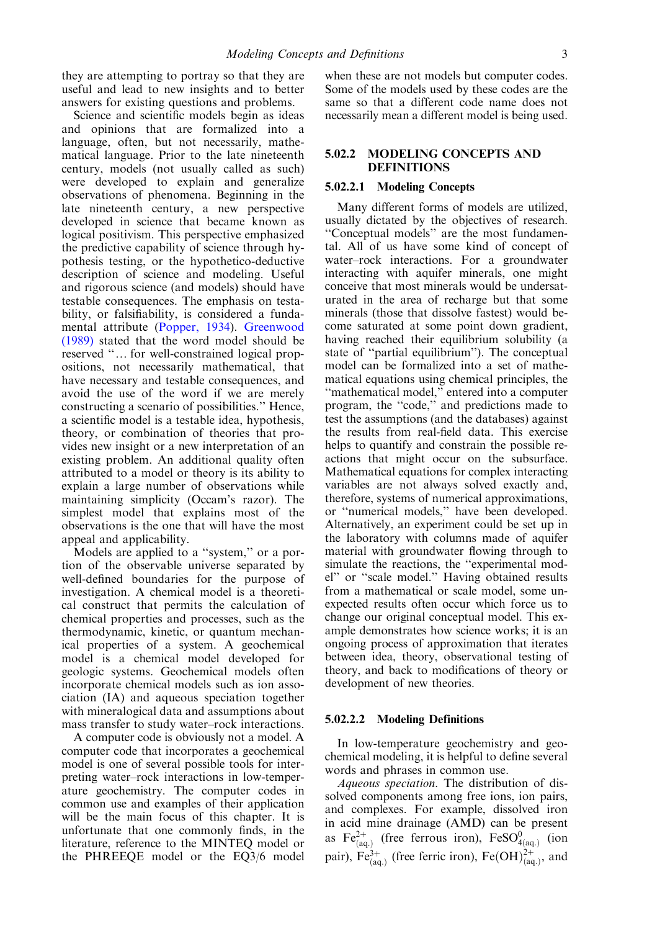they are attempting to portray so that they are useful and lead to new insights and to better answers for existing questions and problems.

Science and scientific models begin as ideas and opinions that are formalized into a language, often, but not necessarily, mathematical language. Prior to the late nineteenth century, models (not usually called as such) were developed to explain and generalize observations of phenomena. Beginning in the late nineteenth century, a new perspective developed in science that became known as logical positivism. This perspective emphasized the predictive capability of science through hypothesis testing, or the hypothetico-deductive description of science and modeling. Useful and rigorous science (and models) should have testable consequences. The emphasis on testability, or falsifiability, is considered a fundamental attribute ([Popper, 1934\)](#page-35-0). [Greenwood](#page-31-0) [\(1989\)](#page-31-0) stated that the word model should be reserved "... for well-constrained logical propositions, not necessarily mathematical, that have necessary and testable consequences, and avoid the use of the word if we are merely constructing a scenario of possibilities.'' Hence, a scientific model is a testable idea, hypothesis, theory, or combination of theories that provides new insight or a new interpretation of an existing problem. An additional quality often attributed to a model or theory is its ability to explain a large number of observations while maintaining simplicity (Occam's razor). The simplest model that explains most of the observations is the one that will have the most appeal and applicability.

Models are applied to a ''system,'' or a portion of the observable universe separated by well-defined boundaries for the purpose of investigation. A chemical model is a theoretical construct that permits the calculation of chemical properties and processes, such as the thermodynamic, kinetic, or quantum mechanical properties of a system. A geochemical model is a chemical model developed for geologic systems. Geochemical models often incorporate chemical models such as ion association (IA) and aqueous speciation together with mineralogical data and assumptions about mass transfer to study water–rock interactions.

A computer code is obviously not a model. A computer code that incorporates a geochemical model is one of several possible tools for interpreting water–rock interactions in low-temperature geochemistry. The computer codes in common use and examples of their application will be the main focus of this chapter. It is unfortunate that one commonly finds, in the literature, reference to the MINTEQ model or the PHREEQE model or the EQ3/6 model

when these are not models but computer codes. Some of the models used by these codes are the same so that a different code name does not necessarily mean a different model is being used.

#### 5.02.2 MODELING CONCEPTS AND DEFINITIONS

## 5.02.2.1 Modeling Concepts

Many different forms of models are utilized, usually dictated by the objectives of research. ''Conceptual models'' are the most fundamental. All of us have some kind of concept of water–rock interactions. For a groundwater interacting with aquifer minerals, one might conceive that most minerals would be undersaturated in the area of recharge but that some minerals (those that dissolve fastest) would become saturated at some point down gradient, having reached their equilibrium solubility (a state of ''partial equilibrium''). The conceptual model can be formalized into a set of mathematical equations using chemical principles, the ''mathematical model,'' entered into a computer program, the ''code,'' and predictions made to test the assumptions (and the databases) against the results from real-field data. This exercise helps to quantify and constrain the possible reactions that might occur on the subsurface. Mathematical equations for complex interacting variables are not always solved exactly and, therefore, systems of numerical approximations, or ''numerical models,'' have been developed. Alternatively, an experiment could be set up in the laboratory with columns made of aquifer material with groundwater flowing through to simulate the reactions, the ''experimental model'' or ''scale model.'' Having obtained results from a mathematical or scale model, some unexpected results often occur which force us to change our original conceptual model. This example demonstrates how science works; it is an ongoing process of approximation that iterates between idea, theory, observational testing of theory, and back to modifications of theory or development of new theories.

#### 5.02.2.2 Modeling Definitions

In low-temperature geochemistry and geochemical modeling, it is helpful to define several words and phrases in common use.

Aqueous speciation. The distribution of dissolved components among free ions, ion pairs, and complexes. For example, dissolved iron in acid mine drainage (AMD) can be present as  $\text{Fe}^{2+}_{\text{(aq.)}}$  (free ferrous iron),  $\text{FeSO}^0_{4\text{(aq.)}}$  (ion pair),  $\text{Fe}^{3+}_{\text{(aq.)}}$  (free ferric iron),  $\text{Fe}(\text{OH})^{2+}_{\text{(aq.)}}$ , and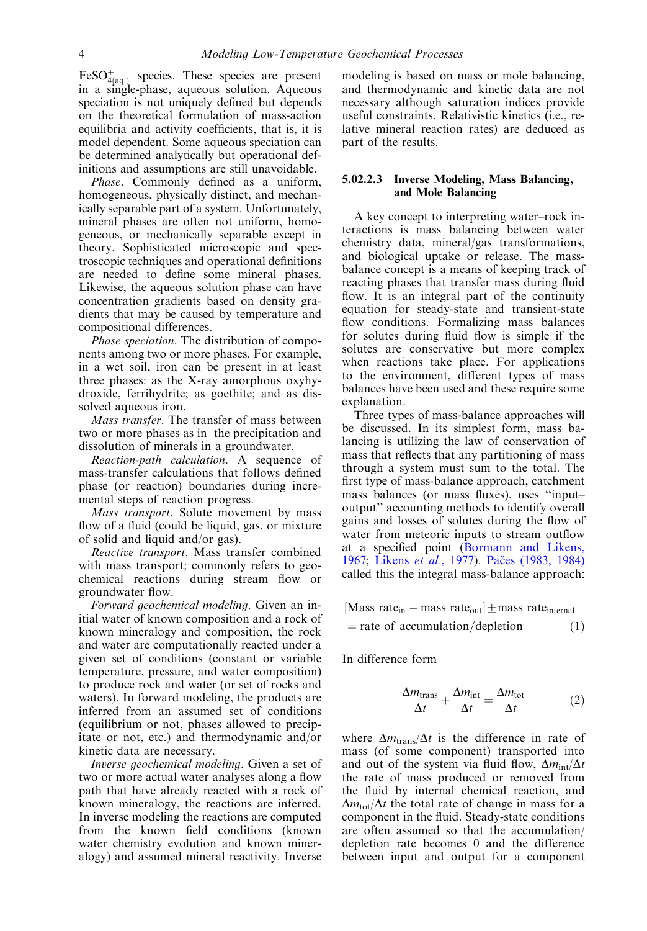$FesO_{4(aq)}^{+}$  species. These species are present in a single-phase, aqueous solution. Aqueous speciation is not uniquely defined but depends on the theoretical formulation of mass-action equilibria and activity coefficients, that is, it is model dependent. Some aqueous speciation can be determined analytically but operational definitions and assumptions are still unavoidable.

Phase. Commonly defined as a uniform, homogeneous, physically distinct, and mechanically separable part of a system. Unfortunately, mineral phases are often not uniform, homogeneous, or mechanically separable except in theory. Sophisticated microscopic and spectroscopic techniques and operational definitions are needed to define some mineral phases. Likewise, the aqueous solution phase can have concentration gradients based on density gradients that may be caused by temperature and compositional differences.

Phase speciation. The distribution of components among two or more phases. For example, in a wet soil, iron can be present in at least three phases: as the X-ray amorphous oxyhydroxide, ferrihydrite; as goethite; and as dissolved aqueous iron.

Mass transfer. The transfer of mass between two or more phases as in the precipitation and dissolution of minerals in a groundwater.

Reaction-path calculation. A sequence of mass-transfer calculations that follows defined phase (or reaction) boundaries during incremental steps of reaction progress.

Mass transport. Solute movement by mass flow of a fluid (could be liquid, gas, or mixture of solid and liquid and/or gas).

Reactive transport. Mass transfer combined with mass transport; commonly refers to geochemical reactions during stream flow or groundwater flow.

Forward geochemical modeling. Given an initial water of known composition and a rock of known mineralogy and composition, the rock and water are computationally reacted under a given set of conditions (constant or variable temperature, pressure, and water composition) to produce rock and water (or set of rocks and waters). In forward modeling, the products are inferred from an assumed set of conditions (equilibrium or not, phases allowed to precipitate or not, etc.) and thermodynamic and/or kinetic data are necessary.

Inverse geochemical modeling. Given a set of two or more actual water analyses along a flow path that have already reacted with a rock of known mineralogy, the reactions are inferred. In inverse modeling the reactions are computed from the known field conditions (known water chemistry evolution and known mineralogy) and assumed mineral reactivity. Inverse

modeling is based on mass or mole balancing, and thermodynamic and kinetic data are not necessary although saturation indices provide useful constraints. Relativistic kinetics (i.e., relative mineral reaction rates) are deduced as part of the results.

# 5.02.2.3 Inverse Modeling, Mass Balancing, and Mole Balancing

A key concept to interpreting water–rock interactions is mass balancing between water chemistry data, mineral/gas transformations, and biological uptake or release. The massbalance concept is a means of keeping track of reacting phases that transfer mass during fluid flow. It is an integral part of the continuity equation for steady-state and transient-state flow conditions. Formalizing mass balances for solutes during fluid flow is simple if the solutes are conservative but more complex when reactions take place. For applications to the environment, different types of mass balances have been used and these require some explanation.

Three types of mass-balance approaches will be discussed. In its simplest form, mass balancing is utilizing the law of conservation of mass that reflects that any partitioning of mass through a system must sum to the total. The first type of mass-balance approach, catchment mass balances (or mass fluxes), uses ''input– output'' accounting methods to identify overall gains and losses of solutes during the flow of water from meteoric inputs to stream outflow at a specified point [\(Bormann and Likens,](#page-30-0) [1967](#page-30-0); [Likens](#page-33-0) et al., 1977). Pačes (1983, 1984) called this the integral mass-balance approach:

[Mass rate<sub>in</sub> – mass rate<sub>out</sub>]  $\pm$  mass rate<sub>internal</sub>  $=$  rate of accumulation/depletion (1)

In difference form

$$
\frac{\Delta m_{\text{trans}}}{\Delta t} + \frac{\Delta m_{\text{int}}}{\Delta t} = \frac{\Delta m_{\text{tot}}}{\Delta t}
$$
 (2)

where  $\Delta m_{\rm trans}/\Delta t$  is the difference in rate of mass (of some component) transported into and out of the system via fluid flow,  $\Delta m_{\text{int}}/\Delta t$ the rate of mass produced or removed from the fluid by internal chemical reaction, and  $\Delta m_{\text{tot}}/\Delta t$  the total rate of change in mass for a component in the fluid. Steady-state conditions are often assumed so that the accumulation/ depletion rate becomes 0 and the difference between input and output for a component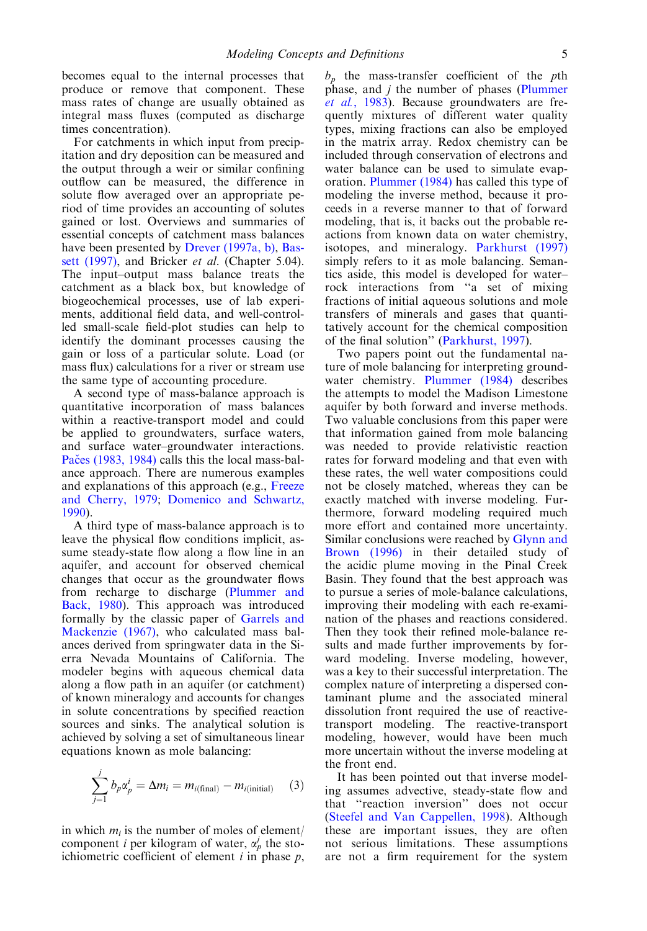becomes equal to the internal processes that produce or remove that component. These mass rates of change are usually obtained as integral mass fluxes (computed as discharge times concentration).

For catchments in which input from precipitation and dry deposition can be measured and the output through a weir or similar confining outflow can be measured, the difference in solute flow averaged over an appropriate period of time provides an accounting of solutes gained or lost. Overviews and summaries of essential concepts of catchment mass balances have been presented by [Drever \(1997a, b\),](#page-31-0) [Bas](#page-30-0)[sett \(1997\),](#page-30-0) and Bricker *et al.* (Chapter 5.04). The input–output mass balance treats the catchment as a black box, but knowledge of biogeochemical processes, use of lab experiments, additional field data, and well-controlled small-scale field-plot studies can help to identify the dominant processes causing the gain or loss of a particular solute. Load (or mass flux) calculations for a river or stream use the same type of accounting procedure.

A second type of mass-balance approach is quantitative incorporation of mass balances within a reactive-transport model and could be applied to groundwaters, surface waters, and surface water–groundwater interactions. Pačes (1983, 1984) calls this the local mass-balance approach. There are numerous examples and explanations of this approach (e.g., [Freeze](#page-31-0) [and Cherry, 1979;](#page-31-0) [Domenico and Schwartz,](#page-31-0) [1990\)](#page-31-0).

A third type of mass-balance approach is to leave the physical flow conditions implicit, assume steady-state flow along a flow line in an aquifer, and account for observed chemical changes that occur as the groundwater flows from recharge to discharge [\(Plummer and](#page-35-0) [Back, 1980](#page-35-0)). This approach was introduced formally by the classic paper of [Garrels and](#page-31-0) [Mackenzie \(1967\)](#page-31-0), who calculated mass balances derived from springwater data in the Sierra Nevada Mountains of California. The modeler begins with aqueous chemical data along a flow path in an aquifer (or catchment) of known mineralogy and accounts for changes in solute concentrations by specified reaction sources and sinks. The analytical solution is achieved by solving a set of simultaneous linear equations known as mole balancing:

$$
\sum_{j=1}^{j} b_p \alpha_p^i = \Delta m_i = m_{i \text{(final)}} - m_{i \text{(initial)}} \quad (3)
$$

in which  $m_i$  is the number of moles of element/ component *i* per kilogram of water,  $\alpha_p^j$  the stoichiometric coefficient of element  $i$  in phase  $p$ ,

 $b_n$  the mass-transfer coefficient of the pth phase, and j the number of phases ([Plummer](#page-35-0) et al.[, 1983](#page-35-0)). Because groundwaters are frequently mixtures of different water quality types, mixing fractions can also be employed in the matrix array. Redox chemistry can be included through conservation of electrons and water balance can be used to simulate evaporation. [Plummer \(1984\)](#page-35-0) has called this type of modeling the inverse method, because it proceeds in a reverse manner to that of forward modeling, that is, it backs out the probable reactions from known data on water chemistry, isotopes, and mineralogy. [Parkhurst \(1997\)](#page-34-0) simply refers to it as mole balancing. Semantics aside, this model is developed for water– rock interactions from ''a set of mixing fractions of initial aqueous solutions and mole transfers of minerals and gases that quantitatively account for the chemical composition of the final solution'' ([Parkhurst, 1997](#page-34-0)).

Two papers point out the fundamental nature of mole balancing for interpreting groundwater chemistry. [Plummer \(1984\)](#page-35-0) describes the attempts to model the Madison Limestone aquifer by both forward and inverse methods. Two valuable conclusions from this paper were that information gained from mole balancing was needed to provide relativistic reaction rates for forward modeling and that even with these rates, the well water compositions could not be closely matched, whereas they can be exactly matched with inverse modeling. Furthermore, forward modeling required much more effort and contained more uncertainty. Similar conclusions were reached by [Glynn and](#page-31-0) [Brown \(1996\)](#page-31-0) in their detailed study of the acidic plume moving in the Pinal Creek Basin. They found that the best approach was to pursue a series of mole-balance calculations, improving their modeling with each re-examination of the phases and reactions considered. Then they took their refined mole-balance results and made further improvements by forward modeling. Inverse modeling, however, was a key to their successful interpretation. The complex nature of interpreting a dispersed contaminant plume and the associated mineral dissolution front required the use of reactivetransport modeling. The reactive-transport modeling, however, would have been much more uncertain without the inverse modeling at the front end.

It has been pointed out that inverse modeling assumes advective, steady-state flow and that ''reaction inversion'' does not occur ([Steefel and Van Cappellen, 1998\)](#page-36-0). Although these are important issues, they are often not serious limitations. These assumptions are not a firm requirement for the system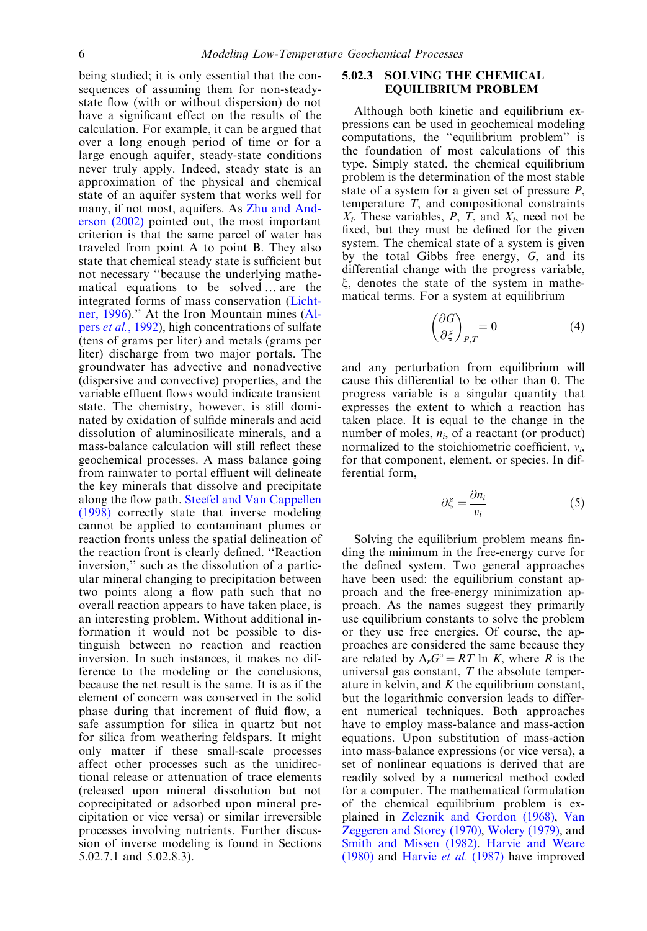being studied; it is only essential that the consequences of assuming them for non-steadystate flow (with or without dispersion) do not have a significant effect on the results of the calculation. For example, it can be argued that over a long enough period of time or for a large enough aquifer, steady-state conditions never truly apply. Indeed, steady state is an approximation of the physical and chemical state of an aquifer system that works well for many, if not most, aquifers. As [Zhu and And](#page-37-0)[erson \(2002\)](#page-37-0) pointed out, the most important criterion is that the same parcel of water has traveled from point A to point B. They also state that chemical steady state is sufficient but not necessary ''because the underlying mathematical equations to be solved ... are the integrated forms of mass conservation [\(Licht](#page-33-0)[ner, 1996](#page-33-0)).'' At the Iron Mountain mines ([Al](#page-30-0)pers et al.[, 1992](#page-30-0)), high concentrations of sulfate (tens of grams per liter) and metals (grams per liter) discharge from two major portals. The groundwater has advective and nonadvective (dispersive and convective) properties, and the variable effluent flows would indicate transient state. The chemistry, however, is still dominated by oxidation of sulfide minerals and acid dissolution of aluminosilicate minerals, and a mass-balance calculation will still reflect these geochemical processes. A mass balance going from rainwater to portal effluent will delineate the key minerals that dissolve and precipitate along the flow path. [Steefel and Van Cappellen](#page-36-0) [\(1998\)](#page-36-0) correctly state that inverse modeling cannot be applied to contaminant plumes or reaction fronts unless the spatial delineation of the reaction front is clearly defined. ''Reaction inversion,'' such as the dissolution of a particular mineral changing to precipitation between two points along a flow path such that no overall reaction appears to have taken place, is an interesting problem. Without additional information it would not be possible to distinguish between no reaction and reaction inversion. In such instances, it makes no difference to the modeling or the conclusions, because the net result is the same. It is as if the element of concern was conserved in the solid phase during that increment of fluid flow, a safe assumption for silica in quartz but not for silica from weathering feldspars. It might only matter if these small-scale processes affect other processes such as the unidirectional release or attenuation of trace elements (released upon mineral dissolution but not coprecipitated or adsorbed upon mineral precipitation or vice versa) or similar irreversible processes involving nutrients. Further discussion of inverse modeling is found in Sections 5.02.7.1 and 5.02.8.3).

# 5.02.3 SOLVING THE CHEMICAL EQUILIBRIUM PROBLEM

Although both kinetic and equilibrium expressions can be used in geochemical modeling computations, the ''equilibrium problem'' is the foundation of most calculations of this type. Simply stated, the chemical equilibrium problem is the determination of the most stable state of a system for a given set of pressure  $P$ , temperature  $T$ , and compositional constraints  $X_i$ . These variables, P, T, and  $X_i$ , need not be fixed, but they must be defined for the given system. The chemical state of a system is given by the total Gibbs free energy, G, and its differential change with the progress variable,  $\xi$ , denotes the state of the system in mathematical terms. For a system at equilibrium

$$
\left(\frac{\partial G}{\partial \xi}\right)_{P,T} = 0\tag{4}
$$

and any perturbation from equilibrium will cause this differential to be other than 0. The progress variable is a singular quantity that expresses the extent to which a reaction has taken place. It is equal to the change in the number of moles,  $n_i$ , of a reactant (or product) normalized to the stoichiometric coefficient,  $v_i$ , for that component, element, or species. In differential form,

$$
\partial \xi = \frac{\partial n_i}{v_i} \tag{5}
$$

Solving the equilibrium problem means finding the minimum in the free-energy curve for the defined system. Two general approaches have been used: the equilibrium constant approach and the free-energy minimization approach. As the names suggest they primarily use equilibrium constants to solve the problem or they use free energies. Of course, the approaches are considered the same because they are related by  $\Delta_r G^\circ = RT \ln K$ , where R is the universal gas constant,  $T$  the absolute temperature in kelvin, and  $K$  the equilibrium constant, but the logarithmic conversion leads to different numerical techniques. Both approaches have to employ mass-balance and mass-action equations. Upon substitution of mass-action into mass-balance expressions (or vice versa), a set of nonlinear equations is derived that are readily solved by a numerical method coded for a computer. The mathematical formulation of the chemical equilibrium problem is explained in [Zeleznik and Gordon \(1968\)](#page-37-0), [Van](#page-37-0) [Zeggeren and Storey \(1970\),](#page-37-0) [Wolery \(1979\),](#page-37-0) and [Smith and Missen \(1982\)](#page-36-0). [Harvie and Weare](#page-32-0) [\(1980\)](#page-32-0) and [Harvie](#page-32-0) et al. (1987) have improved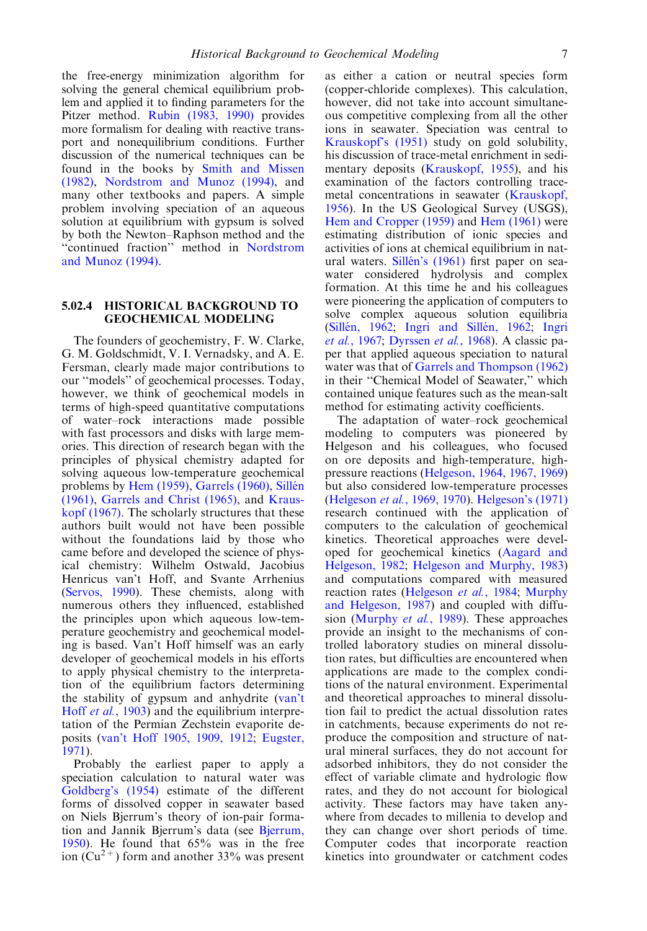the free-energy minimization algorithm for solving the general chemical equilibrium problem and applied it to finding parameters for the Pitzer method. [Rubin \(1983, 1990\)](#page-35-0) provides more formalism for dealing with reactive transport and nonequilibrium conditions. Further discussion of the numerical techniques can be found in the books by [Smith and Missen](#page-36-0) [\(1982\),](#page-36-0) [Nordstrom and Munoz \(1994\)](#page-34-0), and many other textbooks and papers. A simple problem involving speciation of an aqueous solution at equilibrium with gypsum is solved by both the Newton–Raphson method and the ''continued fraction'' method in [Nordstrom](#page-34-0) [and Munoz \(1994\)](#page-34-0).

# 5.02.4 HISTORICAL BACKGROUND TO GEOCHEMICAL MODELING

The founders of geochemistry, F. W. Clarke, G. M. Goldschmidt, V. I. Vernadsky, and A. E. Fersman, clearly made major contributions to our ''models'' of geochemical processes. Today, however, we think of geochemical models in terms of high-speed quantitative computations of water–rock interactions made possible with fast processors and disks with large memories. This direction of research began with the principles of physical chemistry adapted for solving aqueous low-temperature geochemical problems by [Hem \(1959\),](#page-32-0) [Garrels \(1960\)](#page-31-0), Sillén [\(1961\),](#page-36-0) [Garrels and Christ \(1965\)](#page-31-0), and [Kraus](#page-33-0)[kopf \(1967\)](#page-33-0). The scholarly structures that these authors built would not have been possible without the foundations laid by those who came before and developed the science of physical chemistry: Wilhelm Ostwald, Jacobius Henricus van't Hoff, and Svante Arrhenius [\(Servos, 1990](#page-36-0)). These chemists, along with numerous others they influenced, established the principles upon which aqueous low-temperature geochemistry and geochemical modeling is based. Van't Hoff himself was an early developer of geochemical models in his efforts to apply physical chemistry to the interpretation of the equilibrium factors determining the stability of gypsum and anhydrite ([van't](#page-37-0) Hoff et al.[, 1903](#page-37-0)) and the equilibrium interpretation of the Permian Zechstein evaporite deposits ([van't Hoff 1905, 1909, 1912;](#page-37-0) [Eugster,](#page-31-0) [1971\)](#page-31-0).

Probably the earliest paper to apply a speciation calculation to natural water was [Goldberg's \(1954\)](#page-31-0) estimate of the different forms of dissolved copper in seawater based on Niels Bjerrum's theory of ion-pair formation and Jannik Bjerrum's data (see [Bjerrum,](#page-30-0) [1950\)](#page-30-0). He found that 65% was in the free ion  $(Cu^{2+})$  form and another 33% was present as either a cation or neutral species form (copper-chloride complexes). This calculation, however, did not take into account simultaneous competitive complexing from all the other ions in seawater. Speciation was central to [Krauskopf's \(1951\)](#page-33-0) study on gold solubility, his discussion of trace-metal enrichment in sedimentary deposits [\(Krauskopf, 1955](#page-33-0)), and his examination of the factors controlling tracemetal concentrations in seawater [\(Krauskopf,](#page-33-0) [1956](#page-33-0)). In the US Geological Survey (USGS), [Hem and Cropper \(1959\)](#page-32-0) and [Hem \(1961\)](#page-32-0) were estimating distribution of ionic species and activities of ions at chemical equilibrium in natural waters. Sillén's (1961) first paper on seawater considered hydrolysis and complex formation. At this time he and his colleagues were pioneering the application of computers to solve complex aqueous solution equilibria (Sillén, 1962; [Ingri](#page-32-0) and Sillén, 1962; Ingri et al.[, 1967](#page-32-0); [Dyrssen](#page-31-0) et al., 1968). A classic paper that applied aqueous speciation to natural water was that of [Garrels and Thompson \(1962\)](#page-31-0) in their ''Chemical Model of Seawater,'' which contained unique features such as the mean-salt method for estimating activity coefficients.

The adaptation of water–rock geochemical modeling to computers was pioneered by Helgeson and his colleagues, who focused on ore deposits and high-temperature, highpressure reactions ([Helgeson, 1964, 1967, 1969](#page-32-0)) but also considered low-temperature processes (Helgeson et al.[, 1969, 1970](#page-32-0)). [Helgeson's \(1971\)](#page-32-0) research continued with the application of computers to the calculation of geochemical kinetics. Theoretical approaches were developed for geochemical kinetics [\(Aagard and](#page-30-0) [Helgeson, 1982](#page-30-0); [Helgeson and Murphy, 1983](#page-32-0)) and computations compared with measured reaction rates ([Helgeson](#page-32-0) et al., 1984; [Murphy](#page-34-0) [and Helgeson, 1987\)](#page-34-0) and coupled with diffusion [\(Murphy](#page-34-0) et al., 1989). These approaches provide an insight to the mechanisms of controlled laboratory studies on mineral dissolution rates, but difficulties are encountered when applications are made to the complex conditions of the natural environment. Experimental and theoretical approaches to mineral dissolution fail to predict the actual dissolution rates in catchments, because experiments do not reproduce the composition and structure of natural mineral surfaces, they do not account for adsorbed inhibitors, they do not consider the effect of variable climate and hydrologic flow rates, and they do not account for biological activity. These factors may have taken anywhere from decades to millenia to develop and they can change over short periods of time. Computer codes that incorporate reaction kinetics into groundwater or catchment codes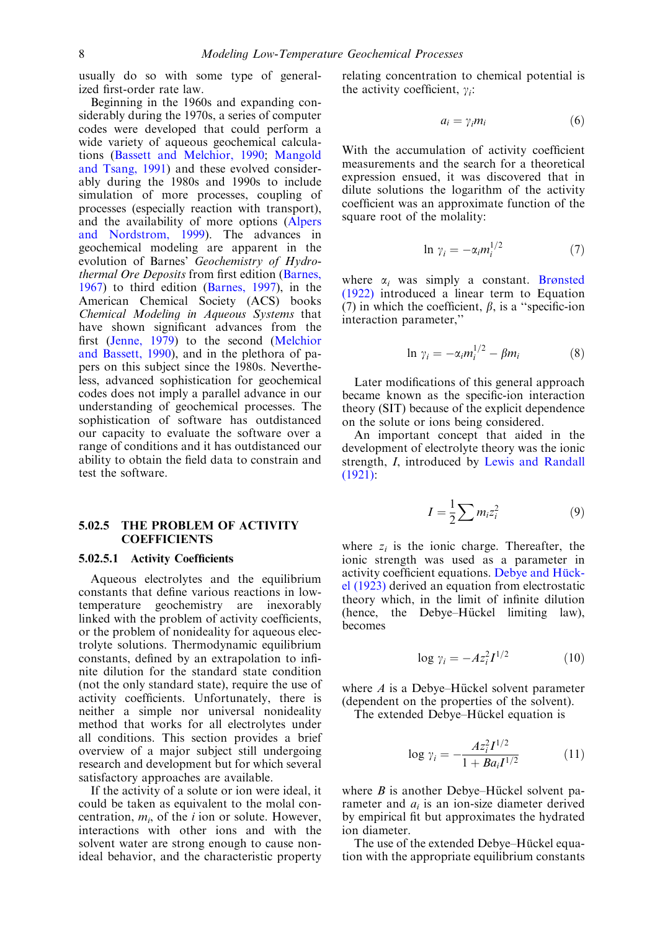usually do so with some type of generalized first-order rate law.

Beginning in the 1960s and expanding considerably during the 1970s, a series of computer codes were developed that could perform a wide variety of aqueous geochemical calculations ([Bassett and Melchior, 1990](#page-30-0); [Mangold](#page-33-0) [and Tsang, 1991\)](#page-33-0) and these evolved considerably during the 1980s and 1990s to include simulation of more processes, coupling of processes (especially reaction with transport), and the availability of more options ([Alpers](#page-30-0) [and Nordstrom, 1999\)](#page-30-0). The advances in geochemical modeling are apparent in the evolution of Barnes' Geochemistry of Hydrothermal Ore Deposits from first edition ([Barnes,](#page-30-0) [1967](#page-30-0)) to third edition ([Barnes, 1997\)](#page-30-0), in the American Chemical Society (ACS) books Chemical Modeling in Aqueous Systems that have shown significant advances from the first [\(Jenne, 1979\)](#page-33-0) to the second ([Melchior](#page-34-0) [and Bassett, 1990\)](#page-34-0), and in the plethora of papers on this subject since the 1980s. Nevertheless, advanced sophistication for geochemical codes does not imply a parallel advance in our understanding of geochemical processes. The sophistication of software has outdistanced our capacity to evaluate the software over a range of conditions and it has outdistanced our ability to obtain the field data to constrain and test the software.

# 5.02.5 THE PROBLEM OF ACTIVITY **COEFFICIENTS**

#### 5.02.5.1 Activity Coefficients

Aqueous electrolytes and the equilibrium constants that define various reactions in lowtemperature geochemistry are inexorably linked with the problem of activity coefficients, or the problem of nonideality for aqueous electrolyte solutions. Thermodynamic equilibrium constants, defined by an extrapolation to infinite dilution for the standard state condition (not the only standard state), require the use of activity coefficients. Unfortunately, there is neither a simple nor universal nonideality method that works for all electrolytes under all conditions. This section provides a brief overview of a major subject still undergoing research and development but for which several satisfactory approaches are available.

If the activity of a solute or ion were ideal, it could be taken as equivalent to the molal concentration,  $m_i$ , of the *i* ion or solute. However, interactions with other ions and with the solvent water are strong enough to cause nonideal behavior, and the characteristic property

relating concentration to chemical potential is the activity coefficient,  $\gamma_i$ :

$$
a_i = \gamma_i m_i \tag{6}
$$

With the accumulation of activity coefficient measurements and the search for a theoretical expression ensued, it was discovered that in dilute solutions the logarithm of the activity coefficient was an approximate function of the square root of the molality:

$$
\ln \gamma_i = -\alpha_i m_i^{1/2} \tag{7}
$$

where  $\alpha_i$  was simply a constant. [Brønsted](#page-30-0) [\(1922\)](#page-30-0) introduced a linear term to Equation (7) in which the coefficient,  $\beta$ , is a "specific-ion interaction parameter,''

$$
\ln \gamma_i = -\alpha_i m_i^{1/2} - \beta m_i \tag{8}
$$

Later modifications of this general approach became known as the specific-ion interaction theory (SIT) because of the explicit dependence on the solute or ions being considered.

An important concept that aided in the development of electrolyte theory was the ionic strength, I, introduced by [Lewis and Randall](#page-33-0) [\(1921\)](#page-33-0):

$$
I = \frac{1}{2} \sum m_i z_i^2 \tag{9}
$$

where  $z_i$  is the ionic charge. Thereafter, the ionic strength was used as a parameter in activity coefficient equations. Debye and Hück[el \(1923\)](#page-31-0) derived an equation from electrostatic theory which, in the limit of infinite dilution (hence, the Debye–Hückel limiting law), becomes

$$
\log \gamma_i = -A z_i^2 I^{1/2} \tag{10}
$$

where  $\vec{A}$  is a Debye–Hückel solvent parameter (dependent on the properties of the solvent).

The extended Debye–Hückel equation is

$$
\log \gamma_i = -\frac{Az_i^2 I^{1/2}}{1 + Ba_i I^{1/2}} \tag{11}
$$

where  $B$  is another Debye–Hückel solvent parameter and  $a_i$  is an ion-size diameter derived by empirical fit but approximates the hydrated ion diameter.

The use of the extended Debye–Hückel equation with the appropriate equilibrium constants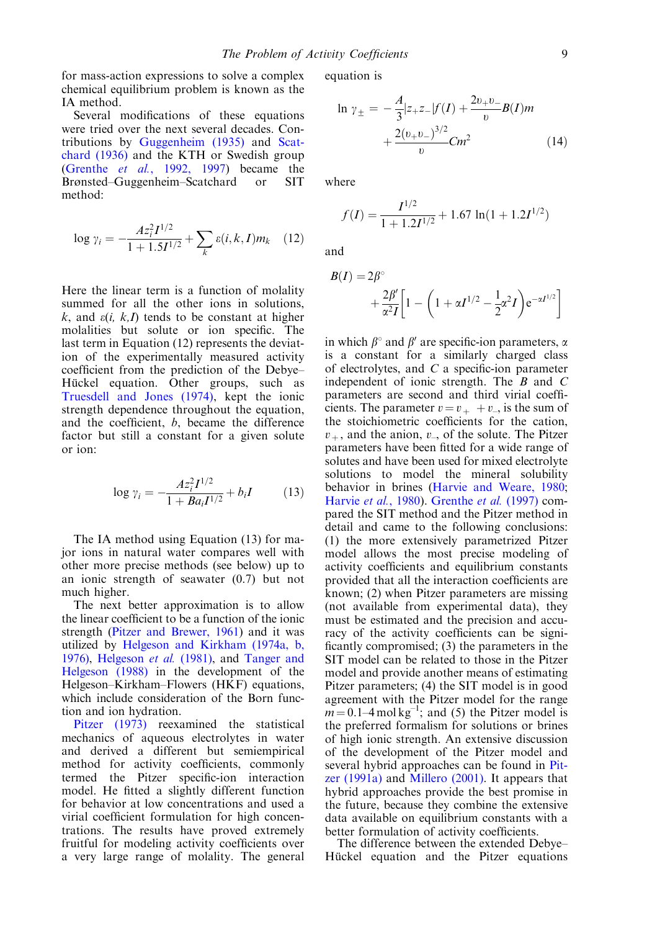for mass-action expressions to solve a complex chemical equilibrium problem is known as the IA method.

Several modifications of these equations were tried over the next several decades. Contributions by [Guggenheim \(1935\)](#page-31-0) and [Scat](#page-36-0)[chard \(1936\)](#page-36-0) and the KTH or Swedish group (Grenthe *et al.*[, 1992, 1997\)](#page-31-0) became the Brønsted–Guggenheim–Scatchard or SIT Brønsted–Guggenheim–Scatchard or SIT method:

$$
\log \gamma_i = -\frac{Az_i^2 I^{1/2}}{1 + 1.5I^{1/2}} + \sum_k \varepsilon(i, k, I) m_k \quad (12)
$$

Here the linear term is a function of molality summed for all the other ions in solutions, k, and  $\varepsilon(i, k, I)$  tends to be constant at higher molalities but solute or ion specific. The last term in Equation (12) represents the deviation of the experimentally measured activity coefficient from the prediction of the Debye– Hückel equation. Other groups, such as [Truesdell and Jones \(1974\),](#page-36-0) kept the ionic strength dependence throughout the equation, and the coefficient, b, became the difference factor but still a constant for a given solute or ion:

$$
\log \gamma_i = -\frac{Az_i^2 I^{1/2}}{1 + Ba_i I^{1/2}} + b_i I \tag{13}
$$

The IA method using Equation (13) for major ions in natural water compares well with other more precise methods (see below) up to an ionic strength of seawater (0.7) but not much higher.

The next better approximation is to allow the linear coefficient to be a function of the ionic strength ([Pitzer and Brewer, 1961](#page-35-0)) and it was utilized by [Helgeson and Kirkham \(1974a, b,](#page-32-0) [1976\),](#page-32-0) [Helgeson](#page-32-0) et al. (1981), and [Tanger and](#page-36-0) [Helgeson \(1988\)](#page-36-0) in the development of the Helgeson–Kirkham–Flowers (HKF) equations, which include consideration of the Born function and ion hydration.

[Pitzer \(1973\)](#page-35-0) reexamined the statistical mechanics of aqueous electrolytes in water and derived a different but semiempirical method for activity coefficients, commonly termed the Pitzer specific-ion interaction model. He fitted a slightly different function for behavior at low concentrations and used a virial coefficient formulation for high concentrations. The results have proved extremely fruitful for modeling activity coefficients over a very large range of molality. The general equation is

$$
\ln \gamma_{\pm} = -\frac{A}{3} |z_{+}z_{-}| f(I) + \frac{2v_{+}v_{-}}{v} B(I)m + \frac{2(v_{+}v_{-})^{3/2}}{v} Cm^{2}
$$
 (14)

where

$$
f(I) = \frac{I^{1/2}}{1 + 1.2I^{1/2}} + 1.67 \ln(1 + 1.2I^{1/2})
$$

and

$$
B(I) = 2\beta^{\circ}
$$
  
 
$$
+ \frac{2\beta'}{\alpha^2 I} \left[ 1 - \left( 1 + \alpha I^{1/2} - \frac{1}{2} \alpha^2 I \right) e^{-\alpha I^{1/2}} \right]
$$

in which  $\beta^{\circ}$  and  $\beta^{\prime}$  are specific-ion parameters,  $\alpha$ is a constant for a similarly charged class of electrolytes, and  $C$  a specific-ion parameter independent of ionic strength. The  $B$  and  $C$ parameters are second and third virial coefficients. The parameter  $v = v_{+} + v_{-}$ , is the sum of the stoichiometric coefficients for the cation,  $v_{+}$ , and the anion,  $v_{-}$ , of the solute. The Pitzer parameters have been fitted for a wide range of solutes and have been used for mixed electrolyte solutions to model the mineral solubility behavior in brines [\(Harvie and Weare, 1980;](#page-32-0) [Harvie](#page-32-0) et al., 1980). [Grenthe](#page-31-0) et al. (1997) compared the SIT method and the Pitzer method in detail and came to the following conclusions: (1) the more extensively parametrized Pitzer model allows the most precise modeling of activity coefficients and equilibrium constants provided that all the interaction coefficients are known; (2) when Pitzer parameters are missing (not available from experimental data), they must be estimated and the precision and accuracy of the activity coefficients can be significantly compromised; (3) the parameters in the SIT model can be related to those in the Pitzer model and provide another means of estimating Pitzer parameters; (4) the SIT model is in good agreement with the Pitzer model for the range  $m = 0.1$ –4 mol kg<sup>-1</sup>; and (5) the Pitzer model is the preferred formalism for solutions or brines of high ionic strength. An extensive discussion of the development of the Pitzer model and several hybrid approaches can be found in [Pit](#page-35-0)[zer \(1991a\)](#page-35-0) and [Millero \(2001\).](#page-34-0) It appears that hybrid approaches provide the best promise in the future, because they combine the extensive data available on equilibrium constants with a better formulation of activity coefficients.

The difference between the extended Debye– Hückel equation and the Pitzer equations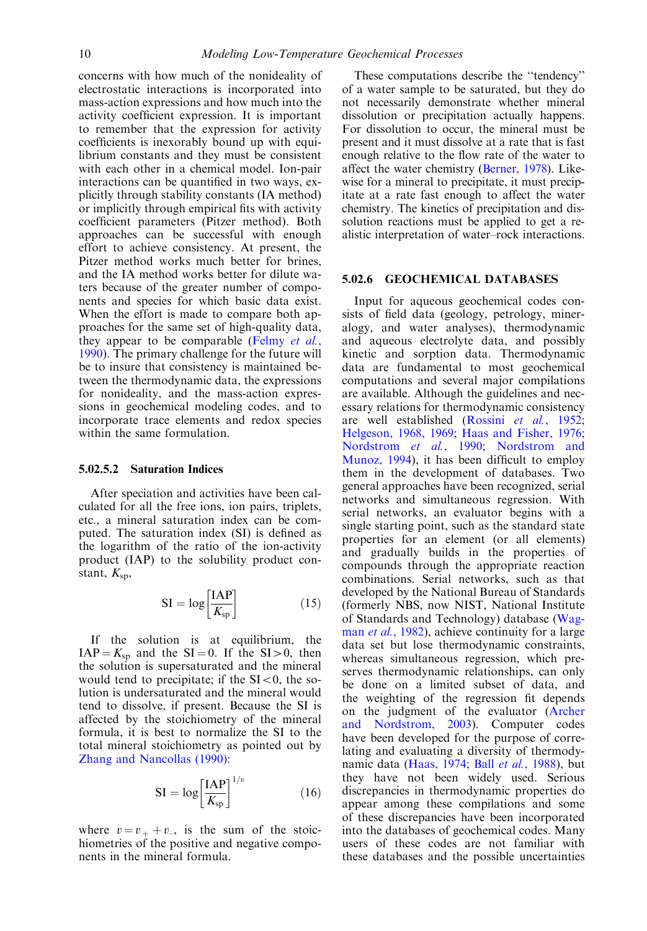concerns with how much of the nonideality of electrostatic interactions is incorporated into mass-action expressions and how much into the activity coefficient expression. It is important to remember that the expression for activity coefficients is inexorably bound up with equilibrium constants and they must be consistent with each other in a chemical model. Ion-pair interactions can be quantified in two ways, explicitly through stability constants (IA method) or implicitly through empirical fits with activity coefficient parameters (Pitzer method). Both approaches can be successful with enough effort to achieve consistency. At present, the Pitzer method works much better for brines, and the IA method works better for dilute waters because of the greater number of components and species for which basic data exist. When the effort is made to compare both approaches for the same set of high-quality data, they appear to be comparable ([Felmy](#page-31-0) *et al.*, [1990](#page-31-0)). The primary challenge for the future will be to insure that consistency is maintained between the thermodynamic data, the expressions for nonideality, and the mass-action expressions in geochemical modeling codes, and to incorporate trace elements and redox species within the same formulation.

# 5.02.5.2 Saturation Indices

After speciation and activities have been calculated for all the free ions, ion pairs, triplets, etc., a mineral saturation index can be computed. The saturation index (SI) is defined as the logarithm of the ratio of the ion-activity product (IAP) to the solubility product constant,  $K_{\rm SD}$ ,

$$
SI = \log \left[\frac{IAP}{K_{sp}}\right]
$$
 (15)

If the solution is at equilibrium, the  $IAP = K<sub>sn</sub>$  and the SI = 0. If the SI > 0, then the solution is supersaturated and the mineral would tend to precipitate; if the  $SI < 0$ , the solution is undersaturated and the mineral would tend to dissolve, if present. Because the SI is affected by the stoichiometry of the mineral formula, it is best to normalize the SI to the total mineral stoichiometry as pointed out by [Zhang and Nancollas \(1990\)](#page-37-0):

$$
SI = \log \left[\frac{IAP}{K_{sp}}\right]^{1/v} \tag{16}
$$

where  $v = v_{+} + v_{-}$ , is the sum of the stoichiometries of the positive and negative components in the mineral formula.

These computations describe the ''tendency'' of a water sample to be saturated, but they do not necessarily demonstrate whether mineral dissolution or precipitation actually happens. For dissolution to occur, the mineral must be present and it must dissolve at a rate that is fast enough relative to the flow rate of the water to affect the water chemistry ([Berner, 1978](#page-30-0)). Likewise for a mineral to precipitate, it must precipitate at a rate fast enough to affect the water chemistry. The kinetics of precipitation and dissolution reactions must be applied to get a realistic interpretation of water–rock interactions.

#### 5.02.6 GEOCHEMICAL DATABASES

Input for aqueous geochemical codes consists of field data (geology, petrology, mineralogy, and water analyses), thermodynamic and aqueous electrolyte data, and possibly kinetic and sorption data. Thermodynamic data are fundamental to most geochemical computations and several major compilations are available. Although the guidelines and necessary relations for thermodynamic consistency are well established ([Rossini](#page-35-0) et al., 1952; [Helgeson, 1968, 1969](#page-32-0); [Haas and Fisher, 1976](#page-32-0); [Nordstrom](#page-34-0) et al., 1990; [Nordstrom and](#page-34-0) [Munoz, 1994](#page-34-0)), it has been difficult to employ them in the development of databases. Two general approaches have been recognized, serial networks and simultaneous regression. With serial networks, an evaluator begins with a single starting point, such as the standard state properties for an element (or all elements) and gradually builds in the properties of compounds through the appropriate reaction combinations. Serial networks, such as that developed by the National Bureau of Standards (formerly NBS, now NIST, National Institute of Standards and Technology) database ([Wag](#page-37-0)man *et al.*[, 1982](#page-37-0)), achieve continuity for a large data set but lose thermodynamic constraints, whereas simultaneous regression, which preserves thermodynamic relationships, can only be done on a limited subset of data, and the weighting of the regression fit depends on the judgment of the evaluator [\(Archer](#page-30-0) [and Nordstrom, 2003\)](#page-30-0). Computer codes have been developed for the purpose of correlating and evaluating a diversity of thermody-namic data [\(Haas, 1974;](#page-32-0) Ball et al.[, 1988\)](#page-30-0), but they have not been widely used. Serious discrepancies in thermodynamic properties do appear among these compilations and some of these discrepancies have been incorporated into the databases of geochemical codes. Many users of these codes are not familiar with these databases and the possible uncertainties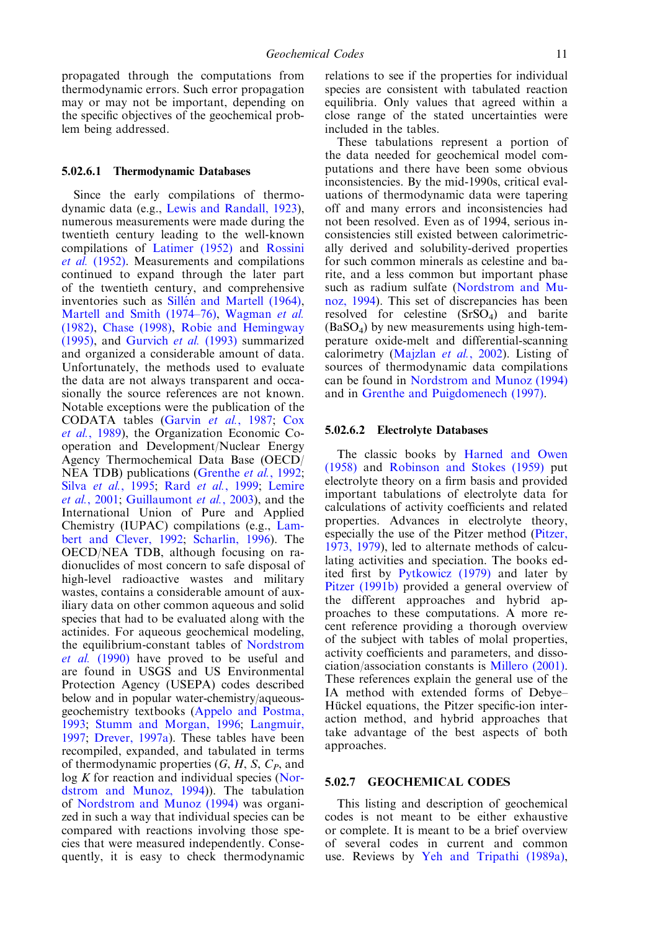propagated through the computations from thermodynamic errors. Such error propagation may or may not be important, depending on the specific objectives of the geochemical problem being addressed.

#### 5.02.6.1 Thermodynamic Databases

Since the early compilations of thermodynamic data (e.g., [Lewis and Randall, 1923](#page-33-0)), numerous measurements were made during the twentieth century leading to the well-known compilations of [Latimer \(1952\)](#page-33-0) and [Rossini](#page-35-0) et al. [\(1952\)](#page-35-0). Measurements and compilations continued to expand through the later part of the twentieth century, and comprehensive inventories such as Sillén and Martell (1964), [Martell and Smith \(1974–76\)](#page-33-0), [Wagman](#page-37-0) et al. [\(1982\),](#page-37-0) [Chase \(1998\)](#page-31-0), [Robie and Hemingway](#page-35-0) [\(1995\),](#page-35-0) and [Gurvich](#page-32-0) et al. (1993) summarized and organized a considerable amount of data. Unfortunately, the methods used to evaluate the data are not always transparent and occasionally the source references are not known. Notable exceptions were the publication of the CODATA tables [\(Garvin](#page-31-0) et al., 1987; [Cox](#page-31-0) et al.[, 1989\)](#page-31-0), the Organization Economic Cooperation and Development/Nuclear Energy Agency Thermochemical Data Base (OECD/ NEA TDB) publications ([Grenthe](#page-31-0) *et al.*, 1992; Silva et al.[, 1995](#page-36-0); Rard et al.[, 1999](#page-35-0); [Lemire](#page-33-0) et al.[, 2001;](#page-33-0) [Guillaumont](#page-31-0) et al., 2003), and the International Union of Pure and Applied Chemistry (IUPAC) compilations (e.g., [Lam](#page-33-0)[bert and Clever, 1992;](#page-33-0) [Scharlin, 1996\)](#page-36-0). The OECD/NEA TDB, although focusing on radionuclides of most concern to safe disposal of high-level radioactive wastes and military wastes, contains a considerable amount of auxiliary data on other common aqueous and solid species that had to be evaluated along with the actinides. For aqueous geochemical modeling, the equilibrium-constant tables of [Nordstrom](#page-34-0) et al. [\(1990\)](#page-34-0) have proved to be useful and are found in USGS and US Environmental Protection Agency (USEPA) codes described below and in popular water-chemistry/aqueousgeochemistry textbooks [\(Appelo and Postma,](#page-30-0) [1993;](#page-30-0) [Stumm and Morgan, 1996](#page-36-0); [Langmuir,](#page-33-0) [1997;](#page-33-0) [Drever, 1997a\)](#page-31-0). These tables have been recompiled, expanded, and tabulated in terms of thermodynamic properties  $(G, H, S, C_P,$  and  $log K$  for reaction and individual species [\(Nor](#page-34-0)[dstrom and Munoz, 1994\)](#page-34-0)). The tabulation of [Nordstrom and Munoz \(1994\)](#page-34-0) was organized in such a way that individual species can be compared with reactions involving those species that were measured independently. Consequently, it is easy to check thermodynamic

relations to see if the properties for individual species are consistent with tabulated reaction equilibria. Only values that agreed within a close range of the stated uncertainties were included in the tables.

These tabulations represent a portion of the data needed for geochemical model computations and there have been some obvious inconsistencies. By the mid-1990s, critical evaluations of thermodynamic data were tapering off and many errors and inconsistencies had not been resolved. Even as of 1994, serious inconsistencies still existed between calorimetrically derived and solubility-derived properties for such common minerals as celestine and barite, and a less common but important phase such as radium sulfate [\(Nordstrom and Mu](#page-34-0)[noz, 1994](#page-34-0)). This set of discrepancies has been resolved for celestine (SrSO4) and barite  $(BaSO<sub>4</sub>)$  by new measurements using high-temperature oxide-melt and differential-scanning calorimetry [\(Majzlan](#page-33-0) et al., 2002). Listing of sources of thermodynamic data compilations can be found in [Nordstrom and Munoz \(1994\)](#page-34-0) and in [Grenthe and Puigdomenech \(1997\)](#page-31-0).

#### 5.02.6.2 Electrolyte Databases

The classic books by [Harned and Owen](#page-32-0) [\(1958\)](#page-32-0) and [Robinson and Stokes \(1959\)](#page-35-0) put electrolyte theory on a firm basis and provided important tabulations of electrolyte data for calculations of activity coefficients and related properties. Advances in electrolyte theory, especially the use of the Pitzer method [\(Pitzer,](#page-35-0) [1973, 1979](#page-35-0)), led to alternate methods of calculating activities and speciation. The books edited first by [Pytkowicz \(1979\)](#page-35-0) and later by [Pitzer \(1991b\)](#page-35-0) provided a general overview of the different approaches and hybrid approaches to these computations. A more recent reference providing a thorough overview of the subject with tables of molal properties, activity coefficients and parameters, and dissociation/association constants is [Millero \(2001\).](#page-34-0) These references explain the general use of the IA method with extended forms of Debye– Hückel equations, the Pitzer specific-ion interaction method, and hybrid approaches that take advantage of the best aspects of both approaches.

#### 5.02.7 GEOCHEMICAL CODES

This listing and description of geochemical codes is not meant to be either exhaustive or complete. It is meant to be a brief overview of several codes in current and common use. Reviews by [Yeh and Tripathi \(1989a\),](#page-37-0)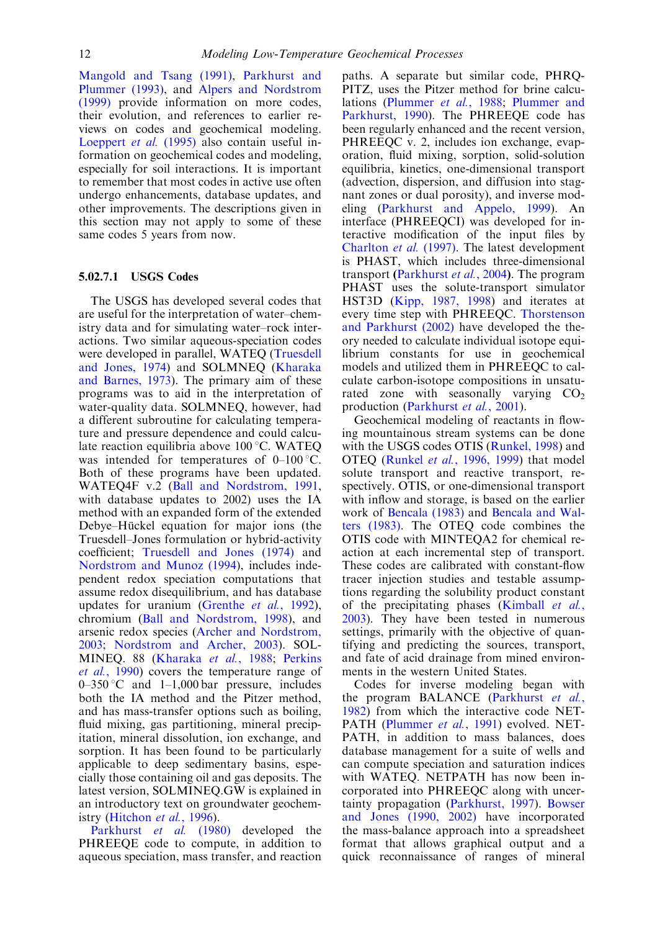[Mangold and Tsang \(1991\)](#page-33-0), [Parkhurst and](#page-35-0) [Plummer \(1993\),](#page-35-0) and [Alpers and Nordstrom](#page-30-0) [\(1999\)](#page-30-0) provide information on more codes, their evolution, and references to earlier reviews on codes and geochemical modeling. [Loeppert](#page-33-0) *et al.* (1995) also contain useful information on geochemical codes and modeling, especially for soil interactions. It is important to remember that most codes in active use often undergo enhancements, database updates, and other improvements. The descriptions given in this section may not apply to some of these same codes 5 years from now.

# 5.02.7.1 USGS Codes

The USGS has developed several codes that are useful for the interpretation of water–chemistry data and for simulating water–rock interactions. Two similar aqueous-speciation codes were developed in parallel, WATEQ ([Truesdell](#page-36-0) [and Jones, 1974\)](#page-36-0) and SOLMNEQ [\(Kharaka](#page-33-0) [and Barnes, 1973\)](#page-33-0). The primary aim of these programs was to aid in the interpretation of water-quality data. SOLMNEQ, however, had a different subroutine for calculating temperature and pressure dependence and could calculate reaction equilibria above  $100^{\circ}$ C. WATEQ was intended for temperatures of  $0-100$  °C. Both of these programs have been updated. WATEQ4F v.2 ([Ball and Nordstrom, 1991,](#page-30-0) with database updates to 2002) uses the IA method with an expanded form of the extended Debye–Hückel equation for major ions (the Truesdell–Jones formulation or hybrid-activity coefficient; [Truesdell and Jones \(1974\)](#page-36-0) and [Nordstrom and Munoz \(1994\)](#page-34-0), includes independent redox speciation computations that assume redox disequilibrium, and has database updates for uranium ([Grenthe](#page-31-0) et al., 1992), chromium [\(Ball and Nordstrom, 1998\)](#page-30-0), and arsenic redox species ([Archer and Nordstrom,](#page-30-0) [2003](#page-30-0); [Nordstrom and Archer, 2003\)](#page-34-0). SOL-MINEQ. 88 [\(Kharaka](#page-33-0) et al., 1988; [Perkins](#page-35-0) et al.[, 1990](#page-35-0)) covers the temperature range of  $0-350$  °C and 1–1,000 bar pressure, includes both the IA method and the Pitzer method, and has mass-transfer options such as boiling, fluid mixing, gas partitioning, mineral precipitation, mineral dissolution, ion exchange, and sorption. It has been found to be particularly applicable to deep sedimentary basins, especially those containing oil and gas deposits. The latest version, SOLMINEQ.GW is explained in an introductory text on groundwater geochemistry ([Hitchon](#page-32-0) et al., 1996).

[Parkhurst](#page-35-0) et al. (1980) developed the PHREEQE code to compute, in addition to aqueous speciation, mass transfer, and reaction

paths. A separate but similar code, PHRQ-PITZ, uses the Pitzer method for brine calculations ([Plummer](#page-35-0) et al., 1988; [Plummer and](#page-35-0) [Parkhurst, 1990\)](#page-35-0). The PHREEQE code has been regularly enhanced and the recent version, PHREEQC v. 2, includes ion exchange, evaporation, fluid mixing, sorption, solid-solution equilibria, kinetics, one-dimensional transport (advection, dispersion, and diffusion into stagnant zones or dual porosity), and inverse modeling [\(Parkhurst and Appelo, 1999](#page-35-0)). An interface (PHREEQCI) was developed for interactive modification of the input files by [Charlton](#page-31-0) et al. (1997). The latest development is PHAST, which includes three-dimensional transport ([Parkhurst](#page-35-0) et al., 2004). The program PHAST uses the solute-transport simulator HST3D ([Kipp, 1987, 1998\)](#page-33-0) and iterates at every time step with PHREEQC. [Thorstenson](#page-36-0) [and Parkhurst \(2002\)](#page-36-0) have developed the theory needed to calculate individual isotope equilibrium constants for use in geochemical models and utilized them in PHREEQC to calculate carbon-isotope compositions in unsaturated zone with seasonally varying  $CO<sub>2</sub>$ production [\(Parkhurst](#page-35-0) et al., 2001).

Geochemical modeling of reactants in flowing mountainous stream systems can be done with the USGS codes OTIS [\(Runkel, 1998\)](#page-36-0) and OTEQ (Runkel et al.[, 1996, 1999](#page-36-0)) that model solute transport and reactive transport, respectively. OTIS, or one-dimensional transport with inflow and storage, is based on the earlier work of [Bencala \(1983\)](#page-30-0) and [Bencala and Wal](#page-30-0)[ters \(1983\).](#page-30-0) The OTEQ code combines the OTIS code with MINTEQA2 for chemical reaction at each incremental step of transport. These codes are calibrated with constant-flow tracer injection studies and testable assumptions regarding the solubility product constant of the precipitating phases [\(Kimball](#page-33-0) et al., [2003](#page-33-0)). They have been tested in numerous settings, primarily with the objective of quantifying and predicting the sources, transport, and fate of acid drainage from mined environments in the western United States.

Codes for inverse modeling began with the program BALANCE ([Parkhurst](#page-35-0) et al., [1982](#page-35-0)) from which the interactive code NET-PATH ([Plummer](#page-35-0) et al., 1991) evolved. NET-PATH, in addition to mass balances, does database management for a suite of wells and can compute speciation and saturation indices with WATEQ. NETPATH has now been incorporated into PHREEQC along with uncertainty propagation [\(Parkhurst, 1997\)](#page-34-0). [Bowser](#page-30-0) [and Jones \(1990, 2002\)](#page-30-0) have incorporated the mass-balance approach into a spreadsheet format that allows graphical output and a quick reconnaissance of ranges of mineral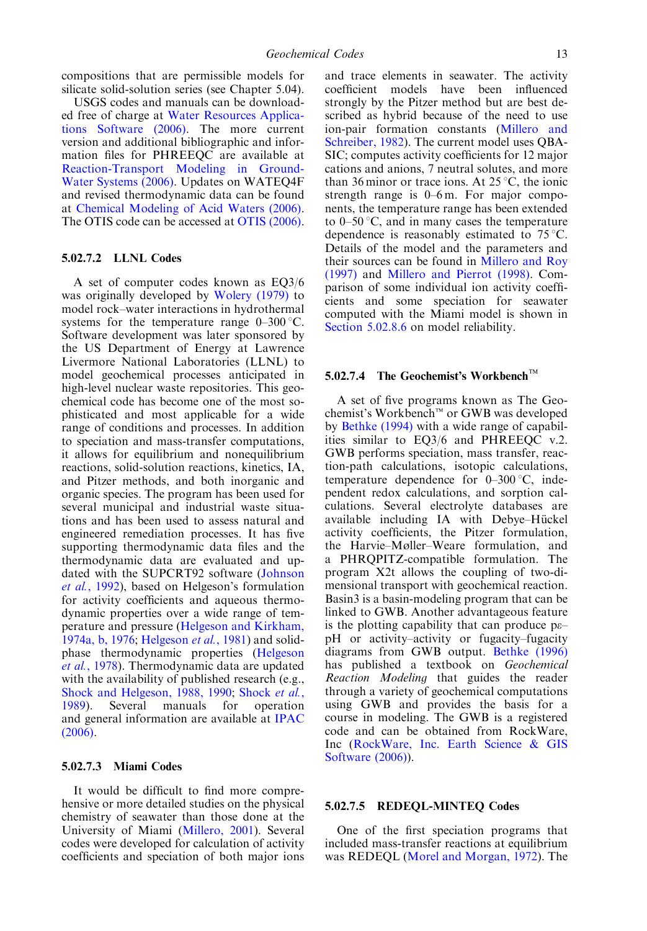compositions that are permissible models for silicate solid-solution series (see Chapter 5.04).

USGS codes and manuals can be downloaded free of charge at [Water Resources Applica](#page-37-0)[tions Software \(2006\)](#page-37-0). The more current version and additional bibliographic and information files for PHREEQC are available at [Reaction-Transport Modeling in Ground-](#page-35-0)[Water Systems \(2006\).](#page-35-0) Updates on WATEQ4F and revised thermodynamic data can be found at [Chemical Modeling of Acid Waters \(2006\).](#page-31-0) The OTIS code can be accessed at [OTIS \(2006\).](#page-34-0)

## 5.02.7.2 LLNL Codes

A set of computer codes known as EQ3/6 was originally developed by [Wolery \(1979\)](#page-37-0) to model rock–water interactions in hydrothermal systems for the temperature range  $0-300$  °C. Software development was later sponsored by the US Department of Energy at Lawrence Livermore National Laboratories (LLNL) to model geochemical processes anticipated in high-level nuclear waste repositories. This geochemical code has become one of the most sophisticated and most applicable for a wide range of conditions and processes. In addition to speciation and mass-transfer computations, it allows for equilibrium and nonequilibrium reactions, solid-solution reactions, kinetics, IA, and Pitzer methods, and both inorganic and organic species. The program has been used for several municipal and industrial waste situations and has been used to assess natural and engineered remediation processes. It has five supporting thermodynamic data files and the thermodynamic data are evaluated and updated with the SUPCRT92 software ([Johnson](#page-33-0) et al.[, 1992](#page-33-0)), based on Helgeson's formulation for activity coefficients and aqueous thermodynamic properties over a wide range of temperature and pressure ([Helgeson and Kirkham,](#page-32-0) [1974a, b, 1976;](#page-32-0) [Helgeson](#page-32-0) et al., 1981) and solidphase thermodynamic properties ([Helgeson](#page-32-0) et al.[, 1978\)](#page-32-0). Thermodynamic data are updated with the availability of published research (e.g., [Shock and Helgeson, 1988, 1990](#page-36-0); [Shock](#page-36-0) et al., [1989\)](#page-36-0). Several manuals for operation and general information are available at [IPAC](#page-32-0) [\(2006\).](#page-32-0)

# 5.02.7.3 Miami Codes

It would be difficult to find more comprehensive or more detailed studies on the physical chemistry of seawater than those done at the University of Miami [\(Millero, 2001\)](#page-34-0). Several codes were developed for calculation of activity coefficients and speciation of both major ions

and trace elements in seawater. The activity coefficient models have been influenced strongly by the Pitzer method but are best described as hybrid because of the need to use ion-pair formation constants ([Millero and](#page-34-0) [Schreiber, 1982\)](#page-34-0). The current model uses QBA-SIC; computes activity coefficients for 12 major cations and anions, 7 neutral solutes, and more than 36 minor or trace ions. At  $25^{\circ}$ C, the ionic strength range is 0–6 m. For major components, the temperature range has been extended to  $0-50$  °C, and in many cases the temperature dependence is reasonably estimated to  $75^{\circ}$ C. Details of the model and the parameters and their sources can be found in [Millero and Roy](#page-34-0) [\(1997\)](#page-34-0) and [Millero and Pierrot \(1998\).](#page-34-0) Comparison of some individual ion activity coefficients and some speciation for seawater computed with the Miami model is shown in Section 5.02.8.6 on model reliability.

# 5.02.7.4 The Geochemist's Workbench<sup>™</sup>

A set of five programs known as The Geochemist's Workbench<br/>m $\,$ or GWB was developed by [Bethke \(1994\)](#page-30-0) with a wide range of capabilities similar to EQ3/6 and PHREEQC v.2. GWB performs speciation, mass transfer, reaction-path calculations, isotopic calculations, temperature dependence for  $0-300$  °C, independent redox calculations, and sorption calculations. Several electrolyte databases are available including IA with Debye–Hückel activity coefficients, the Pitzer formulation, the Harvie–Møller–Weare formulation, and a PHRQPITZ-compatible formulation. The program X2t allows the coupling of two-dimensional transport with geochemical reaction. Basin3 is a basin-modeling program that can be linked to GWB. Another advantageous feature is the plotting capability that can produce  $p\varepsilon$ – pH or activity–activity or fugacity–fugacity diagrams from GWB output. [Bethke \(1996\)](#page-30-0) has published a textbook on Geochemical Reaction Modeling that guides the reader through a variety of geochemical computations using GWB and provides the basis for a course in modeling. The GWB is a registered code and can be obtained from RockWare, Inc ([RockWare, Inc. Earth Science & GIS](#page-35-0) [Software \(2006\)](#page-35-0)).

# 5.02.7.5 REDEQL-MINTEQ Codes

One of the first speciation programs that included mass-transfer reactions at equilibrium was REDEQL ([Morel and Morgan, 1972](#page-34-0)). The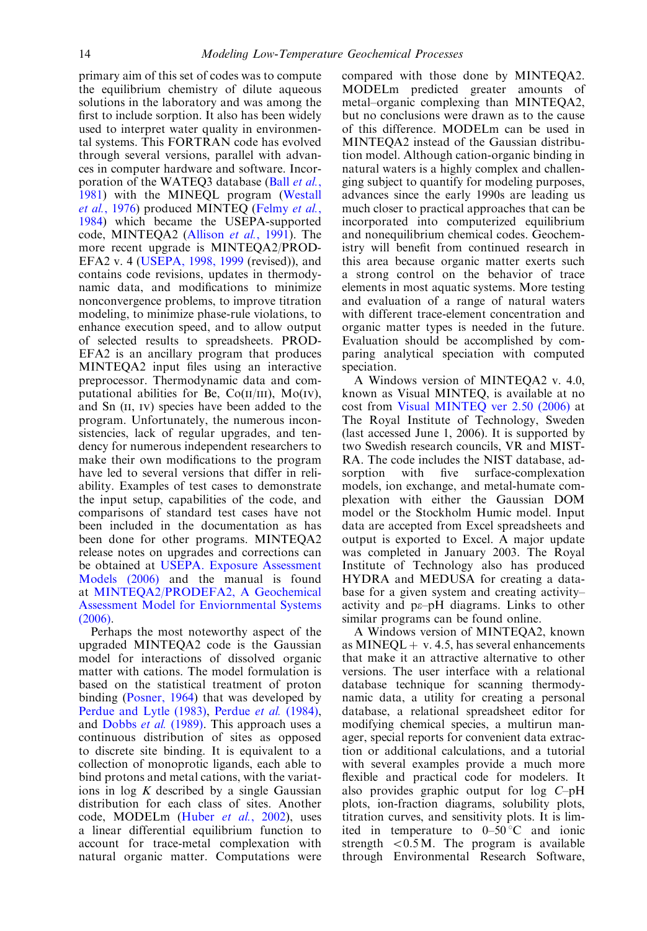primary aim of this set of codes was to compute the equilibrium chemistry of dilute aqueous solutions in the laboratory and was among the first to include sorption. It also has been widely used to interpret water quality in environmental systems. This FORTRAN code has evolved through several versions, parallel with advances in computer hardware and software. Incorporation of the WATEQ3 database (Ball [et al.](#page-30-0), [1981](#page-30-0)) with the MINEQL program ([Westall](#page-37-0) et al.[, 1976\)](#page-37-0) produced MINTEQ [\(Felmy](#page-31-0) et al., [1984](#page-31-0)) which became the USEPA-supported code, MINTEQA2 [\(Allison](#page-30-0) et al., 1991). The more recent upgrade is MINTEQA2/PROD-EFA2 v. 4 [\(USEPA, 1998, 1999](#page-36-0) (revised)), and contains code revisions, updates in thermodynamic data, and modifications to minimize nonconvergence problems, to improve titration modeling, to minimize phase-rule violations, to enhance execution speed, and to allow output of selected results to spreadsheets. PROD-EFA2 is an ancillary program that produces MINTEQA2 input files using an interactive preprocessor. Thermodynamic data and computational abilities for Be,  $Co(II/III)$ ,  $Mo(IV)$ , and Sn (ii, iv) species have been added to the program. Unfortunately, the numerous inconsistencies, lack of regular upgrades, and tendency for numerous independent researchers to make their own modifications to the program have led to several versions that differ in reliability. Examples of test cases to demonstrate the input setup, capabilities of the code, and comparisons of standard test cases have not been included in the documentation as has been done for other programs. MINTEQA2 release notes on upgrades and corrections can be obtained at [USEPA. Exposure Assessment](#page-37-0) [Models \(2006\)](#page-37-0) and the manual is found at [MINTEQA2/PRODEFA2, A Geochemical](#page-34-0) [Assessment Model for Enviornmental Systems](#page-34-0) [\(2006\).](#page-34-0)

Perhaps the most noteworthy aspect of the upgraded MINTEQA2 code is the Gaussian model for interactions of dissolved organic matter with cations. The model formulation is based on the statistical treatment of proton binding ([Posner, 1964\)](#page-35-0) that was developed by [Perdue and Lytle \(1983\)](#page-35-0), [Perdue](#page-35-0) et al. (1984), and [Dobbs](#page-31-0) et al. (1989). This approach uses a continuous distribution of sites as opposed to discrete site binding. It is equivalent to a collection of monoprotic ligands, each able to bind protons and metal cations, with the variations in  $log K$  described by a single Gaussian distribution for each class of sites. Another code, MODELm (Huber et al.[, 2002\)](#page-32-0), uses a linear differential equilibrium function to account for trace-metal complexation with natural organic matter. Computations were

compared with those done by MINTEQA2. MODELm predicted greater amounts of metal–organic complexing than MINTEQA2, but no conclusions were drawn as to the cause of this difference. MODELm can be used in MINTEQA2 instead of the Gaussian distribution model. Although cation-organic binding in natural waters is a highly complex and challenging subject to quantify for modeling purposes, advances since the early 1990s are leading us much closer to practical approaches that can be incorporated into computerized equilibrium and nonequilibrium chemical codes. Geochemistry will benefit from continued research in this area because organic matter exerts such a strong control on the behavior of trace elements in most aquatic systems. More testing and evaluation of a range of natural waters with different trace-element concentration and organic matter types is needed in the future. Evaluation should be accomplished by comparing analytical speciation with computed speciation.

A Windows version of MINTEQA2 v. 4.0, known as Visual MINTEQ, is available at no cost from [Visual MINTEQ ver 2.50 \(2006\)](#page-37-0) at The Royal Institute of Technology, Sweden (last accessed June 1, 2006). It is supported by two Swedish research councils, VR and MIST-RA. The code includes the NIST database, adsorption with five surface-complexation sorption with five surface-complexation models, ion exchange, and metal-humate complexation with either the Gaussian DOM model or the Stockholm Humic model. Input data are accepted from Excel spreadsheets and output is exported to Excel. A major update was completed in January 2003. The Royal Institute of Technology also has produced HYDRA and MEDUSA for creating a database for a given system and creating activity– activity and pe–pH diagrams. Links to other similar programs can be found online.

A Windows version of MINTEQA2, known as MINEQL  $+$  v. 4.5, has several enhancements that make it an attractive alternative to other versions. The user interface with a relational database technique for scanning thermodynamic data, a utility for creating a personal database, a relational spreadsheet editor for modifying chemical species, a multirun manager, special reports for convenient data extraction or additional calculations, and a tutorial with several examples provide a much more flexible and practical code for modelers. It also provides graphic output for log C–pH plots, ion-fraction diagrams, solubility plots, titration curves, and sensitivity plots. It is limited in temperature to  $0-50$  °C and ionic strength  $< 0.5 M$ . The program is available through Environmental Research Software,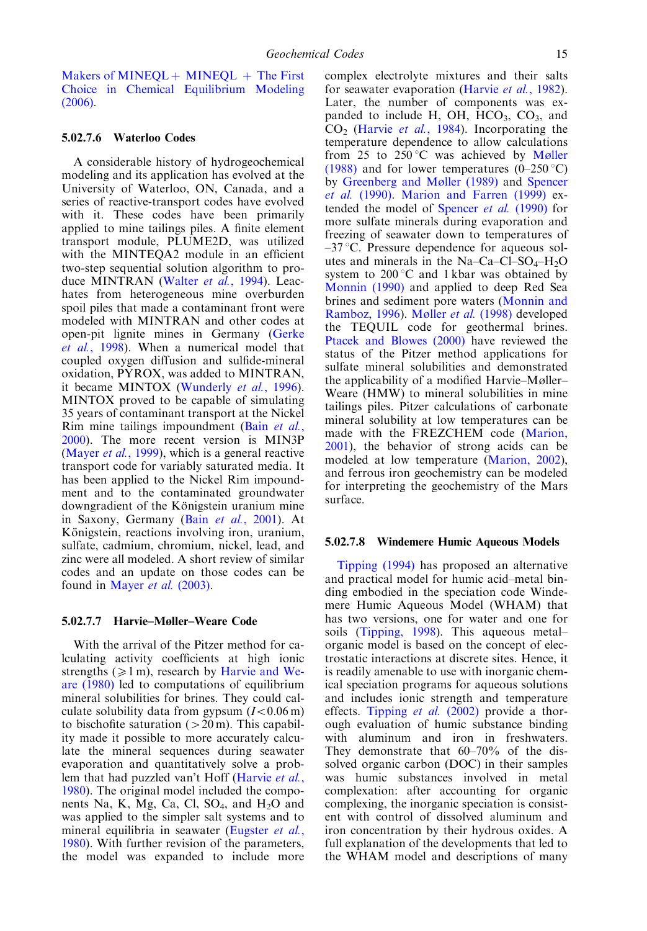[Makers of MINEQL](#page-33-0)  $+$  MINEQL  $+$  The First [Choice in Chemical Equilibrium Modeling](#page-33-0) [\(2006\)](#page-33-0).

## 5.02.7.6 Waterloo Codes

A considerable history of hydrogeochemical modeling and its application has evolved at the University of Waterloo, ON, Canada, and a series of reactive-transport codes have evolved with it. These codes have been primarily applied to mine tailings piles. A finite element transport module, PLUME2D, was utilized with the MINTEQA2 module in an efficient two-step sequential solution algorithm to pro-duce MINTRAN [\(Walter](#page-37-0) et al., 1994). Leachates from heterogeneous mine overburden spoil piles that made a contaminant front were modeled with MINTRAN and other codes at open-pit lignite mines in Germany ([Gerke](#page-31-0) et al.[, 1998\)](#page-31-0). When a numerical model that coupled oxygen diffusion and sulfide-mineral oxidation, PYROX, was added to MINTRAN, it became MINTOX ([Wunderly](#page-37-0) et al., 1996). MINTOX proved to be capable of simulating 35 years of contaminant transport at the Nickel Rim mine tailings impoundment (Bain [et al.](#page-30-0), [2000\)](#page-30-0). The more recent version is MIN3P [\(Mayer](#page-33-0) *et al.*, 1999), which is a general reactive transport code for variably saturated media. It has been applied to the Nickel Rim impoundment and to the contaminated groundwater downgradient of the Königstein uranium mine in Saxony, Germany (Bain et al.[, 2001\)](#page-30-0). At Königstein, reactions involving iron, uranium, sulfate, cadmium, chromium, nickel, lead, and zinc were all modeled. A short review of similar codes and an update on those codes can be found in [Mayer](#page-33-0) *et al.* (2003).

#### 5.02.7.7 Harvie–Møller–Weare Code

With the arrival of the Pitzer method for calculating activity coefficients at high ionic strengths ( $\geq 1$  m), research by [Harvie and We](#page-32-0)[are \(1980\)](#page-32-0) led to computations of equilibrium mineral solubilities for brines. They could calculate solubility data from gypsum  $(I<0.06 \text{ m})$ to bischofite saturation  $(>20 \,\text{m})$ . This capability made it possible to more accurately calculate the mineral sequences during seawater evaporation and quantitatively solve a problem that had puzzled van't Hoff [\(Harvie](#page-32-0) et al., [1980\)](#page-32-0). The original model included the components Na, K, Mg, Ca, Cl,  $SO_4$ , and  $H_2O$  and was applied to the simpler salt systems and to mineral equilibria in seawater [\(Eugster](#page-31-0) et al., [1980\)](#page-31-0). With further revision of the parameters, the model was expanded to include more

complex electrolyte mixtures and their salts for seawater evaporation [\(Harvie](#page-32-0) et al., 1982). Later, the number of components was expanded to include H, OH,  $HCO<sub>3</sub>$ , CO<sub>3</sub>, and  $CO<sub>2</sub>$  [\(Harvie](#page-32-0) *et al.*, 1984). Incorporating the temperature dependence to allow calculations from 25 to 250 °C was achieved by [Møller](#page-34-0) [\(1988\)](#page-34-0) and for lower temperatures  $(0-250 \degree C)$ by [Greenberg and Møller \(1989\)](#page-31-0) and [Spencer](#page-36-0) et al. [\(1990\).](#page-36-0) [Marion and Farren \(1999\)](#page-33-0) extended the model of [Spencer](#page-36-0) et al. (1990) for more sulfate minerals during evaporation and freezing of seawater down to temperatures of  $-37$  °C. Pressure dependence for aqueous solutes and minerals in the Na–Ca–Cl–SO<sub>4</sub>–H<sub>2</sub>O system to  $200^{\circ}$ C and 1 kbar was obtained by [Monnin \(1990\)](#page-34-0) and applied to deep Red Sea brines and sediment pore waters [\(Monnin and](#page-34-0) [Ramboz, 1996\)](#page-34-0). [Møller](#page-34-0) et al. (1998) developed the TEQUIL code for geothermal brines. [Ptacek and Blowes \(2000\)](#page-35-0) have reviewed the status of the Pitzer method applications for sulfate mineral solubilities and demonstrated the applicability of a modified Harvie–Møller– Weare (HMW) to mineral solubilities in mine tailings piles. Pitzer calculations of carbonate mineral solubility at low temperatures can be made with the FREZCHEM code [\(Marion,](#page-33-0) [2001](#page-33-0)), the behavior of strong acids can be modeled at low temperature [\(Marion, 2002\)](#page-33-0), and ferrous iron geochemistry can be modeled for interpreting the geochemistry of the Mars surface.

#### 5.02.7.8 Windemere Humic Aqueous Models

[Tipping \(1994\)](#page-36-0) has proposed an alternative and practical model for humic acid–metal binding embodied in the speciation code Windemere Humic Aqueous Model (WHAM) that has two versions, one for water and one for soils [\(Tipping, 1998](#page-36-0)). This aqueous metal– organic model is based on the concept of electrostatic interactions at discrete sites. Hence, it is readily amenable to use with inorganic chemical speciation programs for aqueous solutions and includes ionic strength and temperature effects. [Tipping](#page-36-0) et al. (2002) provide a thorough evaluation of humic substance binding with aluminum and iron in freshwaters. They demonstrate that 60–70% of the dissolved organic carbon (DOC) in their samples was humic substances involved in metal complexation: after accounting for organic complexing, the inorganic speciation is consistent with control of dissolved aluminum and iron concentration by their hydrous oxides. A full explanation of the developments that led to the WHAM model and descriptions of many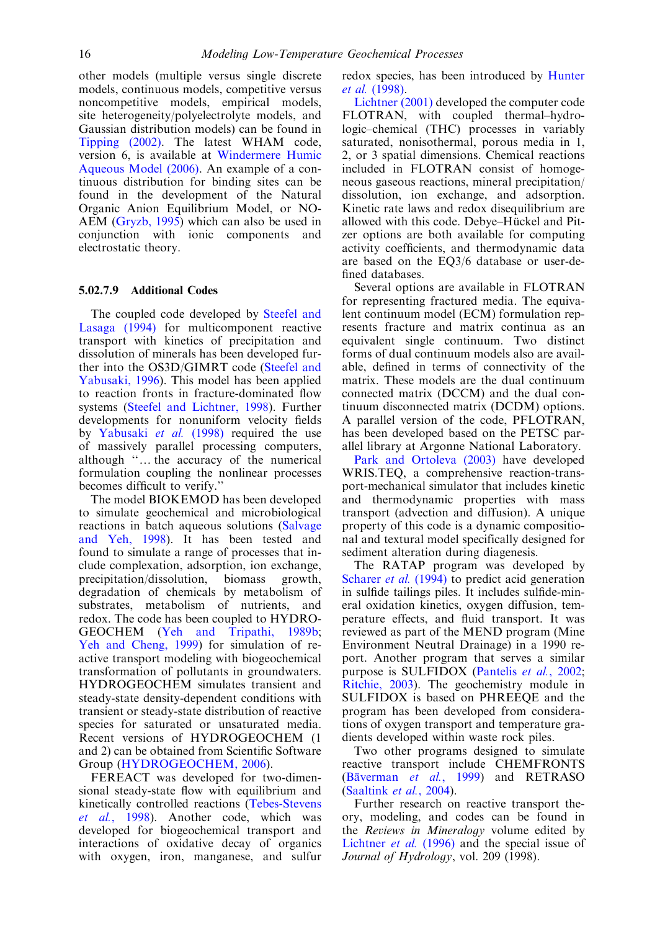other models (multiple versus single discrete models, continuous models, competitive versus noncompetitive models, empirical models, site heterogeneity/polyelectrolyte models, and Gaussian distribution models) can be found in [Tipping \(2002\).](#page-36-0) The latest WHAM code, version 6, is available at [Windermere Humic](#page-37-0) [Aqueous Model \(2006\).](#page-37-0) An example of a continuous distribution for binding sites can be found in the development of the Natural Organic Anion Equilibrium Model, or NO-AEM [\(Gryzb, 1995\)](#page-31-0) which can also be used in conjunction with ionic components and electrostatic theory.

#### 5.02.7.9 Additional Codes

The coupled code developed by [Steefel and](#page-36-0) [Lasaga \(1994\)](#page-36-0) for multicomponent reactive transport with kinetics of precipitation and dissolution of minerals has been developed further into the OS3D/GIMRT code ([Steefel and](#page-36-0) [Yabusaki, 1996](#page-36-0)). This model has been applied to reaction fronts in fracture-dominated flow systems ([Steefel and Lichtner, 1998\)](#page-36-0). Further developments for nonuniform velocity fields by [Yabusaki](#page-37-0) et al. (1998) required the use of massively parallel processing computers, although "... the accuracy of the numerical formulation coupling the nonlinear processes becomes difficult to verify.''

The model BIOKEMOD has been developed to simulate geochemical and microbiological reactions in batch aqueous solutions ([Salvage](#page-36-0) [and Yeh, 1998\)](#page-36-0). It has been tested and found to simulate a range of processes that include complexation, adsorption, ion exchange, precipitation/dissolution, biomass growth, degradation of chemicals by metabolism of substrates, metabolism of nutrients, and redox. The code has been coupled to HYDRO-GEOCHEM ([Yeh and Tripathi, 1989b;](#page-37-0) [Yeh and Cheng, 1999](#page-37-0)) for simulation of reactive transport modeling with biogeochemical transformation of pollutants in groundwaters. HYDROGEOCHEM simulates transient and steady-state density-dependent conditions with transient or steady-state distribution of reactive species for saturated or unsaturated media. Recent versions of HYDROGEOCHEM (1 and 2) can be obtained from Scientific Software Group [\(HYDROGEOCHEM, 2006](#page-32-0)).

FEREACT was developed for two-dimensional steady-state flow with equilibrium and kinetically controlled reactions [\(Tebes-Stevens](#page-36-0) et al.[, 1998](#page-36-0)). Another code, which was developed for biogeochemical transport and interactions of oxidative decay of organics with oxygen, iron, manganese, and sulfur redox species, has been introduced by [Hunter](#page-32-0) et al. [\(1998\).](#page-32-0)

[Lichtner \(2001\)](#page-33-0) developed the computer code FLOTRAN, with coupled thermal–hydrologic–chemical (THC) processes in variably saturated, nonisothermal, porous media in 1, 2, or 3 spatial dimensions. Chemical reactions included in FLOTRAN consist of homogeneous gaseous reactions, mineral precipitation/ dissolution, ion exchange, and adsorption. Kinetic rate laws and redox disequilibrium are allowed with this code. Debye–Hückel and Pitzer options are both available for computing activity coefficients, and thermodynamic data are based on the EQ3/6 database or user-defined databases.

Several options are available in FLOTRAN for representing fractured media. The equivalent continuum model (ECM) formulation represents fracture and matrix continua as an equivalent single continuum. Two distinct forms of dual continuum models also are available, defined in terms of connectivity of the matrix. These models are the dual continuum connected matrix (DCCM) and the dual continuum disconnected matrix (DCDM) options. A parallel version of the code, PFLOTRAN, has been developed based on the PETSC parallel library at Argonne National Laboratory.

[Park and Ortoleva \(2003\)](#page-34-0) have developed WRIS.TEQ, a comprehensive reaction-transport-mechanical simulator that includes kinetic and thermodynamic properties with mass transport (advection and diffusion). A unique property of this code is a dynamic compositional and textural model specifically designed for sediment alteration during diagenesis.

The RATAP program was developed by [Scharer](#page-36-0) *et al.* (1994) to predict acid generation in sulfide tailings piles. It includes sulfide-mineral oxidation kinetics, oxygen diffusion, temperature effects, and fluid transport. It was reviewed as part of the MEND program (Mine Environment Neutral Drainage) in a 1990 report. Another program that serves a similar purpose is SULFIDOX ([Pantelis](#page-34-0) et al., 2002; [Ritchie, 2003\)](#page-35-0). The geochemistry module in SULFIDOX is based on PHREEQE and the program has been developed from considerations of oxygen transport and temperature gradients developed within waste rock piles.

Two other programs designed to simulate reactive transport include CHEMFRONTS (Bäverman et al., 1999) and RETRASO ([Saaltink](#page-36-0) et al., 2004).

Further research on reactive transport theory, modeling, and codes can be found in the Reviews in Mineralogy volume edited by [Lichtner](#page-33-0) *et al.* (1996) and the special issue of Journal of Hydrology, vol. 209 (1998).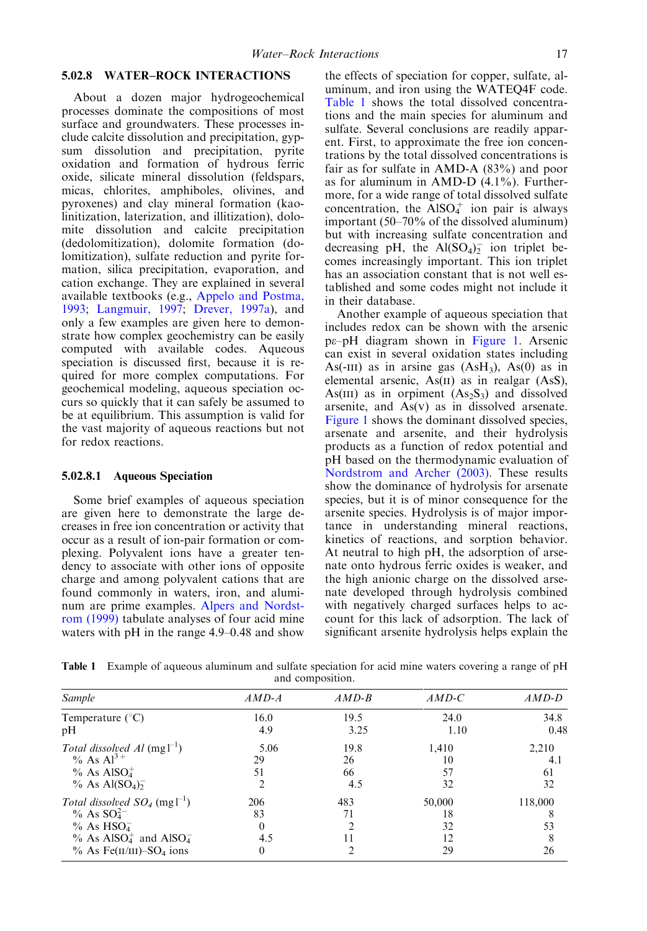# 5.02.8 WATER–ROCK INTERACTIONS

About a dozen major hydrogeochemical processes dominate the compositions of most surface and groundwaters. These processes include calcite dissolution and precipitation, gypsum dissolution and precipitation, pyrite oxidation and formation of hydrous ferric oxide, silicate mineral dissolution (feldspars, micas, chlorites, amphiboles, olivines, and pyroxenes) and clay mineral formation (kaolinitization, laterization, and illitization), dolomite dissolution and calcite precipitation (dedolomitization), dolomite formation (dolomitization), sulfate reduction and pyrite formation, silica precipitation, evaporation, and cation exchange. They are explained in several available textbooks (e.g., [Appelo and Postma,](#page-30-0) [1993;](#page-30-0) [Langmuir, 1997](#page-33-0); [Drever, 1997a\)](#page-31-0), and only a few examples are given here to demonstrate how complex geochemistry can be easily computed with available codes. Aqueous speciation is discussed first, because it is required for more complex computations. For geochemical modeling, aqueous speciation occurs so quickly that it can safely be assumed to be at equilibrium. This assumption is valid for the vast majority of aqueous reactions but not for redox reactions.

## 5.02.8.1 Aqueous Speciation

Some brief examples of aqueous speciation are given here to demonstrate the large decreases in free ion concentration or activity that occur as a result of ion-pair formation or complexing. Polyvalent ions have a greater tendency to associate with other ions of opposite charge and among polyvalent cations that are found commonly in waters, iron, and aluminum are prime examples. [Alpers and Nordst](#page-30-0)[rom \(1999\)](#page-30-0) tabulate analyses of four acid mine waters with pH in the range 4.9–0.48 and show

the effects of speciation for copper, sulfate, aluminum, and iron using the WATEQ4F code. Table 1 shows the total dissolved concentrations and the main species for aluminum and sulfate. Several conclusions are readily apparent. First, to approximate the free ion concentrations by the total dissolved concentrations is fair as for sulfate in AMD-A (83%) and poor as for aluminum in AMD-D (4.1%). Furthermore, for a wide range of total dissolved sulfate concentration, the  $\text{AISO}_4^+$  ion pair is always important (50–70% of the dissolved aluminum) but with increasing sulfate concentration and decreasing pH, the  $Al(SO<sub>4</sub>)<sub>2</sub><sup>-</sup>$  ion triplet becomes increasingly important. This ion triplet has an association constant that is not well established and some codes might not include it in their database.

Another example of aqueous speciation that includes redox can be shown with the arsenic pe–pH diagram shown in [Figure 1.](#page-17-0) Arsenic can exist in several oxidation states including As(-III) as in arsine gas  $(AsH<sub>3</sub>)$ , As(0) as in elemental arsenic, As(II) as in realgar (AsS), As(III) as in orpiment  $(As_2S_3)$  and dissolved arsenite, and As(v) as in dissolved arsenate. [Figure 1](#page-17-0) shows the dominant dissolved species, arsenate and arsenite, and their hydrolysis products as a function of redox potential and pH based on the thermodynamic evaluation of [Nordstrom and Archer \(2003\)](#page-34-0). These results show the dominance of hydrolysis for arsenate species, but it is of minor consequence for the arsenite species. Hydrolysis is of major importance in understanding mineral reactions, kinetics of reactions, and sorption behavior. At neutral to high pH, the adsorption of arsenate onto hydrous ferric oxides is weaker, and the high anionic charge on the dissolved arsenate developed through hydrolysis combined with negatively charged surfaces helps to account for this lack of adsorption. The lack of significant arsenite hydrolysis helps explain the

Table 1 Example of aqueous aluminum and sulfate speciation for acid mine waters covering a range of pH and composition.

| Sample                                                                                                                                                                                                                            | $AMD-A$                    | $AMD-B$         | $AMD-C$                        | $AMD-D$                  |
|-----------------------------------------------------------------------------------------------------------------------------------------------------------------------------------------------------------------------------------|----------------------------|-----------------|--------------------------------|--------------------------|
| Temperature $(^{\circ}C)$                                                                                                                                                                                                         | 16.0                       | 19.5            | 24.0                           | 34.8                     |
| pH                                                                                                                                                                                                                                | 4.9                        | 3.25            | 1.10                           | 0.48                     |
| Total dissolved Al $(mg l^{-1})$                                                                                                                                                                                                  | 5.06                       | 19.8            | 1,410                          | 2,210                    |
| $\%$ As Al <sup>3+</sup>                                                                                                                                                                                                          | 29                         | 26              | 10                             | 4.1                      |
| $\%$ As AlSO $_4^+$                                                                                                                                                                                                               | 51                         | 66              | 57                             | 61                       |
| $\%$ As Al(SO <sub>4</sub> ) <sub>2</sub>                                                                                                                                                                                         | 2                          | 4.5             | 32                             | 32                       |
| Total dissolved $SO_4$ (mg $l^{-1}$ )<br>% As $SO_4^{2-}$<br>$\%$ As HSO $_4^-$<br>$\%$ As AlSO <sub>4</sub> <sup><math>+</math></sup> and AlSO <sub>4</sub> <sup><math>-</math></sup><br>$\%$ As Fe(II/III)–SO <sub>4</sub> ions | 206<br>83<br>0<br>4.5<br>0 | 483<br>71<br>11 | 50,000<br>18<br>32<br>12<br>29 | 118,000<br>53<br>8<br>26 |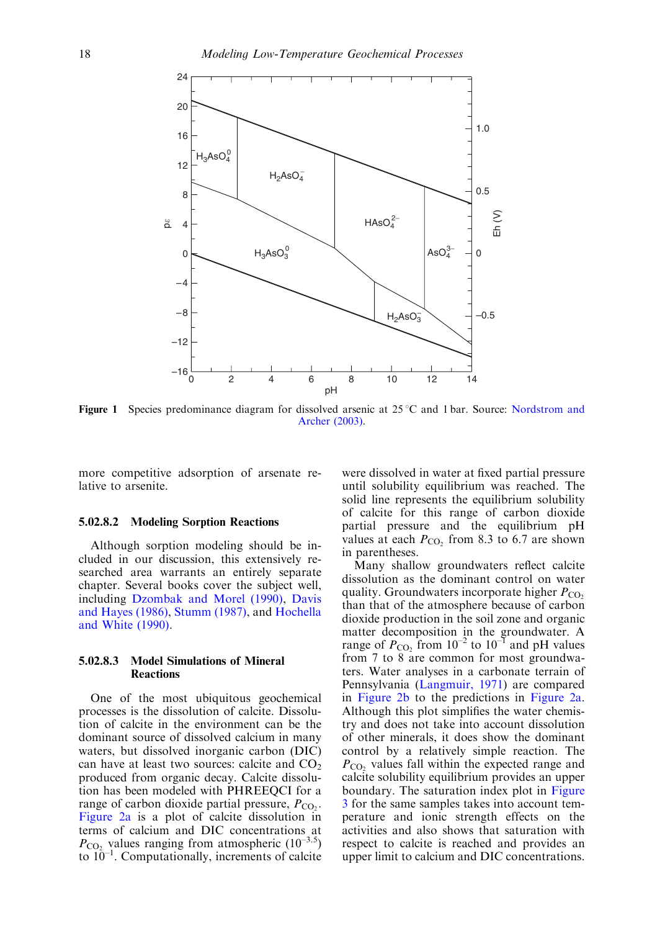<span id="page-17-0"></span>

Figure 1 Species predominance diagram for dissolved arsenic at  $25^{\circ}$ C and 1 bar. Source: [Nordstrom and](#page-34-0) [Archer \(2003\).](#page-34-0)

more competitive adsorption of arsenate relative to arsenite.

# 5.02.8.2 Modeling Sorption Reactions

Although sorption modeling should be included in our discussion, this extensively researched area warrants an entirely separate chapter. Several books cover the subject well, including [Dzombak and Morel \(1990\)](#page-31-0), [Davis](#page-31-0) [and Hayes \(1986\)](#page-31-0), [Stumm \(1987\)](#page-36-0), and [Hochella](#page-32-0) [and White \(1990\)](#page-32-0).

## 5.02.8.3 Model Simulations of Mineral Reactions

One of the most ubiquitous geochemical processes is the dissolution of calcite. Dissolution of calcite in the environment can be the dominant source of dissolved calcium in many waters, but dissolved inorganic carbon (DIC) can have at least two sources: calcite and  $CO<sub>2</sub>$ produced from organic decay. Calcite dissolution has been modeled with PHREEQCI for a range of carbon dioxide partial pressure,  $P_{\text{CO}_2}$ . [Figure 2a](#page-18-0) is a plot of calcite dissolution in terms of calcium and DIC concentrations at  $P_{\text{CO}_2}$  values ranging from atmospheric (10<sup>-3.5</sup>) to  $10^{-1}$ . Computationally, increments of calcite were dissolved in water at fixed partial pressure until solubility equilibrium was reached. The solid line represents the equilibrium solubility of calcite for this range of carbon dioxide partial pressure and the equilibrium pH values at each  $P_{\text{CO}_2}$  from 8.3 to 6.7 are shown in parentheses.

Many shallow groundwaters reflect calcite dissolution as the dominant control on water quality. Groundwaters incorporate higher  $P_{CO_2}$ than that of the atmosphere because of carbon dioxide production in the soil zone and organic matter decomposition in the groundwater. A range of  $P_{\text{CO}_2}$  from  $10^{-2}$  to  $10^{-1}$  and pH values from 7 to 8 are common for most groundwaters. Water analyses in a carbonate terrain of Pennsylvania [\(Langmuir, 1971\)](#page-33-0) are compared in [Figure 2b](#page-18-0) to the predictions in [Figure 2a](#page-18-0). Although this plot simplifies the water chemistry and does not take into account dissolution of other minerals, it does show the dominant control by a relatively simple reaction. The  $P_{\rm CO}$ , values fall within the expected range and calcite solubility equilibrium provides an upper boundary. The saturation index plot in [Figure](#page-18-0) [3](#page-18-0) for the same samples takes into account temperature and ionic strength effects on the activities and also shows that saturation with respect to calcite is reached and provides an upper limit to calcium and DIC concentrations.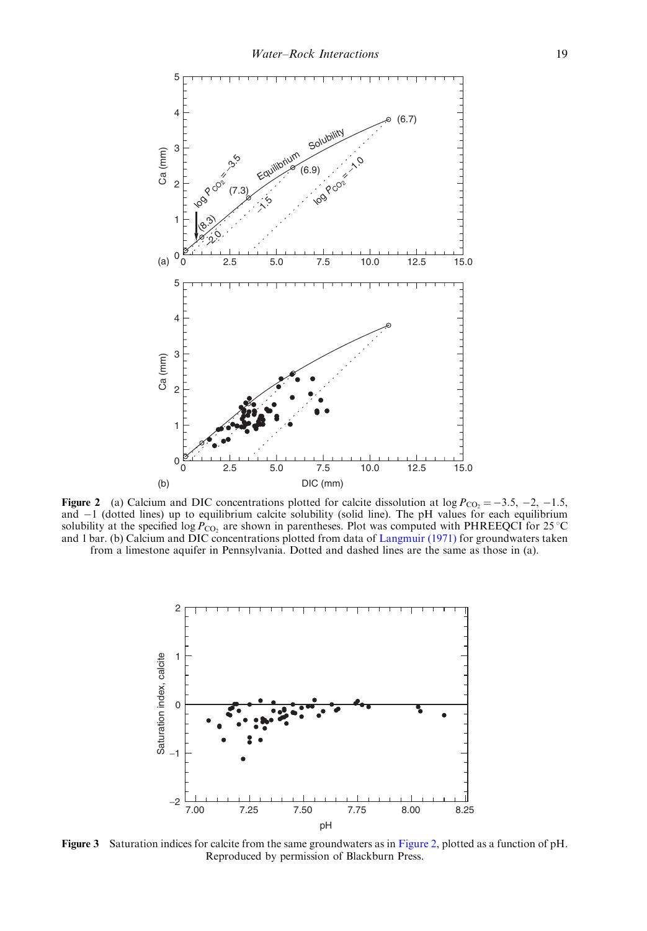<span id="page-18-0"></span>

Figure 2 (a) Calcium and DIC concentrations plotted for calcite dissolution at  $log P_{CO_2} = -3.5, -2, -1.5,$ and  $-1$  (dotted lines) up to equilibrium calcite solubility (solid line). The pH values for each equilibrium solubility at the specified log  $P_{\text{CO}_2}$  are shown in parentheses. Plot was computed with PHREEQCI for 25 °C and 1 bar. (b) Calcium and DIC concentrations plotted from data of [Langmuir \(1971\)](#page-33-0) for groundwaters taken from a limestone aquifer in Pennsylvania. Dotted and dashed lines are the same as those in (a).



Figure 3 Saturation indices for calcite from the same groundwaters as in Figure 2, plotted as a function of pH. Reproduced by permission of Blackburn Press.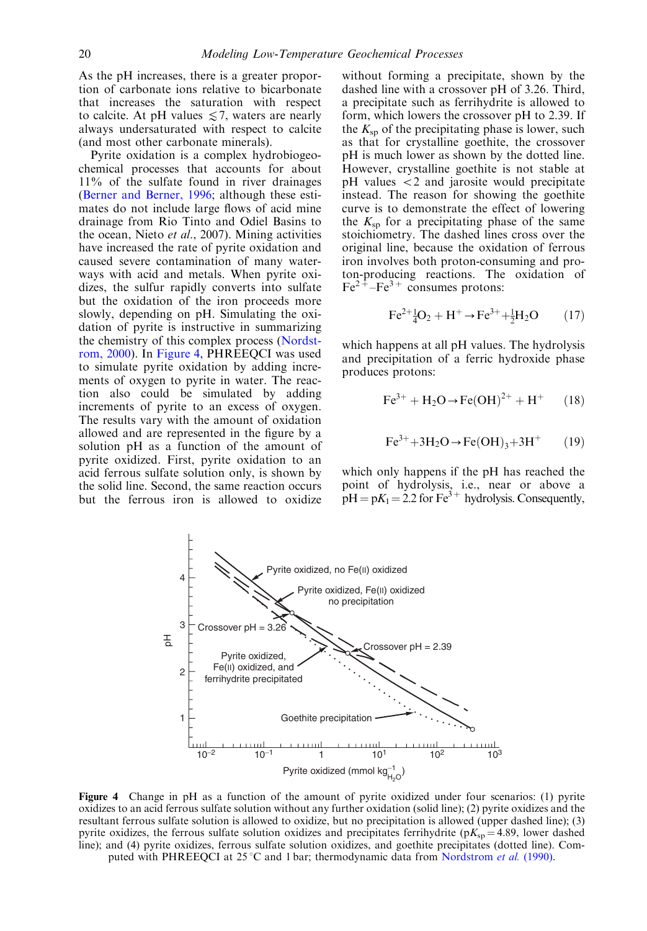<span id="page-19-0"></span>As the pH increases, there is a greater proportion of carbonate ions relative to bicarbonate that increases the saturation with respect to calcite. At pH values  $\leq 7$ , waters are nearly always undersaturated with respect to calcite (and most other carbonate minerals).

Pyrite oxidation is a complex hydrobiogeochemical processes that accounts for about 11% of the sulfate found in river drainages ([Berner and Berner, 1996;](#page-30-0) although these estimates do not include large flows of acid mine drainage from Rio Tinto and Odiel Basins to the ocean, Nieto et al., 2007). Mining activities have increased the rate of pyrite oxidation and caused severe contamination of many waterways with acid and metals. When pyrite oxidizes, the sulfur rapidly converts into sulfate but the oxidation of the iron proceeds more slowly, depending on pH. Simulating the oxidation of pyrite is instructive in summarizing the chemistry of this complex process ([Nordst](#page-34-0)[rom, 2000](#page-34-0)). In Figure 4, PHREEQCI was used to simulate pyrite oxidation by adding increments of oxygen to pyrite in water. The reaction also could be simulated by adding increments of pyrite to an excess of oxygen. The results vary with the amount of oxidation allowed and are represented in the figure by a solution pH as a function of the amount of pyrite oxidized. First, pyrite oxidation to an acid ferrous sulfate solution only, is shown by the solid line. Second, the same reaction occurs but the ferrous iron is allowed to oxidize

without forming a precipitate, shown by the dashed line with a crossover pH of 3.26. Third, a precipitate such as ferrihydrite is allowed to form, which lowers the crossover pH to 2.39. If the  $K_{\rm{sp}}$  of the precipitating phase is lower, such as that for crystalline goethite, the crossover pH is much lower as shown by the dotted line. However, crystalline goethite is not stable at  $pH$  values  $\langle 2 \rangle$  and jarosite would precipitate instead. The reason for showing the goethite curve is to demonstrate the effect of lowering the  $K_{\rm{sp}}$  for a precipitating phase of the same stoichiometry. The dashed lines cross over the original line, because the oxidation of ferrous iron involves both proton-consuming and proton-producing reactions. The oxidation of  $Fe<sup>2+</sup> – Fe<sup>3+</sup>$  consumes protons:

$$
\text{Fe}^{2+1} \text{O}_2 + \text{H}^+ \to \text{Fe}^{3+} + \frac{1}{2} \text{H}_2 \text{O} \tag{17}
$$

which happens at all pH values. The hydrolysis and precipitation of a ferric hydroxide phase produces protons:

$$
Fe^{3+} + H_2O \to Fe(OH)^{2+} + H^+ \qquad (18)
$$

$$
Fe^{3+} + 3H_2O \to Fe(OH)_3 + 3H^+ \tag{19}
$$

which only happens if the pH has reached the point of hydrolysis, i.e., near or above a  $pH = pK_1 = 2.2$  for Fe<sup>3+</sup> hydrolysis. Consequently,



Figure 4 Change in pH as a function of the amount of pyrite oxidized under four scenarios: (1) pyrite oxidizes to an acid ferrous sulfate solution without any further oxidation (solid line); (2) pyrite oxidizes and the resultant ferrous sulfate solution is allowed to oxidize, but no precipitation is allowed (upper dashed line); (3) pyrite oxidizes, the ferrous sulfate solution oxidizes and precipitates ferrihydrite ( $pK_{\text{sp}} = 4.89$ , lower dashed line); and (4) pyrite oxidizes, ferrous sulfate solution oxidizes, and goethite precipitates (dotted line). Com-puted with PHREEQCI at 25 °C and 1 bar; thermodynamic data from [Nordstrom](#page-34-0) *et al.* (1990).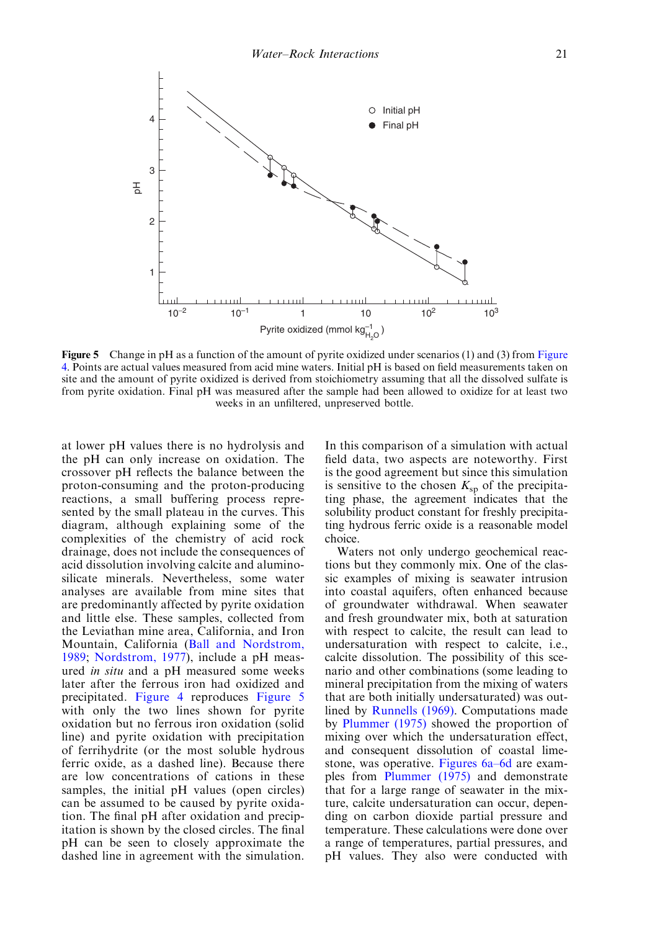

[Figure](#page-19-0) 5 Change in pH as a function of the amount of pyrite oxidized under scenarios (1) and (3) from Figure [4.](#page-19-0) Points are actual values measured from acid mine waters. Initial pH is based on field measurements taken on site and the amount of pyrite oxidized is derived from stoichiometry assuming that all the dissolved sulfate is from pyrite oxidation. Final pH was measured after the sample had been allowed to oxidize for at least two weeks in an unfiltered, unpreserved bottle.

at lower pH values there is no hydrolysis and the pH can only increase on oxidation. The crossover pH reflects the balance between the proton-consuming and the proton-producing reactions, a small buffering process represented by the small plateau in the curves. This diagram, although explaining some of the complexities of the chemistry of acid rock drainage, does not include the consequences of acid dissolution involving calcite and aluminosilicate minerals. Nevertheless, some water analyses are available from mine sites that are predominantly affected by pyrite oxidation and little else. These samples, collected from the Leviathan mine area, California, and Iron Mountain, California [\(Ball and Nordstrom,](#page-30-0) [1989](#page-30-0); [Nordstrom, 1977](#page-34-0)), include a pH measured in situ and a pH measured some weeks later after the ferrous iron had oxidized and precipitated. Figure 4 reproduces [Figure 5](#page-19-0) with only the two lines shown for pyrite oxidation but no ferrous iron oxidation (solid line) and pyrite oxidation with precipitation of ferrihydrite (or the most soluble hydrous ferric oxide, as a dashed line). Because there are low concentrations of cations in these samples, the initial pH values (open circles) can be assumed to be caused by pyrite oxidation. The final pH after oxidation and precipitation is shown by the closed circles. The final pH can be seen to closely approximate the dashed line in agreement with the simulation.

In this comparison of a simulation with actual field data, two aspects are noteworthy. First is the good agreement but since this simulation is sensitive to the chosen  $K_{\rm{sp}}$  of the precipitating phase, the agreement indicates that the solubility product constant for freshly precipitating hydrous ferric oxide is a reasonable model choice.

Waters not only undergo geochemical reactions but they commonly mix. One of the classic examples of mixing is seawater intrusion into coastal aquifers, often enhanced because of groundwater withdrawal. When seawater and fresh groundwater mix, both at saturation with respect to calcite, the result can lead to undersaturation with respect to calcite, i.e., calcite dissolution. The possibility of this scenario and other combinations (some leading to mineral precipitation from the mixing of waters that are both initially undersaturated) was outlined by [Runnells \(1969\)](#page-36-0). Computations made by [Plummer \(1975\)](#page-35-0) showed the proportion of mixing over which the undersaturation effect, and consequent dissolution of coastal limestone, was operative. [Figures 6a–6d](#page-21-0) are examples from [Plummer \(1975\)](#page-35-0) and demonstrate that for a large range of seawater in the mixture, calcite undersaturation can occur, depending on carbon dioxide partial pressure and temperature. These calculations were done over a range of temperatures, partial pressures, and pH values. They also were conducted with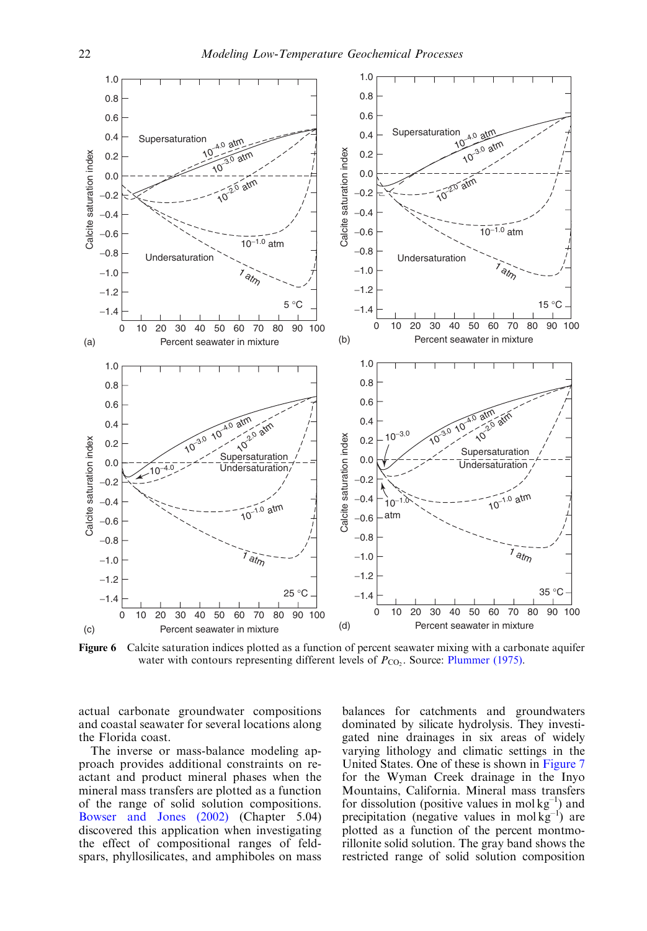<span id="page-21-0"></span>

Figure 6 Calcite saturation indices plotted as a function of percent seawater mixing with a carbonate aquifer water with contours representing different levels of  $P_{\text{CO}_2}$ . Source: Plummer (1975).

actual carbonate groundwater compositions and coastal seawater for several locations along the Florida coast.

The inverse or mass-balance modeling approach provides additional constraints on reactant and product mineral phases when the mineral mass transfers are plotted as a function of the range of solid solution compositions. [Bowser and Jones \(2002\)](#page-30-0) (Chapter 5.04) discovered this application when investigating the effect of compositional ranges of feldspars, phyllosilicates, and amphiboles on mass

balances for catchments and groundwaters dominated by silicate hydrolysis. They investigated nine drainages in six areas of widely varying lithology and climatic settings in the United States. One of these is shown in [Figure 7](#page-22-0) for the Wyman Creek drainage in the Inyo Mountains, California. Mineral mass transfers for dissolution (positive values in mol $kg^{-1}$ ) and precipitation (negative values in mol $kg^{-1}$ ) are plotted as a function of the percent montmorillonite solid solution. The gray band shows the restricted range of solid solution composition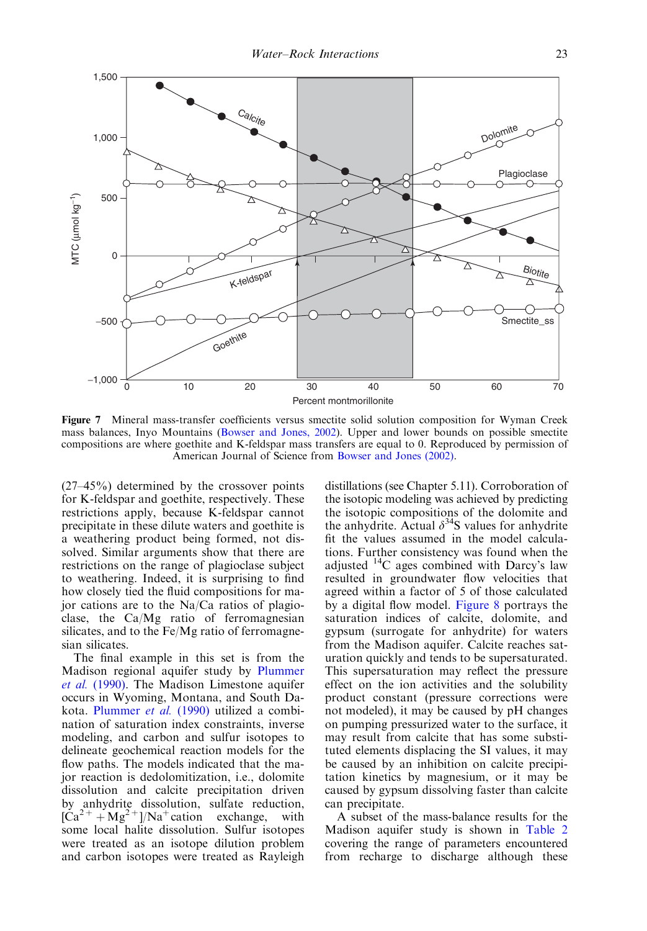<span id="page-22-0"></span>

Figure 7 Mineral mass-transfer coefficients versus smectite solid solution composition for Wyman Creek mass balances, Inyo Mountains ([Bowser and Jones, 2002\)](#page-30-0). Upper and lower bounds on possible smectite compositions are where goethite and K-feldspar mass transfers are equal to 0. Reproduced by permission of American Journal of Science from [Bowser and Jones \(2002\).](#page-30-0)

(27–45%) determined by the crossover points for K-feldspar and goethite, respectively. These restrictions apply, because K-feldspar cannot precipitate in these dilute waters and goethite is a weathering product being formed, not dissolved. Similar arguments show that there are restrictions on the range of plagioclase subject to weathering. Indeed, it is surprising to find how closely tied the fluid compositions for major cations are to the Na/Ca ratios of plagioclase, the Ca/Mg ratio of ferromagnesian silicates, and to the Fe/Mg ratio of ferromagnesian silicates.

The final example in this set is from the Madison regional aquifer study by [Plummer](#page-35-0) et al. [\(1990\).](#page-35-0) The Madison Limestone aquifer occurs in Wyoming, Montana, and South Dakota. [Plummer](#page-35-0) et al. (1990) utilized a combination of saturation index constraints, inverse modeling, and carbon and sulfur isotopes to delineate geochemical reaction models for the flow paths. The models indicated that the major reaction is dedolomitization, i.e., dolomite dissolution and calcite precipitation driven by anhydrite dissolution, sulfate reduction,  $[\text{Ca}^{2+} + \text{Mg}^{2+}]/\text{Na}^+$  cation exchange, with some local halite dissolution. Sulfur isotopes were treated as an isotope dilution problem and carbon isotopes were treated as Rayleigh

distillations (see Chapter 5.11). Corroboration of the isotopic modeling was achieved by predicting the isotopic compositions of the dolomite and the anhydrite. Actual  $\delta^{34}$ S values for anhydrite fit the values assumed in the model calculations. Further consistency was found when the adjusted  $^{14}$ C ages combined with Darcy's law resulted in groundwater flow velocities that agreed within a factor of 5 of those calculated by a digital flow model. [Figure 8](#page-23-0) portrays the saturation indices of calcite, dolomite, and gypsum (surrogate for anhydrite) for waters from the Madison aquifer. Calcite reaches saturation quickly and tends to be supersaturated. This supersaturation may reflect the pressure effect on the ion activities and the solubility product constant (pressure corrections were not modeled), it may be caused by pH changes on pumping pressurized water to the surface, it may result from calcite that has some substituted elements displacing the SI values, it may be caused by an inhibition on calcite precipitation kinetics by magnesium, or it may be caused by gypsum dissolving faster than calcite can precipitate.

A subset of the mass-balance results for the Madison aquifer study is shown in [Table 2](#page-24-0) covering the range of parameters encountered from recharge to discharge although these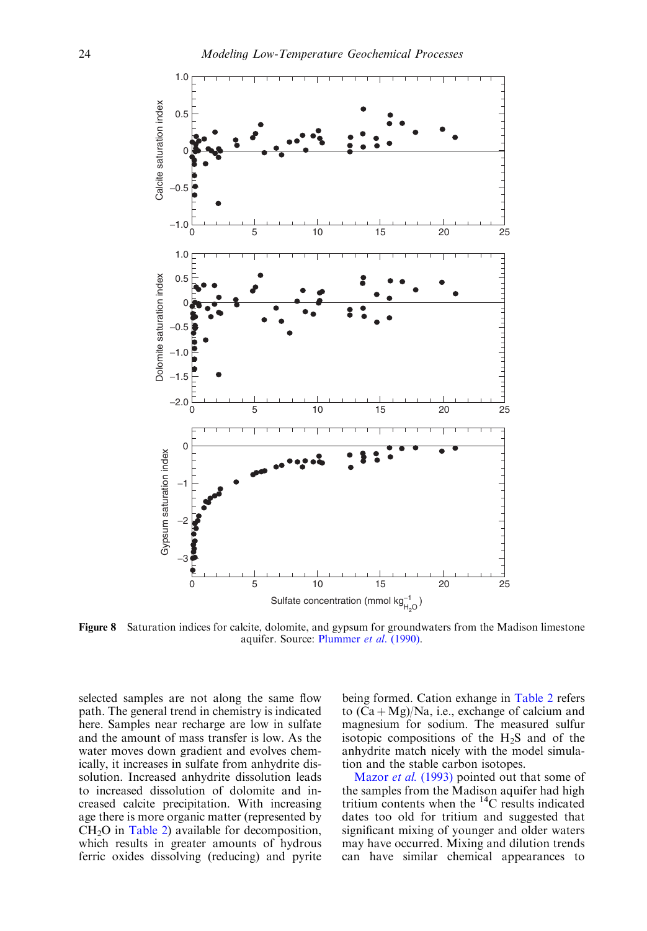<span id="page-23-0"></span>

Figure 8 Saturation indices for calcite, dolomite, and gypsum for groundwaters from the Madison limestone aquifer. Source: [Plummer](#page-35-0) et al. (1990).

selected samples are not along the same flow path. The general trend in chemistry is indicated here. Samples near recharge are low in sulfate and the amount of mass transfer is low. As the water moves down gradient and evolves chemically, it increases in sulfate from anhydrite dissolution. Increased anhydrite dissolution leads to increased dissolution of dolomite and increased calcite precipitation. With increasing age there is more organic matter (represented by  $CH<sub>2</sub>O$  in [Table 2\)](#page-24-0) available for decomposition, which results in greater amounts of hydrous ferric oxides dissolving (reducing) and pyrite

being formed. Cation exhange in [Table 2](#page-24-0) refers to  $(Ca + Mg)/Na$ , i.e., exchange of calcium and magnesium for sodium. The measured sulfur isotopic compositions of the  $H_2S$  and of the anhydrite match nicely with the model simulation and the stable carbon isotopes.

[Mazor](#page-34-0) *et al.* (1993) pointed out that some of the samples from the Madison aquifer had high tritium contents when the 14C results indicated dates too old for tritium and suggested that significant mixing of younger and older waters may have occurred. Mixing and dilution trends can have similar chemical appearances to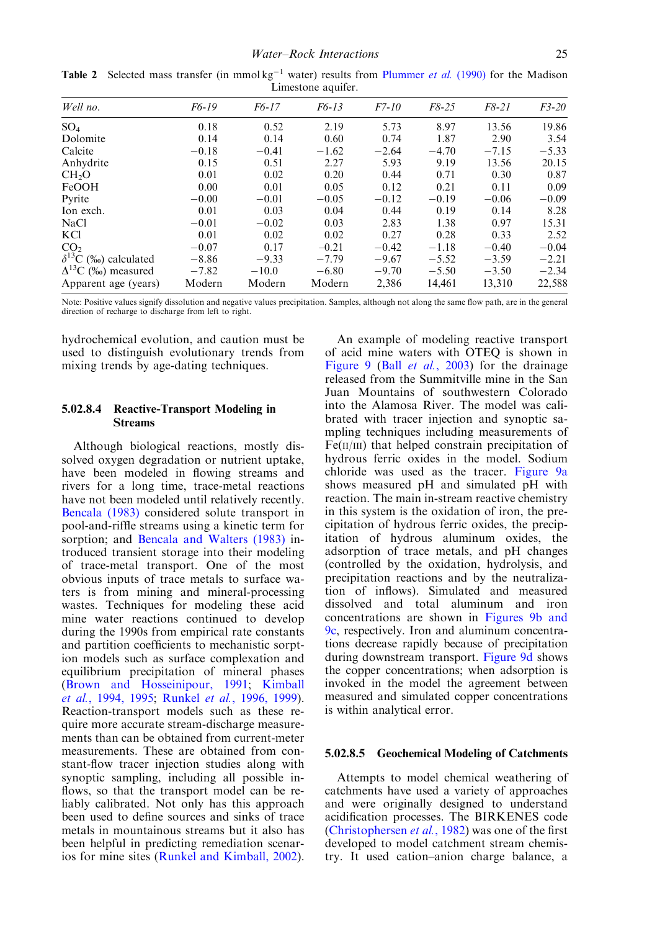| F6-19   | <i>F</i> 6-17 | $F6-13$ | <i>F7-10</i> | $F8-25$ | $F8-21$ | $F3-20$ |
|---------|---------------|---------|--------------|---------|---------|---------|
| 0.18    | 0.52          | 2.19    | 5.73         | 8.97    | 13.56   | 19.86   |
| 0.14    | 0.14          | 0.60    | 0.74         | 1.87    | 2.90    | 3.54    |
| $-0.18$ | $-0.41$       | $-1.62$ | $-2.64$      | $-4.70$ | $-7.15$ | $-5.33$ |
| 0.15    | 0.51          | 2.27    | 5.93         | 9.19    | 13.56   | 20.15   |
| 0.01    | 0.02          | 0.20    | 0.44         | 0.71    | 0.30    | 0.87    |
| 0.00    | 0.01          | 0.05    | 0.12         | 0.21    | 0.11    | 0.09    |
| $-0.00$ | $-0.01$       | $-0.05$ | $-0.12$      | $-0.19$ | $-0.06$ | $-0.09$ |
| 0.01    | 0.03          | 0.04    | 0.44         | 0.19    | 0.14    | 8.28    |
| $-0.01$ | $-0.02$       | 0.03    | 2.83         | 1.38    | 0.97    | 15.31   |
| 0.01    | 0.02          | 0.02    | 0.27         | 0.28    | 0.33    | 2.52    |
| $-0.07$ | 0.17          | $-0.21$ | $-0.42$      | $-1.18$ | $-0.40$ | $-0.04$ |
| $-8.86$ | $-9.33$       | $-7.79$ | $-9.67$      | $-5.52$ | $-3.59$ | $-2.21$ |
| $-7.82$ | $-10.0$       | $-6.80$ | $-9.70$      | $-5.50$ | $-3.50$ | $-2.34$ |
| Modern  | Modern        | Modern  | 2,386        | 14,461  | 13,310  | 22,588  |
|         |               |         |              |         |         |         |

<span id="page-24-0"></span>Table 2 Selected mass transfer (in mmol kg<sup>-1</sup> water) results from [Plummer](#page-35-0) et al. (1990) for the Madison Limestone aquifer.

Note: Positive values signify dissolution and negative values precipitation. Samples, although not along the same flow path, are in the general direction of recharge to discharge from left to right.

hydrochemical evolution, and caution must be used to distinguish evolutionary trends from mixing trends by age-dating techniques.

#### 5.02.8.4 Reactive-Transport Modeling in Streams

Although biological reactions, mostly dissolved oxygen degradation or nutrient uptake, have been modeled in flowing streams and rivers for a long time, trace-metal reactions have not been modeled until relatively recently. [Bencala \(1983\)](#page-30-0) considered solute transport in pool-and-riffle streams using a kinetic term for sorption; and [Bencala and Walters \(1983\)](#page-30-0) introduced transient storage into their modeling of trace-metal transport. One of the most obvious inputs of trace metals to surface waters is from mining and mineral-processing wastes. Techniques for modeling these acid mine water reactions continued to develop during the 1990s from empirical rate constants and partition coefficients to mechanistic sorption models such as surface complexation and equilibrium precipitation of mineral phases [\(Brown and Hosseinipour, 1991;](#page-30-0) [Kimball](#page-33-0) et al.[, 1994, 1995](#page-33-0); Runkel et al.[, 1996, 1999](#page-36-0)). Reaction-transport models such as these require more accurate stream-discharge measurements than can be obtained from current-meter measurements. These are obtained from constant-flow tracer injection studies along with synoptic sampling, including all possible inflows, so that the transport model can be reliably calibrated. Not only has this approach been used to define sources and sinks of trace metals in mountainous streams but it also has been helpful in predicting remediation scenarios for mine sites [\(Runkel and Kimball, 2002](#page-36-0)).

An example of modeling reactive transport of acid mine waters with OTEQ is shown in [Figure 9](#page-25-0) (Ball *et al.*[, 2003](#page-30-0)) for the drainage released from the Summitville mine in the San Juan Mountains of southwestern Colorado into the Alamosa River. The model was calibrated with tracer injection and synoptic sampling techniques including measurements of  $Fe(II/III)$  that helped constrain precipitation of hydrous ferric oxides in the model. Sodium chloride was used as the tracer. [Figure 9a](#page-25-0) shows measured pH and simulated pH with reaction. The main in-stream reactive chemistry in this system is the oxidation of iron, the precipitation of hydrous ferric oxides, the precipitation of hydrous aluminum oxides, the adsorption of trace metals, and pH changes (controlled by the oxidation, hydrolysis, and precipitation reactions and by the neutralization of inflows). Simulated and measured dissolved and total aluminum and iron concentrations are shown in [Figures 9b and](#page-25-0) [9c,](#page-25-0) respectively. Iron and aluminum concentrations decrease rapidly because of precipitation during downstream transport. [Figure 9d](#page-25-0) shows the copper concentrations; when adsorption is invoked in the model the agreement between measured and simulated copper concentrations is within analytical error.

#### 5.02.8.5 Geochemical Modeling of Catchments

Attempts to model chemical weathering of catchments have used a variety of approaches and were originally designed to understand acidification processes. The BIRKENES code ([Christophersen](#page-31-0) *et al.*, 1982) was one of the first developed to model catchment stream chemistry. It used cation–anion charge balance, a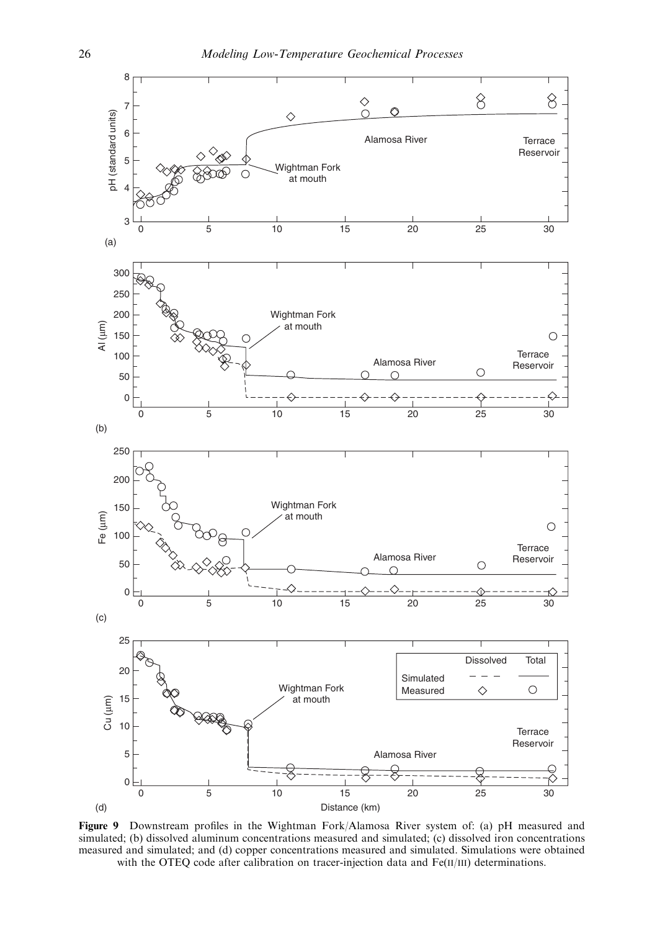<span id="page-25-0"></span>

Figure 9 Downstream profiles in the Wightman Fork/Alamosa River system of: (a) pH measured and simulated; (b) dissolved aluminum concentrations measured and simulated; (c) dissolved iron concentrations measured and simulated; and (d) copper concentrations measured and simulated. Simulations were obtained with the OTEQ code after calibration on tracer-injection data and  $Fe(II/III)$  determinations.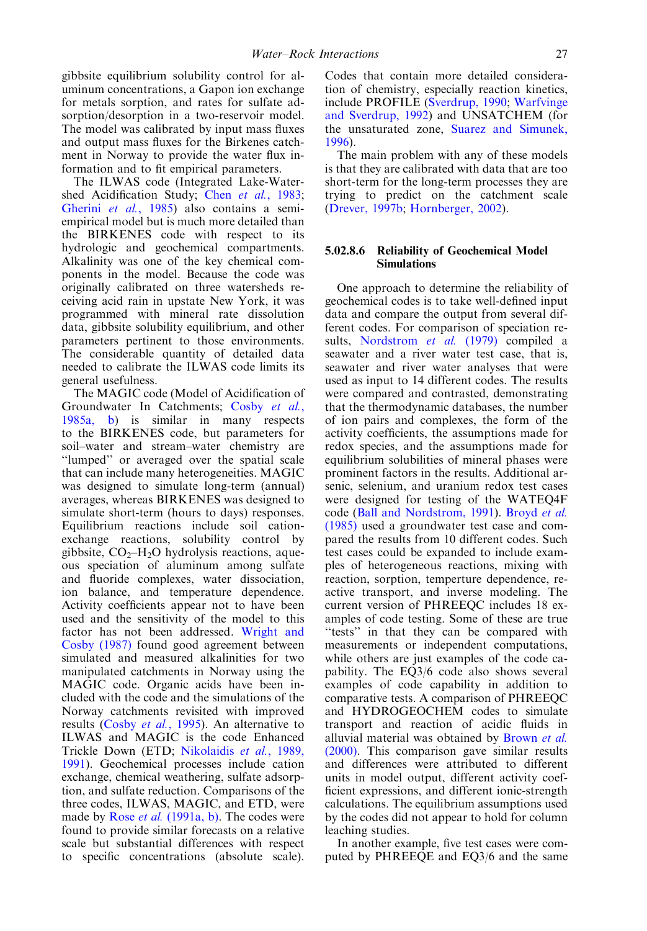gibbsite equilibrium solubility control for aluminum concentrations, a Gapon ion exchange for metals sorption, and rates for sulfate adsorption/desorption in a two-reservoir model. The model was calibrated by input mass fluxes and output mass fluxes for the Birkenes catchment in Norway to provide the water flux information and to fit empirical parameters.

The ILWAS code (Integrated Lake-Watershed Acidification Study; Chen et al.[, 1983;](#page-31-0) [Gherini](#page-31-0) et al., 1985) also contains a semiempirical model but is much more detailed than the BIRKENES code with respect to its hydrologic and geochemical compartments. Alkalinity was one of the key chemical components in the model. Because the code was originally calibrated on three watersheds receiving acid rain in upstate New York, it was programmed with mineral rate dissolution data, gibbsite solubility equilibrium, and other parameters pertinent to those environments. The considerable quantity of detailed data needed to calibrate the ILWAS code limits its general usefulness.

The MAGIC code (Model of Acidification of Groundwater In Catchments; [Cosby](#page-31-0) et al., [1985a, b\)](#page-31-0) is similar in many respects to the BIRKENES code, but parameters for soil–water and stream–water chemistry are ''lumped'' or averaged over the spatial scale that can include many heterogeneities. MAGIC was designed to simulate long-term (annual) averages, whereas BIRKENES was designed to simulate short-term (hours to days) responses. Equilibrium reactions include soil cationexchange reactions, solubility control by gibbsite,  $CO<sub>2</sub>–H<sub>2</sub>O$  hydrolysis reactions, aqueous speciation of aluminum among sulfate and fluoride complexes, water dissociation, ion balance, and temperature dependence. Activity coefficients appear not to have been used and the sensitivity of the model to this factor has not been addressed. [Wright and](#page-37-0) [Cosby \(1987\)](#page-37-0) found good agreement between simulated and measured alkalinities for two manipulated catchments in Norway using the MAGIC code. Organic acids have been included with the code and the simulations of the Norway catchments revisited with improved results ([Cosby](#page-31-0) et al., 1995). An alternative to ILWAS and MAGIC is the code Enhanced Trickle Down (ETD; [Nikolaidis](#page-34-0) et al., 1989, [1991\)](#page-34-0). Geochemical processes include cation exchange, chemical weathering, sulfate adsorption, and sulfate reduction. Comparisons of the three codes, ILWAS, MAGIC, and ETD, were made by Rose *et al.* [\(1991a, b\)](#page-35-0). The codes were found to provide similar forecasts on a relative scale but substantial differences with respect to specific concentrations (absolute scale).

Codes that contain more detailed consideration of chemistry, especially reaction kinetics, include PROFILE ([Sverdrup, 1990;](#page-36-0) [Warfvinge](#page-37-0) [and Sverdrup, 1992](#page-37-0)) and UNSATCHEM (for the unsaturated zone, [Suarez and Simunek,](#page-36-0) [1996](#page-36-0)).

The main problem with any of these models is that they are calibrated with data that are too short-term for the long-term processes they are trying to predict on the catchment scale ([Drever, 1997b;](#page-31-0) [Hornberger, 2002\)](#page-32-0).

# 5.02.8.6 Reliability of Geochemical Model Simulations

One approach to determine the reliability of geochemical codes is to take well-defined input data and compare the output from several different codes. For comparison of speciation re-sults, [Nordstrom](#page-34-0) *et al.* (1979) compiled a seawater and a river water test case, that is, seawater and river water analyses that were used as input to 14 different codes. The results were compared and contrasted, demonstrating that the thermodynamic databases, the number of ion pairs and complexes, the form of the activity coefficients, the assumptions made for redox species, and the assumptions made for equilibrium solubilities of mineral phases were prominent factors in the results. Additional arsenic, selenium, and uranium redox test cases were designed for testing of the WATEQ4F code ([Ball and Nordstrom, 1991\)](#page-30-0). [Broyd](#page-30-0) et al. [\(1985\)](#page-30-0) used a groundwater test case and compared the results from 10 different codes. Such test cases could be expanded to include examples of heterogeneous reactions, mixing with reaction, sorption, temperture dependence, reactive transport, and inverse modeling. The current version of PHREEQC includes 18 examples of code testing. Some of these are true "tests" in that they can be compared with measurements or independent computations, while others are just examples of the code capability. The EQ3/6 code also shows several examples of code capability in addition to comparative tests. A comparison of PHREEQC and HYDROGEOCHEM codes to simulate transport and reaction of acidic fluids in alluvial material was obtained by **[Brown](#page-30-0)** et al. [\(2000\).](#page-30-0) This comparison gave similar results and differences were attributed to different units in model output, different activity coefficient expressions, and different ionic-strength calculations. The equilibrium assumptions used by the codes did not appear to hold for column leaching studies.

In another example, five test cases were computed by PHREEQE and EQ3/6 and the same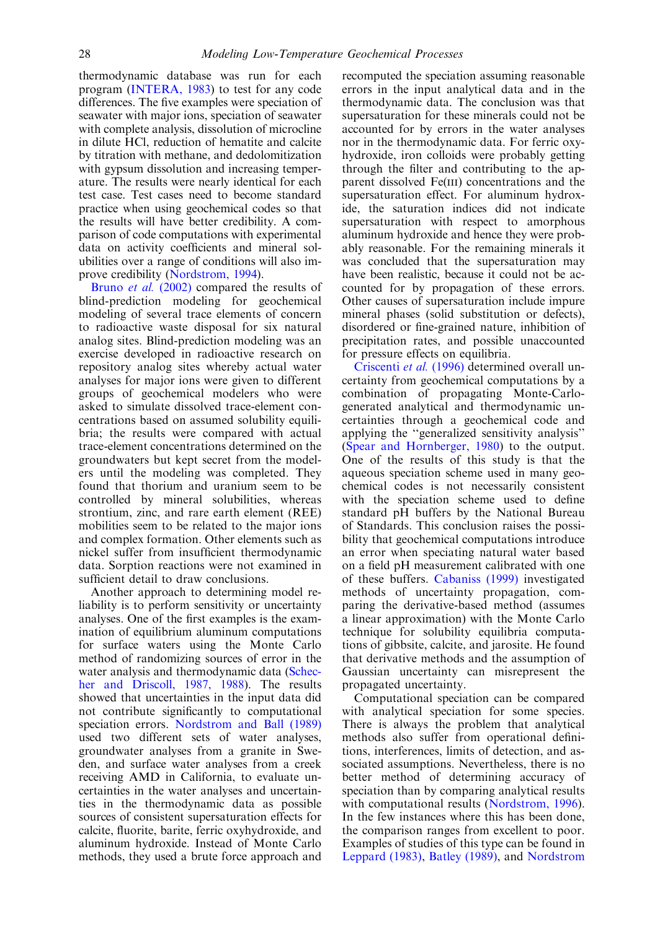thermodynamic database was run for each program [\(INTERA, 1983](#page-32-0)) to test for any code differences. The five examples were speciation of seawater with major ions, speciation of seawater with complete analysis, dissolution of microcline in dilute HCl, reduction of hematite and calcite by titration with methane, and dedolomitization with gypsum dissolution and increasing temperature. The results were nearly identical for each test case. Test cases need to become standard practice when using geochemical codes so that the results will have better credibility. A comparison of code computations with experimental data on activity coefficients and mineral solubilities over a range of conditions will also improve credibility [\(Nordstrom, 1994\)](#page-34-0).

[Bruno](#page-30-0) et al. (2002) compared the results of blind-prediction modeling for geochemical modeling of several trace elements of concern to radioactive waste disposal for six natural analog sites. Blind-prediction modeling was an exercise developed in radioactive research on repository analog sites whereby actual water analyses for major ions were given to different groups of geochemical modelers who were asked to simulate dissolved trace-element concentrations based on assumed solubility equilibria; the results were compared with actual trace-element concentrations determined on the groundwaters but kept secret from the modelers until the modeling was completed. They found that thorium and uranium seem to be controlled by mineral solubilities, whereas strontium, zinc, and rare earth element (REE) mobilities seem to be related to the major ions and complex formation. Other elements such as nickel suffer from insufficient thermodynamic data. Sorption reactions were not examined in sufficient detail to draw conclusions.

Another approach to determining model reliability is to perform sensitivity or uncertainty analyses. One of the first examples is the examination of equilibrium aluminum computations for surface waters using the Monte Carlo method of randomizing sources of error in the water analysis and thermodynamic data [\(Schec](#page-36-0)[her and Driscoll, 1987, 1988](#page-36-0)). The results showed that uncertainties in the input data did not contribute significantly to computational speciation errors. [Nordstrom and Ball \(1989\)](#page-34-0) used two different sets of water analyses, groundwater analyses from a granite in Sweden, and surface water analyses from a creek receiving AMD in California, to evaluate uncertainties in the water analyses and uncertainties in the thermodynamic data as possible sources of consistent supersaturation effects for calcite, fluorite, barite, ferric oxyhydroxide, and aluminum hydroxide. Instead of Monte Carlo methods, they used a brute force approach and

recomputed the speciation assuming reasonable errors in the input analytical data and in the thermodynamic data. The conclusion was that supersaturation for these minerals could not be accounted for by errors in the water analyses nor in the thermodynamic data. For ferric oxyhydroxide, iron colloids were probably getting through the filter and contributing to the apparent dissolved Fe(III) concentrations and the supersaturation effect. For aluminum hydroxide, the saturation indices did not indicate supersaturation with respect to amorphous aluminum hydroxide and hence they were probably reasonable. For the remaining minerals it was concluded that the supersaturation may have been realistic, because it could not be accounted for by propagation of these errors. Other causes of supersaturation include impure mineral phases (solid substitution or defects), disordered or fine-grained nature, inhibition of precipitation rates, and possible unaccounted for pressure effects on equilibria.

[Criscenti](#page-31-0) et al. (1996) determined overall uncertainty from geochemical computations by a combination of propagating Monte-Carlogenerated analytical and thermodynamic uncertainties through a geochemical code and applying the ''generalized sensitivity analysis'' ([Spear and Hornberger, 1980\)](#page-36-0) to the output. One of the results of this study is that the aqueous speciation scheme used in many geochemical codes is not necessarily consistent with the speciation scheme used to define standard pH buffers by the National Bureau of Standards. This conclusion raises the possibility that geochemical computations introduce an error when speciating natural water based on a field pH measurement calibrated with one of these buffers. [Cabaniss \(1999\)](#page-30-0) investigated methods of uncertainty propagation, comparing the derivative-based method (assumes a linear approximation) with the Monte Carlo technique for solubility equilibria computations of gibbsite, calcite, and jarosite. He found that derivative methods and the assumption of Gaussian uncertainty can misrepresent the propagated uncertainty.

Computational speciation can be compared with analytical speciation for some species. There is always the problem that analytical methods also suffer from operational definitions, interferences, limits of detection, and associated assumptions. Nevertheless, there is no better method of determining accuracy of speciation than by comparing analytical results with computational results ([Nordstrom, 1996\)](#page-34-0). In the few instances where this has been done, the comparison ranges from excellent to poor. Examples of studies of this type can be found in [Leppard \(1983\),](#page-33-0) [Batley \(1989\)](#page-30-0), and [Nordstrom](#page-34-0)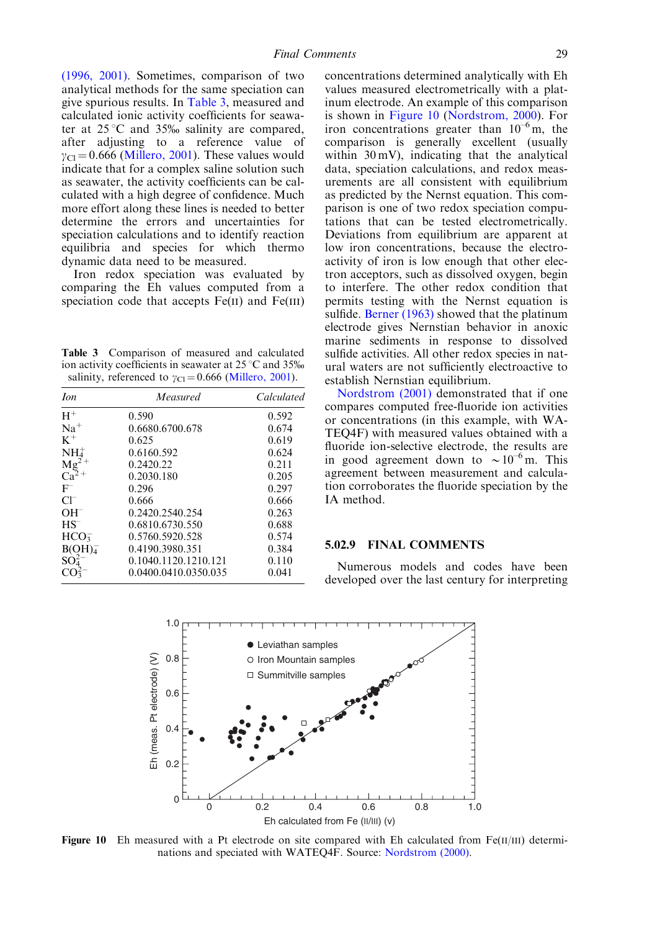[\(1996, 2001\)](#page-34-0). Sometimes, comparison of two analytical methods for the same speciation can give spurious results. In Table 3, measured and calculated ionic activity coefficients for seawater at  $25^{\circ}$ C and  $35\%$  salinity are compared, after adjusting to a reference value of  $\gamma_{\text{Cl}} = 0.666$  ([Millero, 2001\)](#page-34-0). These values would indicate that for a complex saline solution such as seawater, the activity coefficients can be calculated with a high degree of confidence. Much more effort along these lines is needed to better determine the errors and uncertainties for speciation calculations and to identify reaction equilibria and species for which thermo dynamic data need to be measured.

Iron redox speciation was evaluated by comparing the Eh values computed from a speciation code that accepts  $Fe(II)$  and  $Fe(III)$ 

Table 3 Comparison of measured and calculated ion activity coefficients in seawater at  $25^{\circ}$ C and  $35\%$ salinity, referenced to  $\gamma_{\text{Cl}} = 0.666$  ([Millero, 2001](#page-34-0)).

| <i>Ion</i>                   | Measured             | Calculated |
|------------------------------|----------------------|------------|
| $H^+$                        | 0.590                | 0.592      |
| $Na+$                        | 0.6680.6700.678      | 0.674      |
| $K^+$                        | 0.625                | 0.619      |
| $NH4+$                       | 0.6160.592           | 0.624      |
| $Mg^2$                       | 0.2420.22            | 0.211      |
| $Ca^{2+}$                    | 0.2030.180           | 0.205      |
| $F^-$                        | 0.296                | 0.297      |
| $Cl^-$                       | 0.666                | 0.666      |
| $OH^-$                       | 0.2420.2540.254      | 0.263      |
| $HS^-$                       | 0.6810.6730.550      | 0.688      |
| HCO <sub>3</sub>             | 0.5760.5920.528      | 0.574      |
| B(OH) <sub>4</sub>           | 0.4190.3980.351      | 0.384      |
| SO <sub>4</sub> <sup>2</sup> | 0.1040.1120.1210.121 | 0.110      |
| CO5                          | 0.0400.0410.0350.035 | 0.041      |

concentrations determined analytically with Eh values measured electrometrically with a platinum electrode. An example of this comparison is shown in Figure 10 ([Nordstrom, 2000\)](#page-34-0). For iron concentrations greater than  $10^{-6}$  m, the comparison is generally excellent (usually within 30 mV), indicating that the analytical data, speciation calculations, and redox measurements are all consistent with equilibrium as predicted by the Nernst equation. This comparison is one of two redox speciation computations that can be tested electrometrically. Deviations from equilibrium are apparent at low iron concentrations, because the electroactivity of iron is low enough that other electron acceptors, such as dissolved oxygen, begin to interfere. The other redox condition that permits testing with the Nernst equation is sulfide. [Berner \(1963\)](#page-30-0) showed that the platinum electrode gives Nernstian behavior in anoxic marine sediments in response to dissolved sulfide activities. All other redox species in natural waters are not sufficiently electroactive to

establish Nernstian equilibrium. [Nordstrom \(2001\)](#page-34-0) demonstrated that if one compares computed free-fluoride ion activities or concentrations (in this example, with WA-TEQ4F) with measured values obtained with a fluoride ion-selective electrode, the results are in good agreement down to  $\sim 10^{-6}$  m. This agreement between measurement and calculation corroborates the fluoride speciation by the IA method.

## 5.02.9 FINAL COMMENTS

Numerous models and codes have been developed over the last century for interpreting



**Figure 10** Eh measured with a Pt electrode on site compared with Eh calculated from  $Fe(II/III)$  determinations and speciated with WATEQ4F. Source: [Nordstrom \(2000\).](#page-34-0)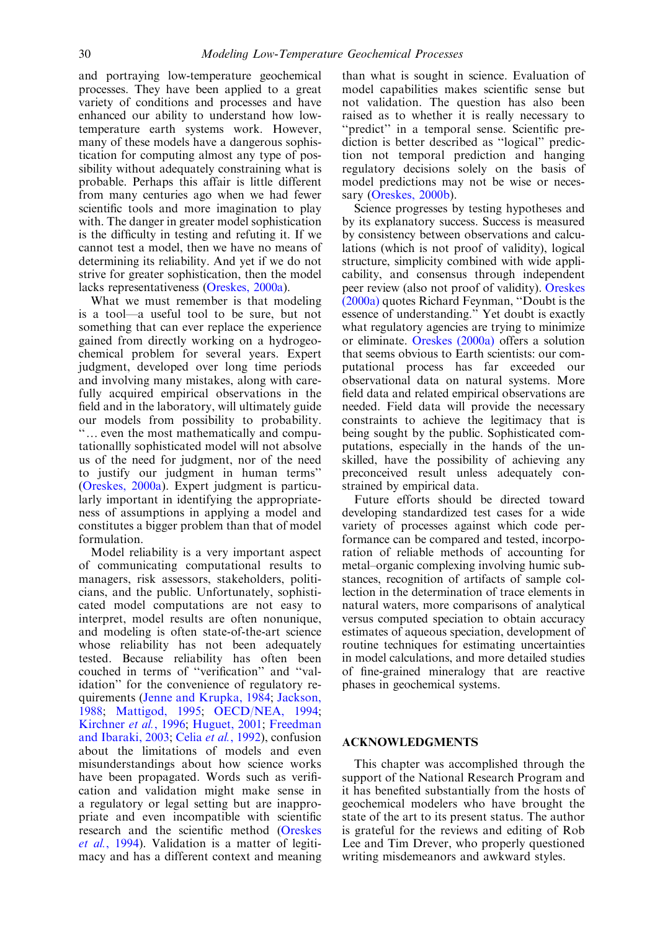and portraying low-temperature geochemical processes. They have been applied to a great variety of conditions and processes and have enhanced our ability to understand how lowtemperature earth systems work. However, many of these models have a dangerous sophistication for computing almost any type of possibility without adequately constraining what is probable. Perhaps this affair is little different from many centuries ago when we had fewer scientific tools and more imagination to play with. The danger in greater model sophistication is the difficulty in testing and refuting it. If we cannot test a model, then we have no means of determining its reliability. And yet if we do not strive for greater sophistication, then the model lacks representativeness [\(Oreskes, 2000a\)](#page-34-0).

What we must remember is that modeling is a tool—a useful tool to be sure, but not something that can ever replace the experience gained from directly working on a hydrogeochemical problem for several years. Expert judgment, developed over long time periods and involving many mistakes, along with carefully acquired empirical observations in the field and in the laboratory, will ultimately guide our models from possibility to probability. "... even the most mathematically and computationallly sophisticated model will not absolve us of the need for judgment, nor of the need to justify our judgment in human terms'' ([Oreskes, 2000a](#page-34-0)). Expert judgment is particularly important in identifying the appropriateness of assumptions in applying a model and constitutes a bigger problem than that of model formulation.

Model reliability is a very important aspect of communicating computational results to managers, risk assessors, stakeholders, politicians, and the public. Unfortunately, sophisticated model computations are not easy to interpret, model results are often nonunique, and modeling is often state-of-the-art science whose reliability has not been adequately tested. Because reliability has often been couched in terms of ''verification'' and ''validation'' for the convenience of regulatory requirements ([Jenne and Krupka, 1984;](#page-33-0) [Jackson,](#page-32-0) [1988](#page-32-0); [Mattigod, 1995;](#page-33-0) [OECD/NEA, 1994;](#page-34-0) [Kirchner](#page-33-0) et al., 1996; [Huguet, 2001](#page-32-0); [Freedman](#page-31-0) [and Ibaraki, 2003](#page-31-0); Celia et al.[, 1992](#page-30-0)), confusion about the limitations of models and even misunderstandings about how science works have been propagated. Words such as verification and validation might make sense in a regulatory or legal setting but are inappropriate and even incompatible with scientific research and the scientific method ([Oreskes](#page-34-0) et al.[, 1994](#page-34-0)). Validation is a matter of legitimacy and has a different context and meaning

than what is sought in science. Evaluation of model capabilities makes scientific sense but not validation. The question has also been raised as to whether it is really necessary to "predict" in a temporal sense. Scientific prediction is better described as ''logical'' prediction not temporal prediction and hanging regulatory decisions solely on the basis of model predictions may not be wise or necessary ([Oreskes, 2000b\)](#page-34-0).

Science progresses by testing hypotheses and by its explanatory success. Success is measured by consistency between observations and calculations (which is not proof of validity), logical structure, simplicity combined with wide applicability, and consensus through independent peer review (also not proof of validity). [Oreskes](#page-34-0) [\(2000a\)](#page-34-0) quotes Richard Feynman, ''Doubt is the essence of understanding.'' Yet doubt is exactly what regulatory agencies are trying to minimize or eliminate. [Oreskes \(2000a\)](#page-34-0) offers a solution that seems obvious to Earth scientists: our computational process has far exceeded our observational data on natural systems. More field data and related empirical observations are needed. Field data will provide the necessary constraints to achieve the legitimacy that is being sought by the public. Sophisticated computations, especially in the hands of the unskilled, have the possibility of achieving any preconceived result unless adequately constrained by empirical data.

Future efforts should be directed toward developing standardized test cases for a wide variety of processes against which code performance can be compared and tested, incorporation of reliable methods of accounting for metal–organic complexing involving humic substances, recognition of artifacts of sample collection in the determination of trace elements in natural waters, more comparisons of analytical versus computed speciation to obtain accuracy estimates of aqueous speciation, development of routine techniques for estimating uncertainties in model calculations, and more detailed studies of fine-grained mineralogy that are reactive phases in geochemical systems.

# ACKNOWLEDGMENTS

This chapter was accomplished through the support of the National Research Program and it has benefited substantially from the hosts of geochemical modelers who have brought the state of the art to its present status. The author is grateful for the reviews and editing of Rob Lee and Tim Drever, who properly questioned writing misdemeanors and awkward styles.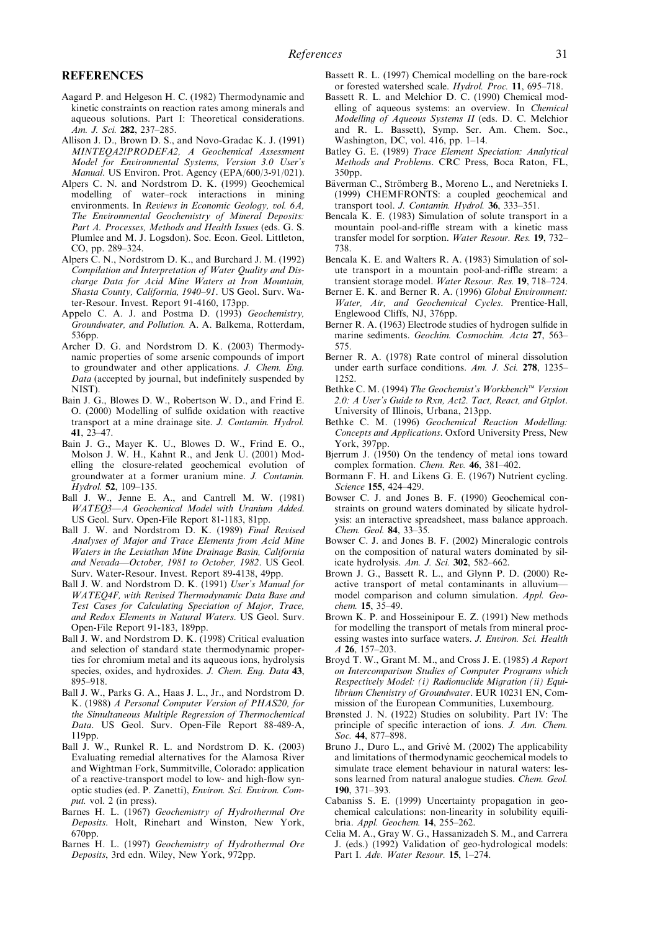# <span id="page-30-0"></span>**REFERENCES**

- Aagard P. and Helgeson H. C. (1982) Thermodynamic and kinetic constraints on reaction rates among minerals and aqueous solutions. Part I: Theoretical considerations. Am. J. Sci. 282, 237–285.
- Allison J. D., Brown D. S., and Novo-Gradac K. J. (1991) MINTEQA2/PRODEFA2, A Geochemical Assessment Model for Environmental Systems, Version 3.0 User's Manual. US Environ. Prot. Agency (EPA/600/3-91/021).
- Alpers C. N. and Nordstrom D. K. (1999) Geochemical modelling of water–rock interactions in mining environments. In Reviews in Economic Geology, vol. 6A, The Environmental Geochemistry of Mineral Deposits: Part A. Processes, Methods and Health Issues (eds. G. S. Plumlee and M. J. Logsdon). Soc. Econ. Geol. Littleton, CO, pp. 289–324.
- Alpers C. N., Nordstrom D. K., and Burchard J. M. (1992) Compilation and Interpretation of Water Quality and Discharge Data for Acid Mine Waters at Iron Mountain, Shasta County, California, 1940–91. US Geol. Surv. Water-Resour. Invest. Report 91-4160, 173pp.
- Appelo C. A. J. and Postma D. (1993) Geochemistry, Groundwater, and Pollution. A. A. Balkema, Rotterdam, 536pp.
- Archer D. G. and Nordstrom D. K. (2003) Thermodynamic properties of some arsenic compounds of import to groundwater and other applications. J. Chem. Eng. Data (accepted by journal, but indefinitely suspended by NIST).
- Bain J. G., Blowes D. W., Robertson W. D., and Frind E. O. (2000) Modelling of sulfide oxidation with reactive transport at a mine drainage site. J. Contamin. Hydrol. 41, 23–47.
- Bain J. G., Mayer K. U., Blowes D. W., Frind E. O., Molson J. W. H., Kahnt R., and Jenk U. (2001) Modelling the closure-related geochemical evolution of groundwater at a former uranium mine. J. Contamin. Hydrol. 52, 109–135.
- Ball J. W., Jenne E. A., and Cantrell M. W. (1981) WATEQ3—A Geochemical Model with Uranium Added. US Geol. Surv. Open-File Report 81-1183, 81pp.
- Ball J. W. and Nordstrom D. K. (1989) Final Revised Analyses of Major and Trace Elements from Acid Mine Waters in the Leviathan Mine Drainage Basin, California and Nevada—October, 1981 to October, 1982. US Geol. Surv. Water-Resour. Invest. Report 89-4138, 49pp.
- Ball J. W. and Nordstrom D. K. (1991) User's Manual for WATEQ4F, with Revised Thermodynamic Data Base and Test Cases for Calculating Speciation of Major, Trace, and Redox Elements in Natural Waters. US Geol. Surv. Open-File Report 91-183, 189pp.
- Ball J. W. and Nordstrom D. K. (1998) Critical evaluation and selection of standard state thermodynamic properties for chromium metal and its aqueous ions, hydrolysis species, oxides, and hydroxides. J. Chem. Eng. Data 43, 895–918.
- Ball J. W., Parks G. A., Haas J. L., Jr., and Nordstrom D. K. (1988) A Personal Computer Version of PHAS20, for the Simultaneous Multiple Regression of Thermochemical Data. US Geol. Surv. Open-File Report 88-489-A, 119pp.
- Ball J. W., Runkel R. L. and Nordstrom D. K. (2003) Evaluating remedial alternatives for the Alamosa River and Wightman Fork, Summitville, Colorado: application of a reactive-transport model to low- and high-flow synoptic studies (ed. P. Zanetti), Environ. Sci. Environ. Comput. vol. 2 (in press).
- Barnes H. L. (1967) Geochemistry of Hydrothermal Ore Deposits. Holt, Rinehart and Winston, New York, 670pp.
- Barnes H. L. (1997) Geochemistry of Hydrothermal Ore Deposits, 3rd edn. Wiley, New York, 972pp.
- Bassett R. L. (1997) Chemical modelling on the bare-rock or forested watershed scale. Hydrol. Proc. 11, 695–718.
- Bassett R. L. and Melchior D. C. (1990) Chemical modelling of aqueous systems: an overview. In Chemical Modelling of Aqueous Systems II (eds. D. C. Melchior and R. L. Bassett), Symp. Ser. Am. Chem. Soc., Washington, DC, vol. 416, pp. 1–14.
- Batley G. E. (1989) Trace Element Speciation: Analytical Methods and Problems. CRC Press, Boca Raton, FL, 350pp.
- Bäverman C., Strömberg B., Moreno L., and Neretnieks I. (1999) CHEMFRONTS: a coupled geochemical and transport tool. J. Contamin. Hydrol. 36, 333–351.
- Bencala K. E. (1983) Simulation of solute transport in a mountain pool-and-riffle stream with a kinetic mass transfer model for sorption. Water Resour. Res. 19, 732– 738.
- Bencala K. E. and Walters R. A. (1983) Simulation of solute transport in a mountain pool-and-riffle stream: a transient storage model. Water Resour. Res. 19, 718–724.
- Berner E. K. and Berner R. A. (1996) Global Environment: Water, Air, and Geochemical Cycles. Prentice-Hall, Englewood Cliffs, NJ, 376pp.
- Berner R. A. (1963) Electrode studies of hydrogen sulfide in marine sediments. Geochim. Cosmochim. Acta 27, 563– 575.
- Berner R. A. (1978) Rate control of mineral dissolution under earth surface conditions. Am. J. Sci. 278, 1235– 1252.
- Bethke C. M. (1994) The Geochemist's Workbench™ Version 2.0: A User's Guide to Rxn, Act2. Tact, React, and Gtplot. University of Illinois, Urbana, 213pp.
- Bethke C. M. (1996) Geochemical Reaction Modelling: Concepts and Applications. Oxford University Press, New York, 397pp.
- Bjerrum J. (1950) On the tendency of metal ions toward complex formation. Chem. Rev. 46, 381–402.
- Bormann F. H. and Likens G. E. (1967) Nutrient cycling. Science 155, 424–429.
- Bowser C. J. and Jones B. F. (1990) Geochemical constraints on ground waters dominated by silicate hydrolysis: an interactive spreadsheet, mass balance approach. Chem. Geol. 84, 33–35.
- Bowser C. J. and Jones B. F. (2002) Mineralogic controls on the composition of natural waters dominated by silicate hydrolysis. Am. J. Sci. 302, 582–662.
- Brown J. G., Bassett R. L., and Glynn P. D. (2000) Reactive transport of metal contaminants in alluvium model comparison and column simulation. Appl. Geochem. 15, 35–49.
- Brown K. P. and Hosseinipour E. Z. (1991) New methods for modelling the transport of metals from mineral processing wastes into surface waters. J. Environ. Sci. Health A 26, 157–203.
- Broyd T. W., Grant M. M., and Cross J. E. (1985) A Report on Intercomparison Studies of Computer Programs which Respectively Model: (i) Radionuclide Migration (ii) Equilibrium Chemistry of Groundwater. EUR 10231 EN, Commission of the European Communities, Luxembourg.
- Brønsted J. N. (1922) Studies on solubility. Part IV: The principle of specific interaction of ions. J. Am. Chem. Soc. 44, 877-898.
- Bruno J., Duro L., and Grivé M. (2002) The applicability and limitations of thermodynamic geochemical models to simulate trace element behaviour in natural waters: lessons learned from natural analogue studies. Chem. Geol. 190, 371–393.
- Cabaniss S. E. (1999) Uncertainty propagation in geochemical calculations: non-linearity in solubility equilibria. Appl. Geochem. 14, 255–262.
- Celia M. A., Gray W. G., Hassanizadeh S. M., and Carrera J. (eds.) (1992) Validation of geo-hydrological models: Part I. Adv. Water Resour. 15, 1–274.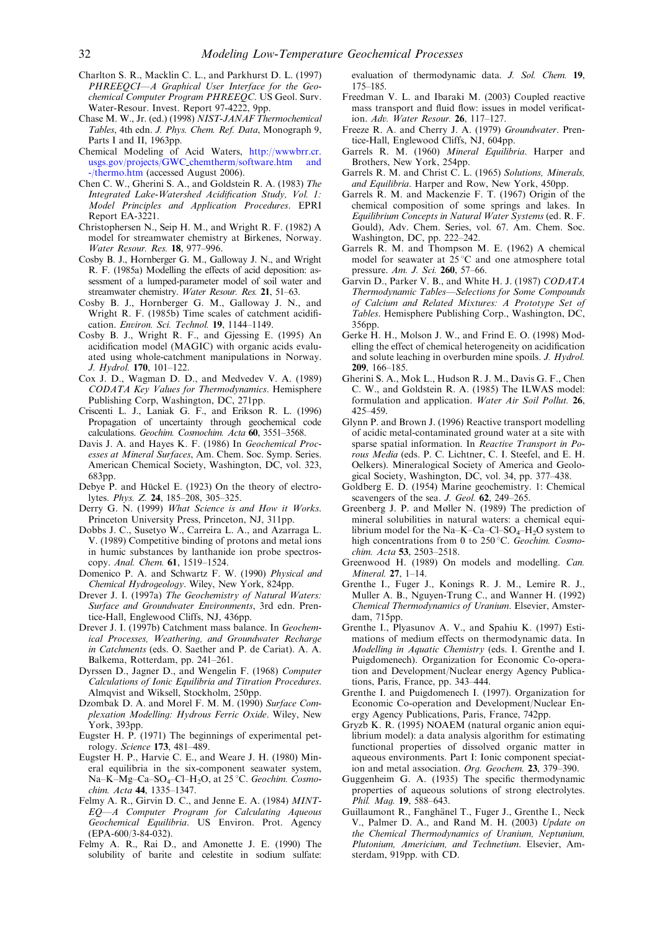- <span id="page-31-0"></span>Charlton S. R., Macklin C. L., and Parkhurst D. L. (1997) PHREEQCI-A Graphical User Interface for the Geochemical Computer Program PHREEQC. US Geol. Surv. Water-Resour. Invest. Report 97-4222, 9pp.
- Chase M. W., Jr. (ed.) (1998) NIST-JANAF Thermochemical Tables, 4th edn. J. Phys. Chem. Ref. Data, Monograph 9, Parts I and II, 1963pp.
- Chemical Modeling of Acid Waters, [http://wwwbrr.cr.](http://wwwbrr.cr.usgs.gov/projects/GWC_chemtherm/software.htm) [usgs.gov/projects/GWC](http://wwwbrr.cr.usgs.gov/projects/GWC_chemtherm/software.htm) [chemtherm/software.htm and](http://wwwbrr.cr.usgs.gov/projects/GWC_chemtherm/software.htm) [-/thermo.htm](http://wwwbrr.cr.usgs.gov/projects/GWC_chemtherm/software.htm) (accessed August 2006).
- Chen C. W., Gherini S. A., and Goldstein R. A. (1983) The Integrated Lake-Watershed Acidification Study, Vol. 1: Model Principles and Application Procedures. EPRI Report EA-3221.
- Christophersen N., Seip H. M., and Wright R. F. (1982) A model for streamwater chemistry at Birkenes, Norway. Water Resour. Res. 18, 977–996.
- Cosby B. J., Hornberger G. M., Galloway J. N., and Wright R. F. (1985a) Modelling the effects of acid deposition: assessment of a lumped-parameter model of soil water and streamwater chemistry. Water Resour. Res. 21, 51–63.
- Cosby B. J., Hornberger G. M., Galloway J. N., and Wright R. F. (1985b) Time scales of catchment acidification. Environ. Sci. Technol. 19, 1144–1149.
- Cosby B. J., Wright R. F., and Gjessing E. (1995) An acidification model (MAGIC) with organic acids evaluated using whole-catchment manipulations in Norway. J. Hydrol. 170, 101–122.
- Cox J. D., Wagman D. D., and Medvedev V. A. (1989) CODATA Key Values for Thermodynamics. Hemisphere Publishing Corp, Washington, DC, 271pp.
- Criscenti L. J., Laniak G. F., and Erikson R. L. (1996) Propagation of uncertainty through geochemical code calculations. Geochim. Cosmochim. Acta 60, 3551–3568.
- Davis J. A. and Hayes K. F. (1986) In Geochemical Processes at Mineral Surfaces, Am. Chem. Soc. Symp. Series. American Chemical Society, Washington, DC, vol. 323, 683pp.
- Debye P. and Hückel E. (1923) On the theory of electrolytes. Phys. Z. 24, 185–208, 305–325.
- Derry G. N. (1999) What Science is and How it Works. Princeton University Press, Princeton, NJ, 311pp.
- Dobbs J. C., Susetyo W., Carreira L. A., and Azarraga L. V. (1989) Competitive binding of protons and metal ions in humic substances by lanthanide ion probe spectroscopy. Anal. Chem. 61, 1519–1524.
- Domenico P. A. and Schwartz F. W. (1990) Physical and Chemical Hydrogeology. Wiley, New York, 824pp.
- Drever J. I. (1997a) The Geochemistry of Natural Waters: Surface and Groundwater Environments, 3rd edn. Prentice-Hall, Englewood Cliffs, NJ, 436pp.
- Drever J. I. (1997b) Catchment mass balance. In Geochemical Processes, Weathering, and Groundwater Recharge in Catchments (eds. O. Saether and P. de Cariat). A. A. Balkema, Rotterdam, pp. 241–261.
- Dyrssen D., Jagner D., and Wengelin F. (1968) Computer Calculations of Ionic Equilibria and Titration Procedures. Almqvist and Wiksell, Stockholm, 250pp.
- Dzombak D. A. and Morel F. M. M. (1990) Surface Complexation Modelling: Hydrous Ferric Oxide. Wiley, New York, 393pp.
- Eugster H. P. (1971) The beginnings of experimental petrology. Science 173, 481–489.
- Eugster H. P., Harvie C. E., and Weare J. H. (1980) Mineral equilibria in the six-component seawater system, Na–K–Mg–Ca–SO<sub>4</sub>–Cl–H<sub>2</sub>O, at 25 °C. Geochim. Cosmochim. Acta 44, 1335–1347.
- Felmy A. R., Girvin D. C., and Jenne E. A. (1984) MINT-EQ—A Computer Program for Calculating Aqueous Geochemical Equilibria. US Environ. Prot. Agency (EPA-600/3-84-032).
- Felmy A. R., Rai D., and Amonette J. E. (1990) The solubility of barite and celestite in sodium sulfate:

evaluation of thermodynamic data. J. Sol. Chem. 19, 175–185.

- Freedman V. L. and Ibaraki M. (2003) Coupled reactive mass transport and fluid flow: issues in model verification. Adv. Water Resour. 26, 117–127.
- Freeze R. A. and Cherry J. A. (1979) Groundwater. Prentice-Hall, Englewood Cliffs, NJ, 604pp.
- Garrels R. M. (1960) Mineral Equilibria. Harper and Brothers, New York, 254pp.
- Garrels R. M. and Christ C. L. (1965) Solutions, Minerals, and Equilibria. Harper and Row, New York, 450pp.
- Garrels R. M. and Mackenzie F. T. (1967) Origin of the chemical composition of some springs and lakes. In Equilibrium Concepts in Natural Water Systems (ed. R. F. Gould), Adv. Chem. Series, vol. 67. Am. Chem. Soc. Washington, DC, pp. 222–242.
- Garrels R. M. and Thompson M. E. (1962) A chemical model for seawater at  $25^{\circ}$ C and one atmosphere total pressure. Am. J. Sci. 260, 57–66.
- Garvin D., Parker V. B., and White H. J. (1987) CODATA Thermodynamic Tables—Selections for Some Compounds of Calcium and Related Mixtures: A Prototype Set of Tables. Hemisphere Publishing Corp., Washington, DC, 356pp.
- Gerke H. H., Molson J. W., and Frind E. O. (1998) Modelling the effect of chemical heterogeneity on acidification and solute leaching in overburden mine spoils. J. Hydrol. 209, 166–185.
- Gherini S. A., Mok L., Hudson R. J. M., Davis G. F., Chen C. W., and Goldstein R. A. (1985) The ILWAS model: formulation and application. Water Air Soil Pollut. 26, 425–459.
- Glynn P. and Brown J. (1996) Reactive transport modelling of acidic metal-contaminated ground water at a site with sparse spatial information. In Reactive Transport in Porous Media (eds. P. C. Lichtner, C. I. Steefel, and E. H. Oelkers). Mineralogical Society of America and Geological Society, Washington, DC, vol. 34, pp. 377–438.
- Goldberg E. D. (1954) Marine geochemistry. 1: Chemical scavengers of the sea. *J. Geol.* **62**, 249–265.
- Greenberg J. P. and Møller N. (1989) The prediction of mineral solubilities in natural waters: a chemical equilibrium model for the Na–K–Ca–Cl–SO<sub>4</sub>–H<sub>2</sub>O system to high concentrations from 0 to  $250^{\circ}$ C. Geochim. Cosmochim. Acta 53, 2503–2518.
- Greenwood H. (1989) On models and modelling. Can. Mineral. 27, 1–14.
- Grenthe I., Fuger J., Konings R. J. M., Lemire R. J., Muller A. B., Nguyen-Trung C., and Wanner H. (1992) Chemical Thermodynamics of Uranium. Elsevier, Amsterdam, 715pp.
- Grenthe I., Plyasunov A. V., and Spahiu K. (1997) Estimations of medium effects on thermodynamic data. In Modelling in Aquatic Chemistry (eds. I. Grenthe and I. Puigdomenech). Organization for Economic Co-operation and Development/Nuclear energy Agency Publications, Paris, France, pp. 343–444.
- Grenthe I. and Puigdomenech I. (1997). Organization for Economic Co-operation and Development/Nuclear Energy Agency Publications, Paris, France, 742pp.
- Gryzb K. R. (1995) NOAEM (natural organic anion equilibrium model): a data analysis algorithm for estimating functional properties of dissolved organic matter in aqueous environments. Part I: Ionic component speciation and metal association. Org. Geochem. 23, 379–390.
- Guggenheim G. A. (1935) The specific thermodynamic properties of aqueous solutions of strong electrolytes. Phil. Mag. 19, 588–643.
- Guillaumont R., Fanghänel T., Fuger J., Grenthe I., Neck V., Palmer D. A., and Rand M. H. (2003) Update on the Chemical Thermodynamics of Uranium, Neptunium, Plutonium, Americium, and Technetium. Elsevier, Amsterdam, 919pp. with CD.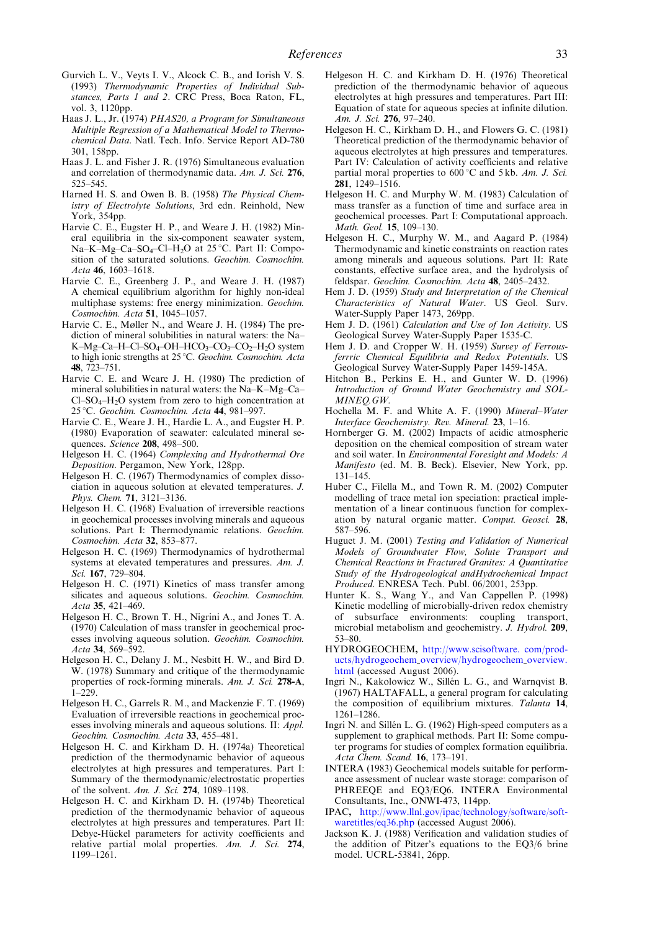- <span id="page-32-0"></span>Gurvich L. V., Veyts I. V., Alcock C. B., and Iorish V. S. (1993) Thermodynamic Properties of Individual Substances, Parts 1 and 2. CRC Press, Boca Raton, FL, vol. 3, 1120pp.
- Haas J. L., Jr. (1974) PHAS20, a Program for Simultaneous Multiple Regression of a Mathematical Model to Thermochemical Data. Natl. Tech. Info. Service Report AD-780 301, 158pp.
- Haas J. L. and Fisher J. R. (1976) Simultaneous evaluation and correlation of thermodynamic data. Am. J. Sci. 276, 525–545.
- Harned H. S. and Owen B. B. (1958) The Physical Chemistry of Electrolyte Solutions, 3rd edn. Reinhold, New York, 354pp.
- Harvie C. E., Eugster H. P., and Weare J. H. (1982) Mineral equilibria in the six-component seawater system, Na–K–Mg–Ca–SO<sub>4</sub>–Cl–H<sub>2</sub>O at 25 °C. Part II: Composition of the saturated solutions. Geochim. Cosmochim. Acta 46, 1603–1618.
- Harvie C. E., Greenberg J. P., and Weare J. H. (1987) A chemical equilibrium algorithm for highly non-ideal multiphase systems: free energy minimization. Geochim. Cosmochim. Acta 51, 1045–1057.
- Harvie C. E., Møller N., and Weare J. H. (1984) The prediction of mineral solubilities in natural waters: the Na– K–Mg–Ca–H–Cl–SO<sub>4</sub>–OH–HCO<sub>3</sub>–CO<sub>3</sub>–CO<sub>2</sub>–H<sub>2</sub>O system to high ionic strengths at 25 °C. Geochim. Cosmochim. Acta 48, 723–751.
- Harvie C. E. and Weare J. H. (1980) The prediction of mineral solubilities in natural waters: the Na–K–Mg–Ca–  $Cl-SO<sub>4</sub>–H<sub>2</sub>O$  system from zero to high concentration at 25 °C. Geochim. Cosmochim. Acta 44, 981-997.
- Harvie C. E., Weare J. H., Hardie L. A., and Eugster H. P. (1980) Evaporation of seawater: calculated mineral sequences. Science 208, 498–500.
- Helgeson H. C. (1964) Complexing and Hydrothermal Ore Deposition. Pergamon, New York, 128pp.
- Helgeson H. C. (1967) Thermodynamics of complex dissociation in aqueous solution at elevated temperatures. J. Phys. Chem. 71, 3121–3136.
- Helgeson H. C. (1968) Evaluation of irreversible reactions in geochemical processes involving minerals and aqueous solutions. Part I: Thermodynamic relations. Geochim. Cosmochim. Acta 32, 853–877.
- Helgeson H. C. (1969) Thermodynamics of hydrothermal systems at elevated temperatures and pressures. Am. J. Sci. 167, 729–804.
- Helgeson H. C. (1971) Kinetics of mass transfer among silicates and aqueous solutions. Geochim. Cosmochim. Acta 35, 421–469.
- Helgeson H. C., Brown T. H., Nigrini A., and Jones T. A. (1970) Calculation of mass transfer in geochemical processes involving aqueous solution. Geochim. Cosmochim. Acta 34, 569–592.
- Helgeson H. C., Delany J. M., Nesbitt H. W., and Bird D. W. (1978) Summary and critique of the thermodynamic properties of rock-forming minerals. Am. J. Sci. 278-A, 1–229.
- Helgeson H. C., Garrels R. M., and Mackenzie F. T. (1969) Evaluation of irreversible reactions in geochemical processes involving minerals and aqueous solutions. II: Appl. Geochim. Cosmochim. Acta 33, 455–481.
- Helgeson H. C. and Kirkham D. H. (1974a) Theoretical prediction of the thermodynamic behavior of aqueous electrolytes at high pressures and temperatures. Part I: Summary of the thermodynamic/electrostatic properties of the solvent. Am. J. Sci. 274, 1089–1198.
- Helgeson H. C. and Kirkham D. H. (1974b) Theoretical prediction of the thermodynamic behavior of aqueous electrolytes at high pressures and temperatures. Part II: Debye-Hückel parameters for activity coefficients and relative partial molal properties. Am. J. Sci. 274, 1199–1261.
- Helgeson H. C. and Kirkham D. H. (1976) Theoretical prediction of the thermodynamic behavior of aqueous electrolytes at high pressures and temperatures. Part III: Equation of state for aqueous species at infinite dilution. Am. J. Sci. 276, 97-240.
- Helgeson H. C., Kirkham D. H., and Flowers G. C. (1981) Theoretical prediction of the thermodynamic behavior of aqueous electrolytes at high pressures and temperatures. Part IV: Calculation of activity coefficients and relative partial moral properties to  $600^{\circ}\text{C}$  and 5 kb. Am. J. Sci. 281, 1249–1516.
- Helgeson H. C. and Murphy W. M. (1983) Calculation of mass transfer as a function of time and surface area in geochemical processes. Part I: Computational approach. Math. Geol. 15, 109–130.
- Helgeson H. C., Murphy W. M., and Aagard P. (1984) Thermodynamic and kinetic constraints on reaction rates among minerals and aqueous solutions. Part II: Rate constants, effective surface area, and the hydrolysis of feldspar. Geochim. Cosmochim. Acta 48, 2405–2432.
- Hem J. D. (1959) Study and Interpretation of the Chemical Characteristics of Natural Water. US Geol. Surv. Water-Supply Paper 1473, 269pp.
- Hem J. D. (1961) Calculation and Use of Ion Activity. US Geological Survey Water-Supply Paper 1535-C.
- Hem J. D. and Cropper W. H. (1959) Survey of Ferrousferrric Chemical Equilibria and Redox Potentials. US Geological Survey Water-Supply Paper 1459-145A.
- Hitchon B., Perkins E. H., and Gunter W. D. (1996) Introduction of Ground Water Geochemistry and SOL-MINEQ.GW.
- Hochella M. F. and White A. F. (1990) Mineral–Water Interface Geochemistry. Rev. Mineral. 23, 1–16.
- Hornberger G. M. (2002) Impacts of acidic atmospheric deposition on the chemical composition of stream water and soil water. In Environmental Foresight and Models: A Manifesto (ed. M. B. Beck). Elsevier, New York, pp. 131–145.
- Huber C., Filella M., and Town R. M. (2002) Computer modelling of trace metal ion speciation: practical implementation of a linear continuous function for complexation by natural organic matter. Comput. Geosci. 28, 587–596.
- Huguet J. M. (2001) Testing and Validation of Numerical Models of Groundwater Flow, Solute Transport and Chemical Reactions in Fractured Granites: A Quantitative Study of the Hydrogeological andHydrochemical Impact Produced. ENRESA Tech. Publ. 06/2001, 253pp.
- Hunter K. S., Wang Y., and Van Cappellen P. (1998) Kinetic modelling of microbially-driven redox chemistry of subsurface environments: coupling transport, microbial metabolism and geochemistry. J. Hydrol. 209, 53–80.
- HYDROGEOCHEM, [http://www.scisoftware. com/prod](http://www.scisoftware.com/products/hydrogeochem_overview/hydrogeochem_overview.html)[ucts/hydrogeochem](http://www.scisoftware.com/products/hydrogeochem_overview/hydrogeochem_overview.html) [overview/hydrogeochem](http://www.scisoftware.com/products/hydrogeochem_overview/hydrogeochem_overview.html) [overview.](http://www.scisoftware.com/products/hydrogeochem_overview/hydrogeochem_overview.html) [html](http://www.scisoftware.com/products/hydrogeochem_overview/hydrogeochem_overview.html) (accessed August 2006).
- Ingri N., Kakolowicz W., Sillén L. G., and Warnqvist B. (1967) HALTAFALL, a general program for calculating the composition of equilibrium mixtures. Talanta 14, 1261–1286.
- Ingri N. and Sillén L. G. (1962) High-speed computers as a supplement to graphical methods. Part II: Some computer programs for studies of complex formation equilibria. Acta Chem. Scand. 16, 173–191.
- INTERA (1983) Geochemical models suitable for performance assessment of nuclear waste storage: comparison of PHREEQE and EQ3/EQ6. INTERA Environmental Consultants, Inc., ONWI-473, 114pp.
- IPAC, [http://www.llnl.gov/ipac/technology/software/soft](http://www.llnl.gov/ipac/technology/software/softwaretitles/eq36.php)[waretitles/eq36.php](http://www.llnl.gov/ipac/technology/software/softwaretitles/eq36.php) (accessed August 2006).
- Jackson K. J. (1988) Verification and validation studies of the addition of Pitzer's equations to the EQ3/6 brine model. UCRL-53841, 26pp.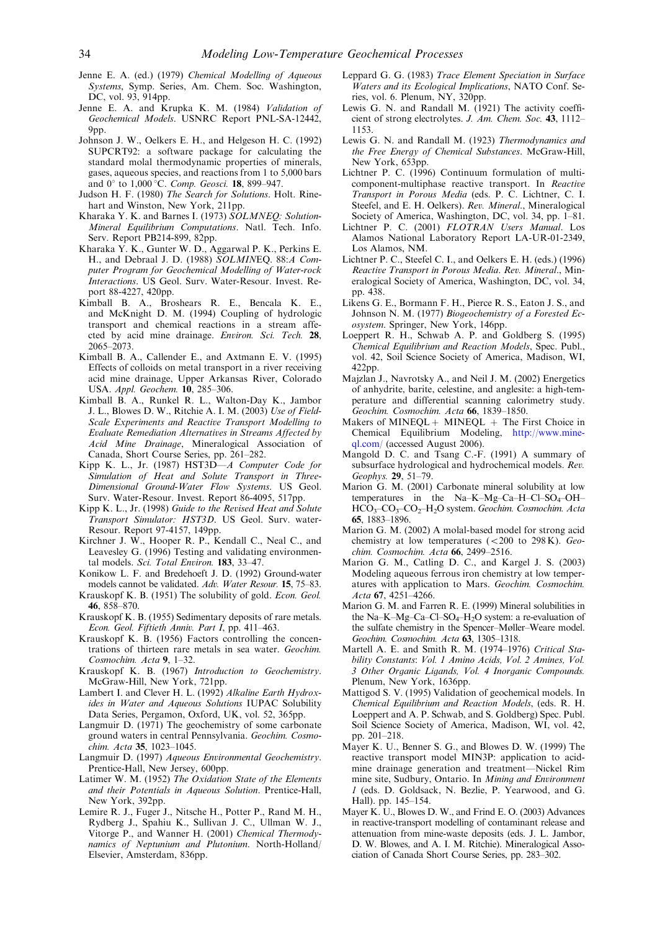- <span id="page-33-0"></span>Jenne E. A. (ed.) (1979) Chemical Modelling of Aqueous Systems, Symp. Series, Am. Chem. Soc. Washington, DC, vol. 93, 914pp.
- Jenne E. A. and Krupka K. M. (1984) Validation of Geochemical Models. USNRC Report PNL-SA-12442, 9pp.
- Johnson J. W., Oelkers E. H., and Helgeson H. C. (1992) SUPCRT92: a software package for calculating the standard molal thermodynamic properties of minerals, gases, aqueous species, and reactions from 1 to 5,000 bars and  $0^{\circ}$  to  $1,000$  °C. Comp. Geosci. 18, 899-947.
- Judson H. F. (1980) The Search for Solutions. Holt. Rinehart and Winston, New York, 211pp.
- Kharaka Y. K. and Barnes I. (1973) SOLMNEQ: Solution-Mineral Equilibrium Computations. Natl. Tech. Info. Serv. Report PB214-899, 82pp.
- Kharaka Y. K., Gunter W. D., Aggarwal P. K., Perkins E. H., and Debraal J. D. (1988) SOLMINEQ. 88:A Computer Program for Geochemical Modelling of Water-rock Interactions. US Geol. Surv. Water-Resour. Invest. Report 88-4227, 420pp.
- Kimball B. A., Broshears R. E., Bencala K. E., and McKnight D. M. (1994) Coupling of hydrologic transport and chemical reactions in a stream affected by acid mine drainage. Environ. Sci. Tech. 28, 2065–2073.
- Kimball B. A., Callender E., and Axtmann E. V. (1995) Effects of colloids on metal transport in a river receiving acid mine drainage, Upper Arkansas River, Colorado USA. Appl. Geochem. 10, 285–306.
- Kimball B. A., Runkel R. L., Walton-Day K., Jambor J. L., Blowes D. W., Ritchie A. I. M. (2003) Use of Field-Scale Experiments and Reactive Transport Modelling to Evaluate Remediation Alternatives in Streams Affected by Acid Mine Drainage, Mineralogical Association of Canada, Short Course Series, pp. 261–282.
- Kipp K. L., Jr. (1987) HST3D—A Computer Code for Simulation of Heat and Solute Transport in Three-Dimensional Ground-Water Flow Systems. US Geol. Surv. Water-Resour. Invest. Report 86-4095, 517pp.
- Kipp K. L., Jr. (1998) Guide to the Revised Heat and Solute Transport Simulator: HST3D. US Geol. Surv. water-Resour. Report 97-4157, 149pp.
- Kirchner J. W., Hooper R. P., Kendall C., Neal C., and Leavesley G. (1996) Testing and validating environmental models. Sci. Total Environ. 183, 33-47.
- Konikow L. F. and Bredehoeft J. D. (1992) Ground-water models cannot be validated. Adv. Water Resour. 15, 75–83.
- Krauskopf K. B. (1951) The solubility of gold. Econ. Geol. 46, 858–870.
- Krauskopf K. B. (1955) Sedimentary deposits of rare metals. Econ. Geol. Fiftieth Anniv. Part I, pp. 411–463.
- Krauskopf K. B. (1956) Factors controlling the concentrations of thirteen rare metals in sea water. Geochim. Cosmochim. Acta 9, 1–32.
- Krauskopf K. B. (1967) Introduction to Geochemistry. McGraw-Hill, New York, 721pp.
- Lambert I. and Clever H. L. (1992) Alkaline Earth Hydroxides in Water and Aqueous Solutions IUPAC Solubility Data Series, Pergamon, Oxford, UK, vol. 52, 365pp.
- Langmuir D. (1971) The geochemistry of some carbonate ground waters in central Pennsylvania. Geochim. Cosmochim. Acta 35, 1023–1045.
- Langmuir D. (1997) Aqueous Environmental Geochemistry. Prentice-Hall, New Jersey, 600pp.
- Latimer W. M. (1952) The Oxidation State of the Elements and their Potentials in Aqueous Solution. Prentice-Hall, New York, 392pp.
- Lemire R. J., Fuger J., Nitsche H., Potter P., Rand M. H., Rydberg J., Spahiu K., Sullivan J. C., Ullman W. J., Vitorge P., and Wanner H. (2001) Chemical Thermodynamics of Neptunium and Plutonium. North-Holland/ Elsevier, Amsterdam, 836pp.
- Leppard G. G. (1983) Trace Element Speciation in Surface Waters and its Ecological Implications, NATO Conf. Series, vol. 6. Plenum, NY, 320pp.
- Lewis G. N. and Randall M. (1921) The activity coefficient of strong electrolytes. J. Am. Chem. Soc. 43, 1112– 1153.
- Lewis G. N. and Randall M. (1923) Thermodynamics and the Free Energy of Chemical Substances. McGraw-Hill, New York, 653pp.
- Lichtner P. C. (1996) Continuum formulation of multicomponent-multiphase reactive transport. In Reactive Transport in Porous Media (eds. P. C. Lichtner, C. I. Steefel, and E. H. Oelkers). Rev. Mineral., Mineralogical Society of America, Washington, DC, vol. 34, pp. 1–81.
- Lichtner P. C. (2001) FLOTRAN Users Manual. Los Alamos National Laboratory Report LA-UR-01-2349, Los Alamos, NM.
- Lichtner P. C., Steefel C. I., and Oelkers E. H. (eds.) (1996) Reactive Transport in Porous Media. Rev. Mineral., Mineralogical Society of America, Washington, DC, vol. 34, pp. 438.
- Likens G. E., Bormann F. H., Pierce R. S., Eaton J. S., and Johnson N. M. (1977) Biogeochemistry of a Forested Ecosystem. Springer, New York, 146pp.
- Loeppert R. H., Schwab A. P. and Goldberg S. (1995) Chemical Equilibrium and Reaction Models, Spec. Publ., vol. 42, Soil Science Society of America, Madison, WI, 422pp.
- Majzlan J., Navrotsky A., and Neil J. M. (2002) Energetics of anhydrite, barite, celestine, and anglesite: a high-temperature and differential scanning calorimetry study. Geochim. Cosmochim. Acta 66, 1839–1850.
- Makers of MINEQL  $+$  MINEQL  $+$  The First Choice in Chemical Equilibrium Modeling, [http://www.mine](http://www.mineql.com/)[ql.com/](http://www.mineql.com/) (accessed August 2006).
- Mangold D. C. and Tsang C.-F. (1991) A summary of subsurface hydrological and hydrochemical models. Rev. Geophys. 29, 51–79.
- Marion G. M. (2001) Carbonate mineral solubility at low temperatures in the  $Na-K-Mg-Ca-H-Cl-SO<sub>4</sub>-OH HCO<sub>3</sub>-CO<sub>2</sub>-H<sub>2</sub>O$  system. Geochim. Cosmochim. Acta 65, 1883–1896.
- Marion G. M. (2002) A molal-based model for strong acid chemistry at low temperatures  $\approx$  200 to 298 K). Geochim. Cosmochim. Acta 66, 2499–2516.
- Marion G. M., Catling D. C., and Kargel J. S. (2003) Modeling aqueous ferrous iron chemistry at low temperatures with application to Mars. Geochim. Cosmochim. Acta 67, 4251–4266.
- Marion G. M. and Farren R. E. (1999) Mineral solubilities in the Na–K–Mg–Ca–Cl–SO<sub>4</sub>–H<sub>2</sub>O system: a re-evaluation of the sulfate chemistry in the Spencer–Møller–Weare model. Geochim. Cosmochim. Acta 63, 1305–1318.
- Martell A. E. and Smith R. M. (1974–1976) Critical Stability Constants: Vol. 1 Amino Acids, Vol. 2 Amines, Vol. 3 Other Organic Ligands, Vol. 4 Inorganic Compounds. Plenum, New York, 1636pp.
- Mattigod S. V. (1995) Validation of geochemical models. In Chemical Equilibrium and Reaction Models, (eds. R. H. Loeppert and A. P. Schwab, and S. Goldberg) Spec. Publ. Soil Science Society of America, Madison, WI, vol. 42, pp. 201–218.
- Mayer K. U., Benner S. G., and Blowes D. W. (1999) The reactive transport model MIN3P: application to acidmine drainage generation and treatment—Nickel Rim mine site, Sudbury, Ontario. In Mining and Environment 1 (eds. D. Goldsack, N. Bezlie, P. Yearwood, and G. Hall). pp. 145–154.
- Mayer K. U., Blowes D. W., and Frind E. O. (2003) Advances in reactive-transport modelling of contaminant release and attenuation from mine-waste deposits (eds. J. L. Jambor, D. W. Blowes, and A. I. M. Ritchie). Mineralogical Association of Canada Short Course Series, pp. 283–302.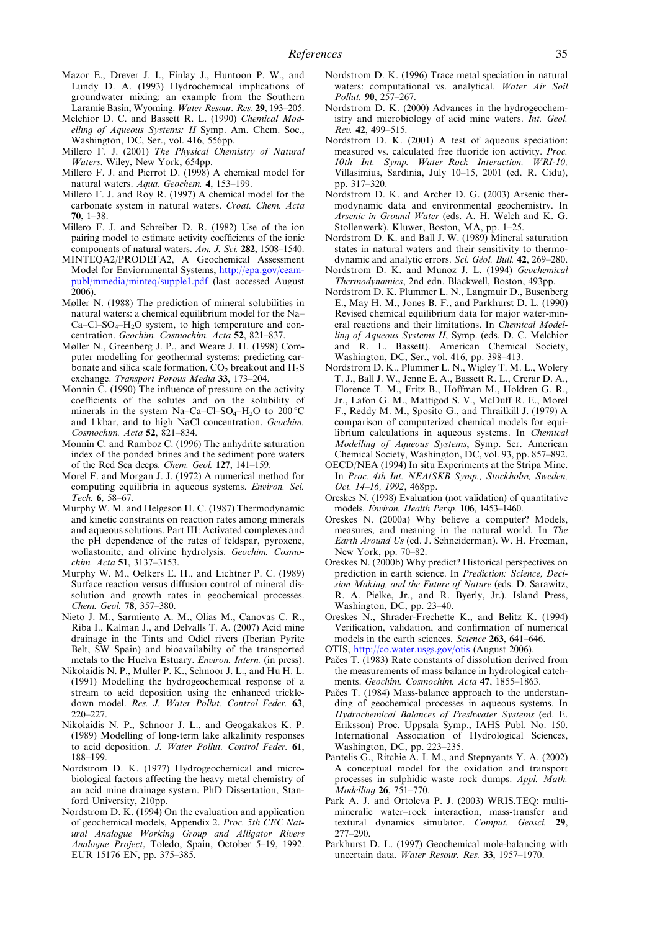- <span id="page-34-0"></span>Mazor E., Drever J. I., Finlay J., Huntoon P. W., and Lundy D. A. (1993) Hydrochemical implications of groundwater mixing: an example from the Southern Laramie Basin, Wyoming. Water Resour. Res. 29, 193–205.
- Melchior D. C. and Bassett R. L. (1990) Chemical Modelling of Aqueous Systems: II Symp. Am. Chem. Soc., Washington, DC, Ser., vol. 416, 556pp.
- Millero F. J. (2001) The Physical Chemistry of Natural Waters. Wiley, New York, 654pp.
- Millero F. J. and Pierrot D. (1998) A chemical model for natural waters. Aqua. Geochem. 4, 153–199.
- Millero F. J. and Roy R. (1997) A chemical model for the carbonate system in natural waters. Croat. Chem. Acta 70, 1–38.
- Millero F. J. and Schreiber D. R. (1982) Use of the ion pairing model to estimate activity coefficients of the ionic components of natural waters. Am. J. Sci. 282, 1508–1540.
- MINTEQA2/PRODEFA2, A Geochemical Assessment Model for Enviornmental Systems, [http://epa.gov/ceam](http://epa.gov/ceampubl/mmedia/minteq/SUPPLE1.PDF)[publ/mmedia/minteq/supple1.pdf](http://epa.gov/ceampubl/mmedia/minteq/SUPPLE1.PDF) (last accessed August 2006).
- Møller N. (1988) The prediction of mineral solubilities in natural waters: a chemical equilibrium model for the Na–  $Ca-Cl-SO<sub>4</sub>–H<sub>2</sub>O$  system, to high temperature and concentration. Geochim. Cosmochim. Acta 52, 821–837.
- Møller N., Greenberg J. P., and Weare J. H. (1998) Computer modelling for geothermal systems: predicting carbonate and silica scale formation,  $CO<sub>2</sub>$  breakout and  $H<sub>2</sub>S$ exchange. Transport Porous Media 33, 173–204.
- Monnin C. (1990) The influence of pressure on the activity coefficients of the solutes and on the solubility of minerals in the system Na–Ca–Cl–SO<sub>4</sub>–H<sub>2</sub>O to 200 °C and 1 kbar, and to high NaCl concentration. Geochim. Cosmochim. Acta 52, 821–834.
- Monnin C. and Ramboz C. (1996) The anhydrite saturation index of the ponded brines and the sediment pore waters of the Red Sea deeps. Chem. Geol. 127, 141–159.
- Morel F. and Morgan J. J. (1972) A numerical method for computing equilibria in aqueous systems. Environ. Sci. Tech. 6, 58–67.
- Murphy W. M. and Helgeson H. C. (1987) Thermodynamic and kinetic constraints on reaction rates among minerals and aqueous solutions. Part III: Activated complexes and the pH dependence of the rates of feldspar, pyroxene, wollastonite, and olivine hydrolysis. Geochim. Cosmochim. Acta 51, 3137–3153.
- Murphy W. M., Oelkers E. H., and Lichtner P. C. (1989) Surface reaction versus diffusion control of mineral dissolution and growth rates in geochemical processes. Chem. Geol. 78, 357–380.
- Nieto J. M., Sarmiento A. M., Olias M., Canovas C. R., Riba I., Kalman J., and Delvalls T. A. (2007) Acid mine drainage in the Tints and Odiel rivers (Iberian Pyrite Belt, SW Spain) and bioavailabilty of the transported metals to the Huelva Estuary. Environ. Intern. (in press).
- Nikolaidis N. P., Muller P. K., Schnoor J. L., and Hu H. L. (1991) Modelling the hydrogeochemical response of a stream to acid deposition using the enhanced trickledown model. Res. J. Water Pollut. Control Feder. 63, 220–227.
- Nikolaidis N. P., Schnoor J. L., and Geogakakos K. P. (1989) Modelling of long-term lake alkalinity responses to acid deposition. J. Water Pollut. Control Feder. 61, 188–199.
- Nordstrom D. K. (1977) Hydrogeochemical and microbiological factors affecting the heavy metal chemistry of an acid mine drainage system. PhD Dissertation, Stanford University, 210pp.
- Nordstrom D. K. (1994) On the evaluation and application of geochemical models, Appendix 2. Proc. 5th CEC Natural Analogue Working Group and Alligator Rivers Analogue Project, Toledo, Spain, October 5–19, 1992. EUR 15176 EN, pp. 375–385.
- Nordstrom D. K. (1996) Trace metal speciation in natural waters: computational vs. analytical. Water Air Soil Pollut. 90, 257–267.
- Nordstrom D. K. (2000) Advances in the hydrogeochemistry and microbiology of acid mine waters. Int. Geol. Rev. 42, 499–515.
- Nordstrom D. K. (2001) A test of aqueous speciation: measured vs. calculated free fluoride ion activity. Proc. 10th Int. Symp. Water–Rock Interaction, WRI-10, Villasimius, Sardinia, July 10–15, 2001 (ed. R. Cidu), pp. 317–320.
- Nordstrom D. K. and Archer D. G. (2003) Arsenic thermodynamic data and environmental geochemistry. In Arsenic in Ground Water (eds. A. H. Welch and K. G. Stollenwerk). Kluwer, Boston, MA, pp. 1–25.
- Nordstrom D. K. and Ball J. W. (1989) Mineral saturation states in natural waters and their sensitivity to thermodynamic and analytic errors. Sci. Géol. Bull. 42, 269-280.
- Nordstrom D. K. and Munoz J. L. (1994) Geochemical Thermodynamics, 2nd edn. Blackwell, Boston, 493pp.
- Nordstrom D. K. Plummer L. N., Langmuir D., Busenberg E., May H. M., Jones B. F., and Parkhurst D. L. (1990) Revised chemical equilibrium data for major water-mineral reactions and their limitations. In Chemical Modelling of Aqueous Systems II, Symp. (eds. D. C. Melchior and R. L. Bassett). American Chemical Society, Washington, DC, Ser., vol. 416, pp. 398–413.
- Nordstrom D. K., Plummer L. N., Wigley T. M. L., Wolery T. J., Ball J. W., Jenne E. A., Bassett R. L., Crerar D. A., Florence T. M., Fritz B., Hoffman M., Holdren G. R., Jr., Lafon G. M., Mattigod S. V., McDuff R. E., Morel F., Reddy M. M., Sposito G., and Thrailkill J. (1979) A comparison of computerized chemical models for equilibrium calculations in aqueous systems. In *Chemical* Modelling of Aqueous Systems, Symp. Ser. American Chemical Society, Washington, DC, vol. 93, pp. 857–892.
- OECD/NEA (1994) In situ Experiments at the Stripa Mine. In Proc. 4th Int. NEA/SKB Symp., Stockholm, Sweden, Oct. 14–16, 1992, 468pp.
- Oreskes N. (1998) Evaluation (not validation) of quantitative models. Environ. Health Persp. 106, 1453–1460.
- Oreskes N. (2000a) Why believe a computer? Models, measures, and meaning in the natural world. In The Earth Around Us (ed. J. Schneiderman). W. H. Freeman, New York, pp. 70–82.
- Oreskes N. (2000b) Why predict? Historical perspectives on prediction in earth science. In Prediction: Science, Decision Making, and the Future of Nature (eds. D. Sarawitz, R. A. Pielke, Jr., and R. Byerly, Jr.). Island Press, Washington, DC, pp. 23–40.
- Oreskes N., Shrader-Frechette K., and Belitz K. (1994) Verification, validation, and confirmation of numerical models in the earth sciences. Science 263, 641-646.
- OTIS, <http://co.water.usgs.gov/otis> (August 2006).
- Pačes T. (1983) Rate constants of dissolution derived from the measurements of mass balance in hydrological catchments. Geochim. Cosmochim. Acta 47, 1855–1863.
- Pac̆es T. (1984) Mass-balance approach to the understanding of geochemical processes in aqueous systems. In Hydrochemical Balances of Freshwater Systems (ed. E. Eriksson) Proc. Uppsala Symp., IAHS Publ. No. 150. International Association of Hydrological Sciences, Washington, DC, pp. 223–235.
- Pantelis G., Ritchie A. I. M., and Stepnyants Y. A. (2002) A conceptual model for the oxidation and transport processes in sulphidic waste rock dumps. Appl. Math. Modelling 26, 751–770.
- Park A. J. and Ortoleva P. J. (2003) WRIS.TEQ: multimineralic water–rock interaction, mass-transfer and textural dynamics simulator. Comput. Geosci. 29, 277–290.
- Parkhurst D. L. (1997) Geochemical mole-balancing with uncertain data. Water Resour. Res. 33, 1957–1970.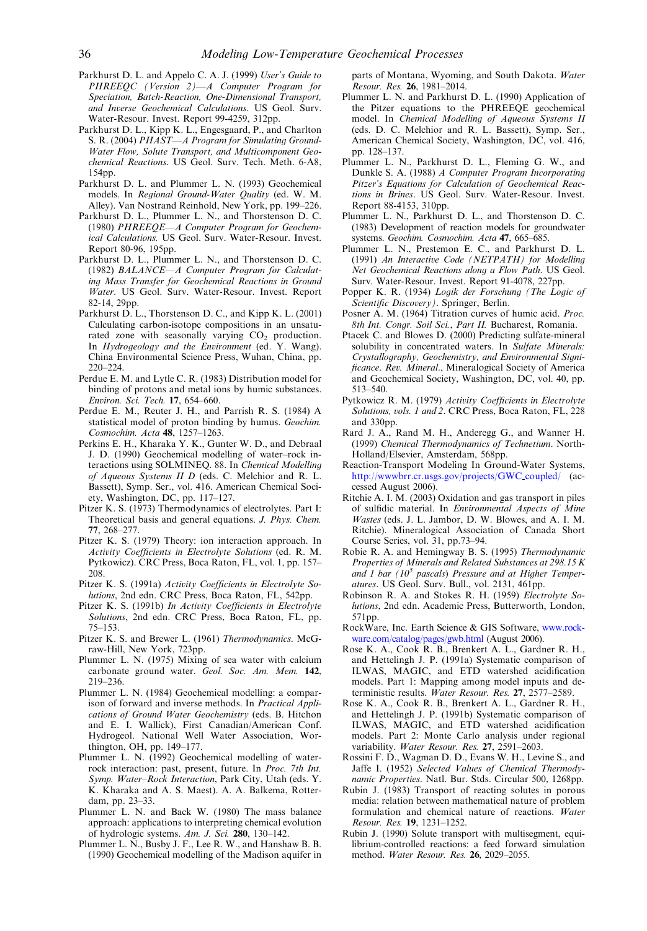- <span id="page-35-0"></span>Parkhurst D. L. and Appelo C. A. J. (1999) User's Guide to PHREEQC (Version 2)—A Computer Program for Speciation, Batch-Reaction, One-Dimensional Transport, and Inverse Geochemical Calculations. US Geol. Surv. Water-Resour. Invest. Report 99-4259, 312pp.
- Parkhurst D. L., Kipp K. L., Engesgaard, P., and Charlton S. R. (2004) PHAST-A Program for Simulating Ground-Water Flow, Solute Transport, and Multicomponent Geochemical Reactions. US Geol. Surv. Tech. Meth. 6-A8, 154pp.
- Parkhurst D. L. and Plummer L. N. (1993) Geochemical models. In Regional Ground-Water Quality (ed. W. M. Alley). Van Nostrand Reinhold, New York, pp. 199–226.
- Parkhurst D. L., Plummer L. N., and Thorstenson D. C. (1980) PHREEQE—A Computer Program for Geochemical Calculations. US Geol. Surv. Water-Resour. Invest. Report 80-96, 195pp.
- Parkhurst D. L., Plummer L. N., and Thorstenson D. C. (1982) BALANCE—A Computer Program for Calculating Mass Transfer for Geochemical Reactions in Ground Water. US Geol. Surv. Water-Resour. Invest. Report 82-14, 29pp.
- Parkhurst D. L., Thorstenson D. C., and Kipp K. L. (2001) Calculating carbon-isotope compositions in an unsaturated zone with seasonally varying  $CO<sub>2</sub>$  production. In Hydrogeology and the Environment (ed. Y. Wang). China Environmental Science Press, Wuhan, China, pp. 220–224.
- Perdue E. M. and Lytle C. R. (1983) Distribution model for binding of protons and metal ions by humic substances. Environ. Sci. Tech. 17, 654–660.
- Perdue E. M., Reuter J. H., and Parrish R. S. (1984) A statistical model of proton binding by humus. Geochim. Cosmochim. Acta 48, 1257–1263.
- Perkins E. H., Kharaka Y. K., Gunter W. D., and Debraal J. D. (1990) Geochemical modelling of water–rock interactions using SOLMINEQ. 88. In Chemical Modelling of Aqueous Systems II D (eds. C. Melchior and R. L. Bassett), Symp. Ser., vol. 416. American Chemical Society, Washington, DC, pp. 117–127.
- Pitzer K. S. (1973) Thermodynamics of electrolytes. Part I: Theoretical basis and general equations. J. Phys. Chem. 77, 268–277.
- Pitzer K. S. (1979) Theory: ion interaction approach. In Activity Coefficients in Electrolyte Solutions (ed. R. M. Pytkowicz). CRC Press, Boca Raton, FL, vol. 1, pp. 157– 208.
- Pitzer K. S. (1991a) Activity Coefficients in Electrolyte Solutions, 2nd edn. CRC Press, Boca Raton, FL, 542pp.
- Pitzer K. S. (1991b) In Activity Coefficients in Electrolyte Solutions, 2nd edn. CRC Press, Boca Raton, FL, pp. 75–153.
- Pitzer K. S. and Brewer L. (1961) Thermodynamics. McGraw-Hill, New York, 723pp.
- Plummer L. N. (1975) Mixing of sea water with calcium carbonate ground water. Geol. Soc. Am. Mem. 142, 219–236.
- Plummer L. N. (1984) Geochemical modelling: a comparison of forward and inverse methods. In Practical Applications of Ground Water Geochemistry (eds. B. Hitchon and E. I. Wallick), First Canadian/American Conf. Hydrogeol. National Well Water Association, Worthington, OH, pp. 149–177.
- Plummer L. N. (1992) Geochemical modelling of waterrock interaction: past, present, future. In Proc. 7th Int. Symp. Water–Rock Interaction, Park City, Utah (eds. Y. K. Kharaka and A. S. Maest). A. A. Balkema, Rotterdam, pp. 23–33.
- Plummer L. N. and Back W. (1980) The mass balance approach: applications to interpreting chemical evolution of hydrologic systems. Am. J. Sci. 280, 130–142.
- Plummer L. N., Busby J. F., Lee R. W., and Hanshaw B. B. (1990) Geochemical modelling of the Madison aquifer in

parts of Montana, Wyoming, and South Dakota. Water Resour. Res. 26, 1981–2014.

- Plummer L. N. and Parkhurst D. L. (1990) Application of the Pitzer equations to the PHREEQE geochemical model. In Chemical Modelling of Aqueous Systems II (eds. D. C. Melchior and R. L. Bassett), Symp. Ser., American Chemical Society, Washington, DC, vol. 416, pp. 128–137.
- Plummer L. N., Parkhurst D. L., Fleming G. W., and Dunkle S. A. (1988) A Computer Program Incorporating Pitzer's Equations for Calculation of Geochemical Reactions in Brines. US Geol. Surv. Water-Resour. Invest. Report 88-4153, 310pp.
- Plummer L. N., Parkhurst D. L., and Thorstenson D. C. (1983) Development of reaction models for groundwater systems. Geochim. Cosmochim. Acta 47, 665–685.
- Plummer L. N., Prestemon E. C., and Parkhurst D. L. (1991) An Interactive Code (NETPATH) for Modelling Net Geochemical Reactions along a Flow Path. US Geol. Surv. Water-Resour. Invest. Report 91-4078, 227pp.
- Popper K. R. (1934) Logik der Forschung (The Logic of Scientific Discovery). Springer, Berlin.
- Posner A. M. (1964) Titration curves of humic acid. Proc. 8th Int. Congr. Soil Sci., Part II. Bucharest, Romania.
- Ptacek C. and Blowes D. (2000) Predicting sulfate-mineral solubility in concentrated waters. In Sulfate Minerals: Crystallography, Geochemistry, and Environmental Significance. Rev. Mineral., Mineralogical Society of America and Geochemical Society, Washington, DC, vol. 40, pp. 513–540.
- Pytkowicz R. M. (1979) Activity Coefficients in Electrolyte Solutions, vols. 1 and 2. CRC Press, Boca Raton, FL, 228 and 330pp.
- Rard J. A., Rand M. H., Anderegg G., and Wanner H. (1999) Chemical Thermodynamics of Technetium. North-Holland/Elsevier, Amsterdam, 568pp.
- Reaction-Transport Modeling In Ground-Water Systems, [http://wwwbrr.cr.usgs.gov/projects/GWC](http://wwwbrr.cr.usgs.gov/projects/GWC_coupled/) [coupled/](http://wwwbrr.cr.usgs.gov/projects/GWC_coupled/) (accessed August 2006).
- Ritchie A. I. M. (2003) Oxidation and gas transport in piles of sulfidic material. In Environmental Aspects of Mine Wastes (eds. J. L. Jambor, D. W. Blowes, and A. I. M. Ritchie). Mineralogical Association of Canada Short Course Series, vol. 31, pp.73–94.
- Robie R. A. and Hemingway B. S. (1995) Thermodynamic Properties of Minerals and Related Substances at 298.15 K and 1 bar  $(10^5 \text{ pascals})$  Pressure and at Higher Temperatures. US Geol. Surv. Bull., vol. 2131, 461pp.
- Robinson R. A. and Stokes R. H. (1959) Electrolyte Solutions, 2nd edn. Academic Press, Butterworth, London, 571pp.
- RockWare, Inc. Earth Science & GIS Software, [www.rock](http://www.rockware.com/catalog/pages/gwb.html)[ware.com/catalog/pages/gwb.html](http://www.rockware.com/catalog/pages/gwb.html) (August 2006).
- Rose K. A., Cook R. B., Brenkert A. L., Gardner R. H., and Hettelingh J. P. (1991a) Systematic comparison of ILWAS, MAGIC, and ETD watershed acidification models. Part 1: Mapping among model inputs and deterministic results. Water Resour. Res. 27, 2577–2589.
- Rose K. A., Cook R. B., Brenkert A. L., Gardner R. H., and Hettelingh J. P. (1991b) Systematic comparison of ILWAS, MAGIC, and ETD watershed acidification models. Part 2: Monte Carlo analysis under regional variability. Water Resour. Res. 27, 2591–2603.
- Rossini F. D., Wagman D. D., Evans W. H., Levine S., and Jaffe I. (1952) Selected Values of Chemical Thermodynamic Properties. Natl. Bur. Stds. Circular 500, 1268pp.
- Rubin J. (1983) Transport of reacting solutes in porous media: relation between mathematical nature of problem formulation and chemical nature of reactions. Water Resour. Res. 19, 1231–1252.
- Rubin J. (1990) Solute transport with multisegment, equilibrium-controlled reactions: a feed forward simulation method. Water Resour. Res. 26, 2029–2055.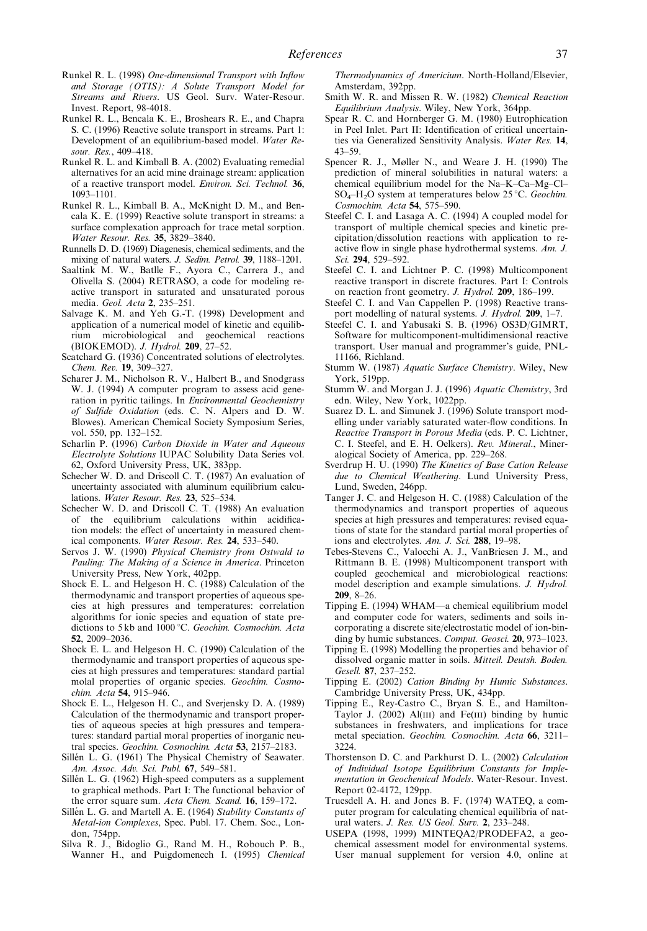- <span id="page-36-0"></span>Runkel R. L. (1998) One-dimensional Transport with Inflow and Storage (OTIS): A Solute Transport Model for Streams and Rivers. US Geol. Surv. Water-Resour. Invest. Report, 98-4018.
- Runkel R. L., Bencala K. E., Broshears R. E., and Chapra S. C. (1996) Reactive solute transport in streams. Part 1: Development of an equilibrium-based model. Water Resour. Res., 409–418.
- Runkel R. L. and Kimball B. A. (2002) Evaluating remedial alternatives for an acid mine drainage stream: application of a reactive transport model. Environ. Sci. Technol. 36, 1093–1101.
- Runkel R. L., Kimball B. A., McKnight D. M., and Bencala K. E. (1999) Reactive solute transport in streams: a surface complexation approach for trace metal sorption. Water Resour. Res. 35, 3829–3840.
- Runnells D. D. (1969) Diagenesis, chemical sediments, and the mixing of natural waters. J. Sedim. Petrol. 39, 1188–1201.
- Saaltink M. W., Batlle F., Ayora C., Carrera J., and Olivella S. (2004) RETRASO, a code for modeling reactive transport in saturated and unsaturated porous media. Geol. Acta 2, 235–251.
- Salvage K. M. and Yeh G.-T. (1998) Development and application of a numerical model of kinetic and equilibrium microbiological and geochemical reactions (BIOKEMOD). J. Hydrol. 209, 27–52.
- Scatchard G. (1936) Concentrated solutions of electrolytes. Chem. Rev. 19, 309–327.
- Scharer J. M., Nicholson R. V., Halbert B., and Snodgrass W. J. (1994) A computer program to assess acid generation in pyritic tailings. In Environmental Geochemistry of Sulfide Oxidation (eds. C. N. Alpers and D. W. Blowes). American Chemical Society Symposium Series, vol. 550, pp. 132–152.
- Scharlin P. (1996) Carbon Dioxide in Water and Aqueous Electrolyte Solutions IUPAC Solubility Data Series vol. 62, Oxford University Press, UK, 383pp.
- Schecher W. D. and Driscoll C. T. (1987) An evaluation of uncertainty associated with aluminum equilibrium calculations. Water Resour. Res. 23, 525–534.
- Schecher W. D. and Driscoll C. T. (1988) An evaluation of the equilibrium calculations within acidification models: the effect of uncertainty in measured chemical components. Water Resour. Res. 24, 533–540.
- Servos J. W. (1990) Physical Chemistry from Ostwald to Pauling: The Making of a Science in America. Princeton University Press, New York, 402pp.
- Shock E. L. and Helgeson H. C. (1988) Calculation of the thermodynamic and transport properties of aqueous species at high pressures and temperatures: correlation algorithms for ionic species and equation of state predictions to 5 kb and 1000 °C. Geochim. Cosmochim. Acta 52, 2009–2036.
- Shock E. L. and Helgeson H. C. (1990) Calculation of the thermodynamic and transport properties of aqueous species at high pressures and temperatures: standard partial molal properties of organic species. Geochim. Cosmochim. Acta 54, 915–946.
- Shock E. L., Helgeson H. C., and Sverjensky D. A. (1989) Calculation of the thermodynamic and transport properties of aqueous species at high pressures and temperatures: standard partial moral properties of inorganic neutral species. Geochim. Cosmochim. Acta 53, 2157–2183.
- Sillén L. G. (1961) The Physical Chemistry of Seawater. Am. Assoc. Adv. Sci. Publ. 67, 549–581.
- Sillén L. G. (1962) High-speed computers as a supplement to graphical methods. Part I: The functional behavior of the error square sum. Acta Chem. Scand. 16, 159-172.
- Sillén L. G. and Martell A. E. (1964) Stability Constants of Metal-ion Complexes, Spec. Publ. 17. Chem. Soc., London, 754pp.
- Silva R. J., Bidoglio G., Rand M. H., Robouch P. B., Wanner H., and Puigdomenech I. (1995) Chemical

Thermodynamics of Americium. North-Holland/Elsevier, Amsterdam, 392pp.

- Smith W. R. and Missen R. W. (1982) Chemical Reaction Equilibrium Analysis. Wiley, New York, 364pp.
- Spear R. C. and Hornberger G. M. (1980) Eutrophication in Peel Inlet. Part II: Identification of critical uncertainties via Generalized Sensitivity Analysis. Water Res. 14, 43–59.
- Spencer R. J., Møller N., and Weare J. H. (1990) The prediction of mineral solubilities in natural waters: a chemical equilibrium model for the Na–K–Ca–Mg–Cl–  $SO_4$ –H<sub>2</sub>O system at temperatures below 25 °C. Geochim. Cosmochim. Acta 54, 575–590.
- Steefel C. I. and Lasaga A. C. (1994) A coupled model for transport of multiple chemical species and kinetic precipitation/dissolution reactions with application to reactive flow in single phase hydrothermal systems. Am. J. Sci. 294, 529–592.
- Steefel C. I. and Lichtner P. C. (1998) Multicomponent reactive transport in discrete fractures. Part I: Controls on reaction front geometry. J. Hydrol. 209, 186–199.
- Steefel C. I. and Van Cappellen P. (1998) Reactive transport modelling of natural systems. J. Hydrol. 209, 1–7.
- Steefel C. I. and Yabusaki S. B. (1996) OS3D/GIMRT, Software for multicomponent-multidimensional reactive transport. User manual and programmer's guide, PNL-11166, Richland.
- Stumm W. (1987) Aquatic Surface Chemistry. Wiley, New York, 519pp.
- Stumm W. and Morgan J. J. (1996) Aquatic Chemistry, 3rd edn. Wiley, New York, 1022pp.
- Suarez D. L. and Simunek J. (1996) Solute transport modelling under variably saturated water-flow conditions. In Reactive Transport in Porous Media (eds. P. C. Lichtner, C. I. Steefel, and E. H. Oelkers). Rev. Mineral., Mineralogical Society of America, pp. 229–268.
- Sverdrup H. U. (1990) The Kinetics of Base Cation Release due to Chemical Weathering. Lund University Press, Lund, Sweden, 246pp.
- Tanger J. C. and Helgeson H. C. (1988) Calculation of the thermodynamics and transport properties of aqueous species at high pressures and temperatures: revised equations of state for the standard partial moral properties of ions and electrolytes. Am. J. Sci. 288, 19–98.
- Tebes-Stevens C., Valocchi A. J., VanBriesen J. M., and Rittmann B. E. (1998) Multicomponent transport with coupled geochemical and microbiological reactions: model description and example simulations. J. Hydrol. 209, 8–26.
- Tipping E. (1994) WHAM—a chemical equilibrium model and computer code for waters, sediments and soils incorporating a discrete site/electrostatic model of ion-binding by humic substances. Comput. Geosci. 20, 973-1023.
- Tipping E. (1998) Modelling the properties and behavior of dissolved organic matter in soils. Mitteil. Deutsh. Boden. Gesell. 87, 237–252.
- Tipping E. (2002) Cation Binding by Humic Substances. Cambridge University Press, UK, 434pp.
- Tipping E., Rey-Castro C., Bryan S. E., and Hamilton-Taylor J. (2002) Al(III) and Fe(III) binding by humic substances in freshwaters, and implications for trace metal speciation. Geochim. Cosmochim. Acta 66, 3211– 3224.
- Thorstenson D. C. and Parkhurst D. L. (2002) Calculation of Individual Isotope Equilibrium Constants for Implementation in Geochemical Models. Water-Resour. Invest. Report 02-4172, 129pp.
- Truesdell A. H. and Jones B. F. (1974) WATEQ, a computer program for calculating chemical equilibria of natural waters. J. Res. US Geol. Surv. 2, 233–248.
- USEPA (1998, 1999) MINTEQA2/PRODEFA2, a geochemical assessment model for environmental systems. User manual supplement for version 4.0, online at